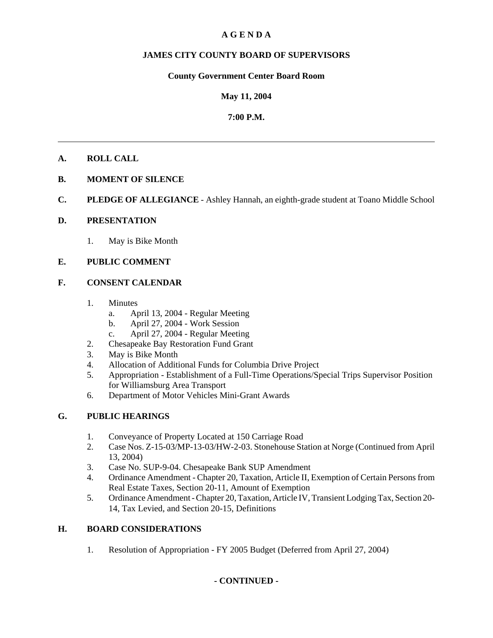# **A G E N D A**

# **JAMES CITY COUNTY BOARD OF SUPERVISORS**

# **County Government Center Board Room**

# **May 11, 2004**

# **7:00 P.M.**

# **A. ROLL CALL**

# **B. MOMENT OF SILENCE**

**C. PLEDGE OF ALLEGIANCE** - Ashley Hannah, an eighth-grade student at Toano Middle School

# **D. PRESENTATION**

1. May is Bike Month

# **E. PUBLIC COMMENT**

# **F. CONSENT CALENDAR**

- 1. Minutes
	- a. April 13, 2004 Regular Meeting
	- b. April 27, 2004 Work Session
	- c. April 27, 2004 Regular Meeting
- 2. Chesapeake Bay Restoration Fund Grant
- 3. May is Bike Month
- 4. Allocation of Additional Funds for Columbia Drive Project
- 5. Appropriation Establishment of a Full-Time Operations/Special Trips Supervisor Position for Williamsburg Area Transport
- 6. Department of Motor Vehicles Mini-Grant Awards

# **G. PUBLIC HEARINGS**

- 1. Conveyance of Property Located at 150 Carriage Road
- 2. Case Nos. Z-15-03/MP-13-03/HW-2-03. Stonehouse Station at Norge (Continued from April 13, 2004)
- 3. Case No. SUP-9-04. Chesapeake Bank SUP Amendment
- 4. Ordinance Amendment Chapter 20, Taxation, Article II, Exemption of Certain Persons from Real Estate Taxes, Section 20-11, Amount of Exemption
- 5. Ordinance Amendment Chapter 20, Taxation, Article IV, Transient Lodging Tax, Section 20- 14, Tax Levied, and Section 20-15, Definitions

# **H. BOARD CONSIDERATIONS**

1. Resolution of Appropriation - FY 2005 Budget (Deferred from April 27, 2004)

# **- CONTINUED -**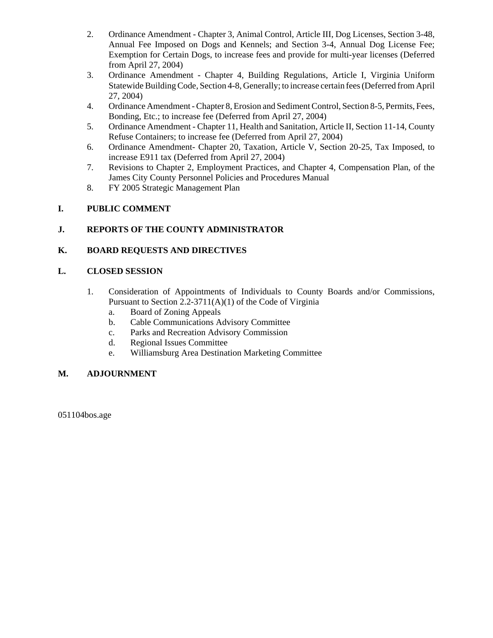- 2. Ordinance Amendment Chapter 3, Animal Control, Article III, Dog Licenses, Section 3-48, Annual Fee Imposed on Dogs and Kennels; and Section 3-4, Annual Dog License Fee; Exemption for Certain Dogs, to increase fees and provide for multi-year licenses (Deferred from April 27, 2004)
- 3. Ordinance Amendment Chapter 4, Building Regulations, Article I, Virginia Uniform Statewide Building Code, Section 4-8, Generally; to increase certain fees (Deferred from April 27, 2004)
- 4. Ordinance Amendment Chapter 8, Erosion and Sediment Control, Section 8-5, Permits, Fees, Bonding, Etc.; to increase fee (Deferred from April 27, 2004)
- 5. Ordinance Amendment Chapter 11, Health and Sanitation, Article II, Section 11-14, County Refuse Containers; to increase fee (Deferred from April 27, 2004)
- 6. Ordinance Amendment- Chapter 20, Taxation, Article V, Section 20-25, Tax Imposed, to increase E911 tax (Deferred from April 27, 2004)
- 7. Revisions to Chapter 2, Employment Practices, and Chapter 4, Compensation Plan, of the James City County Personnel Policies and Procedures Manual
- 8. FY 2005 Strategic Management Plan

# **I. PUBLIC COMMENT**

# **J. REPORTS OF THE COUNTY ADMINISTRATOR**

# **K. BOARD REQUESTS AND DIRECTIVES**

# **L. CLOSED SESSION**

- 1. Consideration of Appointments of Individuals to County Boards and/or Commissions, Pursuant to Section 2.2-3711(A)(1) of the Code of Virginia
	- a. Board of Zoning Appeals
	- b. Cable Communications Advisory Committee
	- c. Parks and Recreation Advisory Commission
	- d. Regional Issues Committee
	- e. Williamsburg Area Destination Marketing Committee

# **M. ADJOURNMENT**

051104bos.age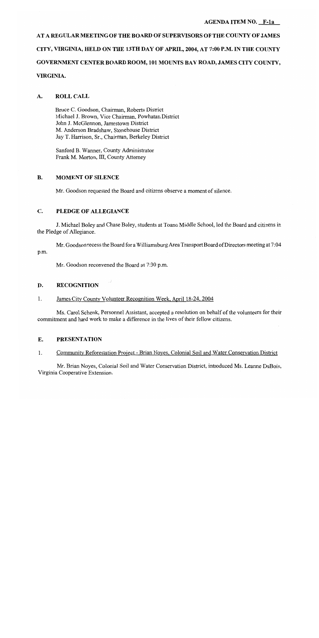### **AGENDA ITEM NO. F-1a**

AT A REGULAR MEETING OF THE BOARD OF SUPERVISORS OF THE COUNTY OF JAMES CITY, VIRGINIA, HELD ON THE 13TH DAY OF APRIL, 2004, AT 7:00 P.M. IN THE COUNTY GOVERNMENT CENTER BOARD ROOM, 101 MOUNTS BAY ROAD, JAMES CITY COUNTY, VIRGINIA.

#### **ROLL CALL** A.

Bruce C. Goodson, Chairman, Roberts District Michael J. Brown, Vice Chairman, Powhatan District John J. McGlennon, Jamestown District M. Anderson Bradshaw, Stonehouse District Jay T. Harrison, Sr., Chairman, Berkeley District

Sanford B. Wanner, County Administrator Frank M. Morton, III, County Attorney

#### **B. MOMENT OF SILENCE**

Mr. Goodson requested the Board and citizens observe a moment of silence.

#### $\mathbf{C}$ . PLEDGE OF ALLEGIANCE

J. Michael Boley and Chase Boley, students at Toano Middle School, led the Board and citizens in the Pledge of Allegiance.

Mr. Goodson recess the Board for a Williamsburg Area Transport Board of Directors meeting at 7:04 p.m.

Mr. Goodson reconvened the Board at 7:30 p.m.

#### D. **RECOGNITION**

#### $\mathbf{1}$ . James City County Volunteer Recognition Week, April 18-24, 2004

Ms. Carol Schenk, Personnel Assistant, accepted a resolution on behalf of the volunteers for their commitment and hard work to make a difference in the lives of their fellow citizens.

#### E. **PRESENTATION**

 $1.$ Community Reforestation Project - Brian Noyes, Colonial Soil and Water Conservation District

Mr. Brian Noyes, Colonial Soil and Water Conservation District, introduced Ms. Leanne DuBois, Virginia Cooperative Extension.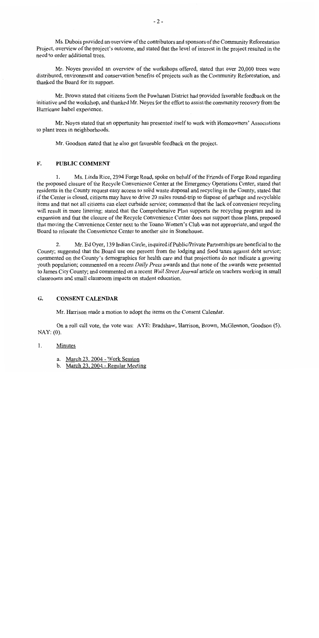Ms. Dubois provided an overview of the contributors and sponsors of the Community Reforestation Project, overview of the project's outcome, and stated that the level of interest in the project resulted in the need to order additional trees.

Mr. Noyes provided an overview of the workshops offered, stated that over 20,000 trees were distributed, environment and conservation benefits of projects such as the Community Reforestation, and thanked the Board for its support.

Mr. Brown stated that citizens from the Powhatan District had provided favorable feedback on the initiative and the workshop, and thanked Mr. Noyes for the effort to assist the community recovery from the Hurricane Isabel experience.

Mr. Noyes stated that an opportunity has presented itself to work with Homeowners' Associations to plant trees in neighborhoods.

Mr. Goodson stated that he also got favorable feedback on the project.

#### F. **PUBLIC COMMENT**

 $\mathbf{1}$ Ms. Linda Rice, 2394 Forge Road, spoke on behalf of the Friends of Forge Road regarding the proposed closure of the Recycle Convenience Center at the Emergency Operations Center, stated that residents in the County request easy access to solid waste disposal and recycling in the County, stated that if the Center is closed, citizens may have to drive 20 miles round-trip to dispose of garbage and recyclable items and that not all citizens can elect curbside service; commented that the lack of convenient recycling will result in more littering; stated that the Comprehensive Plan supports the recycling program and its expansion and that the closure of the Recycle Convenience Center does not support those plans, proposed that moving the Convenience Center next to the Toano Women's Club was not appropriate, and urged the Board to relocate the Convenience Center to another site in Stonehouse.

Mr. Ed Oyer, 139 Indian Circle, inquired if Public/Private Partnerships are beneficial to the  $\overline{2}$ . County; suggested that the Board use one percent from the lodging and food taxes against debt service; commented on the County's demographics for health care and that projections do not indicate a growing youth population; commented on a recent Daily Press awards and that none of the awards were presented to James City County; and commented on a recent Wall Street Journal article on teachers working in small classrooms and small classroom impacts on student education.

#### $G<sub>r</sub>$ **CONSENT CALENDAR**

Mr. Harrison made a motion to adopt the items on the Consent Calendar.

On a roll call vote, the vote was: AYE: Bradshaw, Harrison, Brown, McGlennon, Goodson (5).  $NAY: (0).$ 

 $1<sub>1</sub>$ Minutes

- a. March 23, 2004 Work Session
- b. March 23, 2004 Regular Meeting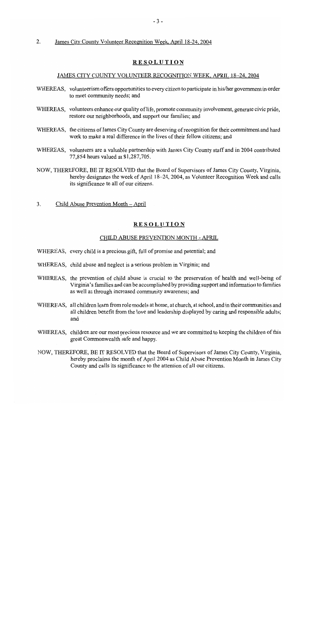#### $\overline{2}$ . James City County Volunteer Recognition Week, April 18-24, 2004

# **RESOLUTION**

#### JAMES CITY COUNTY VOLUNTEER RECOGNITION WEEK, APRIL 18-24, 2004

- WHEREAS, volunteerism offers opportunities to every citizen to participate in his/her government in order to meet community needs; and
- WHEREAS, volunteers enhance our quality of life, promote community involvement, generate civic pride, restore our neighborhoods, and support our families; and
- WHEREAS, the citizens of James City County are deserving of recognition for their commitment and hard work to make a real difference in the lives of their fellow citizens; and
- WHEREAS, volunteers are a valuable partnership with James City County staff and in 2004 contributed 77,854 hours valued at \$1,287,705.
- NOW, THEREFORE, BE IT RESOLVED that the Board of Supervisors of James City County, Virginia, hereby designates the week of April 18–24, 2004, as Volunteer Recognition Week and calls its significance to all of our citizens.
- $3<sub>1</sub>$ Child Abuse Prevention Month – April

### **RESOLUTION**

### CHILD ABUSE PREVENTION MONTH - APRIL

- WHEREAS, every child is a precious gift, full of promise and potential; and
- WHEREAS, child abuse and neglect is a serious problem in Virginia; and
- WHEREAS, the prevention of child abuse is crucial to the preservation of health and well-being of Virginia's families and can be accomplished by providing support and information to families as well as through increased community awareness; and
- WHEREAS, all children learn from role models at home, at church, at school, and in their communities and all children benefit from the love and leadership displayed by caring and responsible adults; and
- WHEREAS, children are our most precious resource and we are committed to keeping the children of this great Commonwealth safe and happy.
- NOW, THEREFORE, BE IT RESOLVED that the Board of Supervisors of James City County, Virginia, hereby proclaims the month of April 2004 as Child Abuse Prevention Month in James City County and calls its significance to the attention of all our citizens.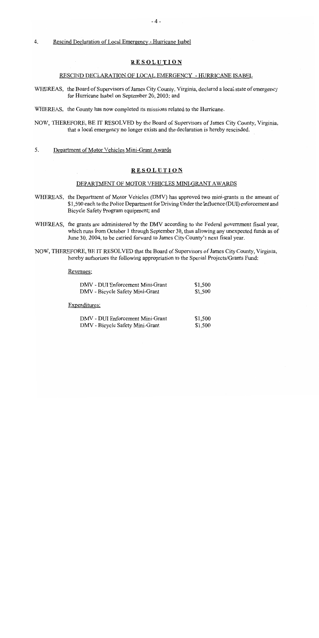#### $\overline{4}$ . Rescind Declaration of Local Emergency - Hurricane Isabel

# **RESOLUTION**

#### RESCIND DECLARATION OF LOCAL EMERGENCY - HURRICANE ISABEL

- WHEREAS, the Board of Supervisors of James City County, Virginia, declared a local state of emergency for Hurricane Isabel on September 20, 2003; and
- WHEREAS, the County has now completed its missions related to the Hurricane.
- NOW, THEREFORE, BE IT RESOLVED by the Board of Supervisors of James City County, Virginia. that a local emergency no longer exists and the declaration is hereby rescinded.
- 5. Department of Motor Vehicles Mini-Grant Awards

### **RESOLUTION**

### DEPARTMENT OF MOTOR VEHICLES MINI-GRANT AWARDS

- WHEREAS, the Department of Motor Vehicles (DMV) has approved two mini-grants in the amount of \$1,500 each to the Police Department for Driving Under the Influence (DUI) enforcement and Bicycle Safety Program equipment; and
- WHEREAS, the grants are administered by the DMV according to the Federal government fiscal year, which runs from October 1 through September 30, thus allowing any unexpected funds as of June 30, 2004, to be carried forward to James City County's next fiscal year.
- NOW, THEREFORE, BE IT RESOLVED that the Board of Supervisors of James City County, Virginia, hereby authorizes the following appropriation to the Special Projects/Grants Fund:

#### Revenues:

| DMV - DUI Enforcement Mini-Grant | \$1,500 |
|----------------------------------|---------|
| DMV - Bicycle Safety Mini-Grant  | \$1,500 |

Expenditures:

| DMV - DUI Enforcement Mini-Grant | \$1,500 |
|----------------------------------|---------|
| DMV - Bicycle Safety Mini-Grant  | \$1,500 |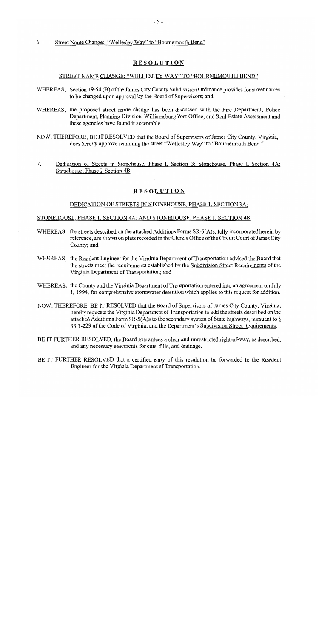#### Street Name Change: "Wellesley Way" to "Bournemouth Bend" 6.

### **RESOLUTION**

#### STREET NAME CHANGE: "WELLESLEY WAY" TO "BOURNEMOUTH BEND"

- WHEREAS, Section 19-54 (B) of the James City County Subdivision Ordinance provides for street names to be changed upon approval by the Board of Supervisors; and
- WHEREAS, the proposed street name change has been discussed with the Fire Department, Police Department, Planning Division, Williamsburg Post Office, and Real Estate Assessment and these agencies have found it acceptable.
- NOW, THEREFORE, BE IT RESOLVED that the Board of Supervisors of James City County, Virginia, does hereby approve renaming the street "Wellesley Way" to "Bournemouth Bend."
- $7<sub>1</sub>$ Dedication of Streets in Stonehouse, Phase I, Section 3; Stonehouse, Phase I, Section 4A; Stonehouse, Phase I, Section 4B

### **RESOLUTION**

#### DEDICATION OF STREETS IN STONEHOUSE, PHASE 1, SECTION 3A;

#### STONEHOUSE, PHASE 1, SECTION 4A; AND STONEHOUSE, PHASE 1, SECTION 4B

- WHEREAS, the streets described on the attached Additions Forms SR-5(A)s, fully incorporated herein by reference, are shown on plats recorded in the Clerk's Office of the Circuit Court of James City County; and
- WHEREAS, the Resident Engineer for the Virginia Department of Transportation advised the Board that the streets meet the requirements established by the Subdivision Street Requirements of the Virginia Department of Transportation; and
- WHEREAS, the County and the Virginia Department of Transportation entered into an agreement on July 1, 1994, for comprehensive stormwater detention which applies to this request for addition.
- NOW, THEREFORE, BE IT RESOLVED that the Board of Supervisors of James City County, Virginia, hereby requests the Virginia Department of Transportation to add the streets described on the attached Additions Form SR-5(A)s to the secondary system of State highways, pursuant to  $\S$ 33.1-229 of the Code of Virginia, and the Department's Subdivision Street Requirements.
- BE IT FURTHER RESOLVED, the Board guarantees a clear and unrestricted right-of-way, as described, and any necessary easements for cuts, fills, and drainage.
- BE IT FURTHER RESOLVED that a certified copy of this resolution be forwarded to the Resident Engineer for the Virginia Department of Transportation.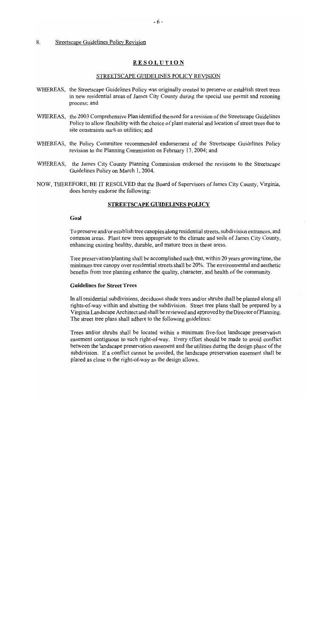#### 8. Streetscape Guidelines Policy Revision

# **RESOLUTION**

#### STREETSCAPE GUIDELINES POLICY REVISION

- WHEREAS, the Streetscape Guidelines Policy was originally created to preserve or establish street trees in new residential areas of James City County during the special use permit and rezoning process; and
- WHEREAS, the 2003 Comprehensive Plan identified the need for a revision of the Streetscape Guidelines Policy to allow flexibility with the choice of plant material and location of street trees due to site constraints such as utilities; and
- WHEREAS, the Policy Committee recommended endorsement of the Streetscape Guidelines Policy revision to the Planning Commission on February 17, 2004; and
- WHEREAS, the James City County Planning Commission endorsed the revisions to the Streetscape Guidelines Policy on March 1, 2004.
- NOW, THEREFORE, BE IT RESOLVED that the Board of Supervisors of James City County, Virginia, does hereby endorse the following:

#### **STREETSCAPE GUIDELINES POLICY**

### Goal

To preserve and/or establish tree canopies along residential streets, subdivision entrances, and common areas. Plant new trees appropriate to the climate and soils of James City County, enhancing existing healthy, durable, and mature trees in these areas.

Tree preservation/planting shall be accomplished such that, within 20 years growing time, the minimum tree canopy over residential streets shall be 20%. The environmental and aesthetic benefits from tree planting enhance the quality, character, and health of the community.

### **Guidelines for Street Trees**

In all residential subdivisions, deciduous shade trees and/or shrubs shall be planted along all rights-of-way within and abutting the subdivision. Street tree plans shall be prepared by a Virginia Landscape Architect and shall be reviewed and approved by the Director of Planning. The street tree plans shall adhere to the following guidelines:

Trees and/or shrubs shall be located within a minimum five-foot landscape preservation easement contiguous to such right-of-way. Every effort should be made to avoid conflict between the landscape preservation easement and the utilities during the design phase of the subdivision. If a conflict cannot be avoided, the landscape preservation easement shall be placed as close to the right-of-way as the design allows.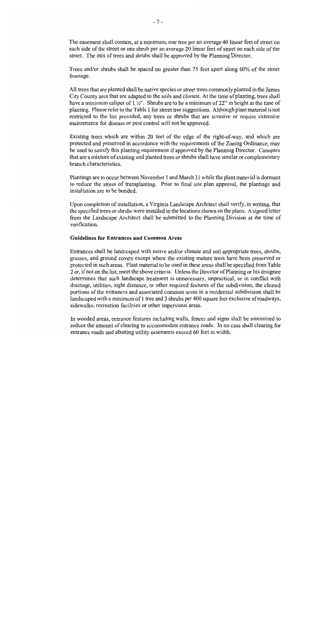The easement shall contain, at a minimum, one tree per an average 40 linear feet of street on each side of the street or one shrub per an average 20 linear feet of street on each side of the street. The mix of trees and shrubs shall be approved by the Planning Director.

Trees and/or shrubs shall be spaced no greater than 75 feet apart along 60% of the street frontage.

All trees that are planted shall be native species or street trees commonly planted in the James City County area that are adapted to the soils and climate. At the time of planting, trees shall have a minimum caliper of  $1 \frac{1}{2}$ . Shrubs are to be a minimum of 22" in height at the time of planting. Please refer to the Table 1 for street tree suggestions. Although plant material is not restricted to the list provided, any trees or shrubs that are invasive or require extensive maintenance for disease or pest control will not be approved.

Existing trees which are within 20 feet of the edge of the right-of-way, and which are protected and preserved in accordance with the requirements of the Zoning Ordinance, may be used to satisfy this planting requirement if approved by the Planning Director. Canopies that are a mixture of existing and planted trees or shrubs shall have similar or complementary branch characteristics.

Plantings are to occur between November 1 and March 31 while the plant material is dormant to reduce the stress of transplanting. Prior to final site plan approval, the plantings and installation are to be bonded.

Upon completion of installation, a Virginia Landscape Architect shall verify, in writing, that the specified trees or shrubs were installed in the locations shown on the plans. A signed letter from the Landscape Architect shall be submitted to the Planning Division at the time of verification.

#### **Guidelines for Entrances and Common Areas**

Entrances shall be landscaped with native and/or climate and soil appropriate trees, shrubs, grasses, and ground covers except where the existing mature trees have been preserved or protected in such areas. Plant material to be used in these areas shall be specified from Table 2 or, if not on the list, meet the above criteria. Unless the Director of Planning or his designee determines that such landscape treatment is unnecessary, impractical, or in conflict with drainage, utilities, sight distance, or other required features of the subdivision, the cleared portions of the entrances and associated common areas in a residential subdivision shall be landscaped with a minimum of 1 tree and 3 shrubs per 400 square feet exclusive of roadways, sidewalks, recreation facilities or other impervious areas.

In wooded areas, entrance features including walls, fences and signs shall be minimized to reduce the amount of clearing to accommodate entrance roads. In no case shall clearing for entrance roads and abutting utility easements exceed 60 feet in width.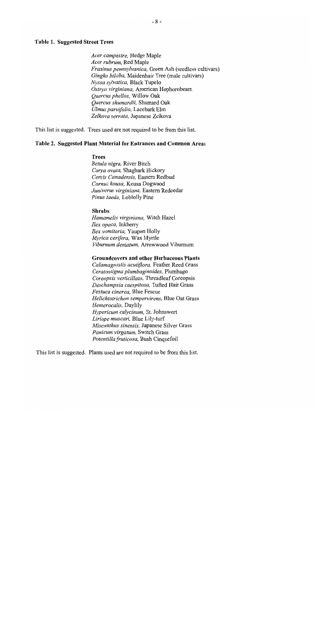### **Table 1. Suggested Street Trees**

Acer campestre, Hedge Maple Acer rubrum, Red Maple Fraxinus pennsylvanica, Green Ash (seedless cultivars) Gingko biloba, Maidenhair Tree (male cultivars) Nyssa sylvatica, Black Tupelo Ostrya virginiana, American Hophornbeam Quercus phellos, Willow Oak Ouercus shumardii, Shumard Oak Ulmus parvifolia, Lacebark Elm Zelkova serrata, Japanese Zelkova

This list is suggested. Trees used are not required to be from this list.

#### Table 2. Suggested Plant Material for Entrances and Common Areas

#### **Trees**

Betula nigra, River Birch Carya ovata, Shagbark Hickory Cercis Canadensis, Eastern Redbud Cornus kousa, Kousa Dogwood Juniverus virginiana, Eastern Redcedar Pinus taeda, Loblolly Pine

#### **Shrubs**

Hamamelis virginiana, Witch Hazel Ilex opaca, Inkberry *Ilex vomitoria*, Yaupon Holly Myrica cerifera, Wax Myrtle Viburnum dentatum. Arrowwood Viburnum

#### **Groundcovers and other Herbaceous Plants**

Calamagrostis acutiflora, Feather Reed Grass Ceratostigma plumbaginoides, Plumbago Coreopsis verticillata, Threadleaf Coreopsis Deschampsia caespitosa, Tufted Hair Grass Festuca cinerea, Blue Fescue Helichtotrichon sempervirens, Blue Oat Grass Hemerocalis, Daylily Hypericum calycinum, St. Johnswort Liriope muscari, Blue Lily-turf Miscanthus sinensis, Japanese Silver Grass Panicum virgatum, Switch Grass Potentilla fruticosa, Bush Cinquefoil

This list is suggested. Plants used are not required to be from this list.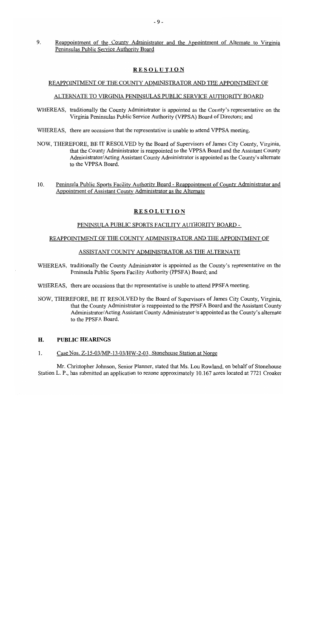$9<sub>1</sub>$ Reappointment of the County Administrator and the Appointment of Alternate to Virginia Peninsulas Public Service Authority Board

# **RESOLUTION**

# REAPPOINTMENT OF THE COUNTY ADMINISTRATOR AND THE APPOINTMENT OF

# ALTERNATE TO VIRGINIA PENINSULAS PUBLIC SERVICE AUTHORITY BOARD

- WHEREAS, traditionally the County Administrator is appointed as the County's representative on the Virginia Peninsulas Public Service Authority (VPPSA) Board of Directors; and
- WHEREAS, there are occasions that the representative is unable to attend VPPSA meeting.
- NOW, THEREFORE, BE IT RESOLVED by the Board of Supervisors of James City County, Virginia. that the County Administrator is reappointed to the VPPSA Board and the Assistant County Administrator/Acting Assistant County Administrator is appointed as the County's alternate to the VPPSA Board.
- $10.$ Peninsula Public Sports Facility Authority Board - Reappointment of County Administrator and Appointment of Assistant County Administrator as the Alternate

# **RESOLUTION**

### PENINSULA PUBLIC SPORTS FACILITY AUTHORITY BOARD -

### REAPPOINTMENT OF THE COUNTY ADMINISTRATOR AND THE APPOINTMENT OF

### ASSISTANT COUNTY ADMINISTRATOR AS THE ALTERNATE

- WHEREAS, traditionally the County Administrator is appointed as the County's representative on the Peninsula Public Sports Facility Authority (PPSFA) Board; and
- WHEREAS, there are occasions that the representative is unable to attend PPSFA meeting.
- NOW, THEREFORE, BE IT RESOLVED by the Board of Supervisors of James City County, Virginia, that the County Administrator is reappointed to the PPSFA Board and the Assistant County Administrator/Acting Assistant County Administrator is appointed as the County's alternate to the PPSFA Board.

#### H. **PUBLIC HEARINGS**

 $\mathbf{1}$ . Case Nos. Z-15-03/MP-13-03/HW-2-03. Stonehouse Station at Norge

Mr. Christopher Johnson, Senior Planner, stated that Ms. Lou Rowland, on behalf of Stonehouse Station L. P., has submitted an application to rezone approximately 10.167 acres located at 7721 Croaker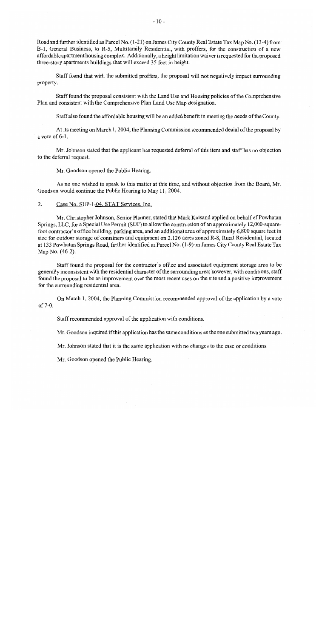Road and further identified as Parcel No. (1-21) on James City County Real Estate Tax Map No. (13-4) from B-1, General Business, to R-5, Multifamily Residential, with proffers, for the construction of a new affordable apartment housing complex. Additionally, a height limitation waiver is requested for the proposed three-story apartments buildings that will exceed 35 feet in height.

Staff found that with the submitted proffers, the proposal will not negatively impact surrounding property.

Staff found the proposal consistent with the Land Use and Housing policies of the Comprehensive Plan and consistent with the Comprehensive Plan Land Use Map designation.

Staff also found the affordable housing will be an added benefit in meeting the needs of the County.

At its meeting on March 1, 2004, the Planning Commission recommended denial of the proposal by a vote of  $6-1$ .

Mr. Johnson stated that the applicant has requested deferral of this item and staff has no objection to the deferral request.

Mr. Goodson opened the Public Hearing.

As no one wished to speak to this matter at this time, and without objection from the Board, Mr. Goodson would continue the Public Hearing to May 11, 2004.

 $\overline{2}$ . Case No. SUP-1-04. STAT Services, Inc.

Mr. Christopher Johnson, Senior Planner, stated that Mark Kaisand applied on behalf of Powhatan Springs, LLC, for a Special Use Permit (SUP) to allow the construction of an approximately 12,000-squarefoot contractor's office building, parking area, and an additional area of approximately 6,800 square feet in size for outdoor storage of containers and equipment on 2.126 acres zoned R-8, Rural Residential, located at 133 Powhatan Springs Road, further identified as Parcel No. (1-9) on James City County Real Estate Tax Map No. (46-2).

Staff found the proposal for the contractor's office and associated equipment storage area to be generally inconsistent with the residential character of the surrounding area; however, with conditions, staff found the proposal to be an improvement over the most recent uses on the site and a positive improvement for the surrounding residential area.

On March 1, 2004, the Planning Commission recommended approval of the application by a vote of 7-0.

Staff recommended approval of the application with conditions.

Mr. Goodson inquired if this application has the same conditions as the one submitted two years ago.

Mr. Johnson stated that it is the same application with no changes to the case or conditions.

Mr. Goodson opened the Public Hearing.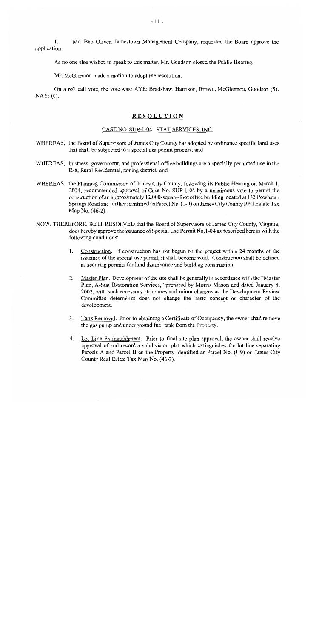Mr. Bob Oliver, Jamestown Management Company, requested the Board approve the 1. application.

As no one else wished to speak to this matter, Mr. Goodson closed the Public Hearing.

Mr. McGlennon made a motion to adopt the resolution.

On a roll call vote, the vote was: AYE: Bradshaw, Harrison, Brown, McGlennon, Goodson (5).  $\text{NAY}: (0).$ 

### **RESOLUTION**

#### CASE NO. SUP-1-04. STAT SERVICES, INC.

- WHEREAS, the Board of Supervisors of James City County has adopted by ordinance specific land uses that shall be subjected to a special use permit process; and
- WHEREAS, business, government, and professional office buildings are a specially permitted use in the R-8, Rural Residential, zoning district; and
- WHEREAS, the Planning Commission of James City County, following its Public Hearing on March 1, 2004, recommended approval of Case No. SUP-1-04 by a unanimous vote to permit the construction of an approximately 12,000-square-foot office building located at 133 Powhatan Springs Road and further identified as Parcel No. (1-9) on James City County Real Estate Tax Map No. (46-2).
- NOW, THEREFORE, BE IT RESOLVED that the Board of Supervisors of James City County, Virginia, does hereby approve the issuance of Special Use Permit No.1-04 as described herein with the following conditions:
	- $1_{\cdot}$ Construction. If construction has not begun on the project within 24 months of the issuance of the special use permit, it shall become void. Construction shall be defined as securing permits for land disturbance and building construction.
	- Master Plan. Development of the site shall be generally in accordance with the "Master" 2. Plan, A-Stat Restoration Services," prepared by Morris Mason and dated January 8, 2002, with such accessory structures and minor changes as the Development Review Committee determines does not change the basic concept or character of the development.
	- $3<sub>1</sub>$ Tank Removal. Prior to obtaining a Certificate of Occupancy, the owner shall remove the gas pump and underground fuel tank from the Property.
	- Lot Line Extinguishment. Prior to final site plan approval, the owner shall receive 4. approval of and record a subdivision plat which extinguishes the lot line separating Parcels A and Parcel B on the Property identified as Parcel No. (1-9) on James City County Real Estate Tax Map No. (46-2).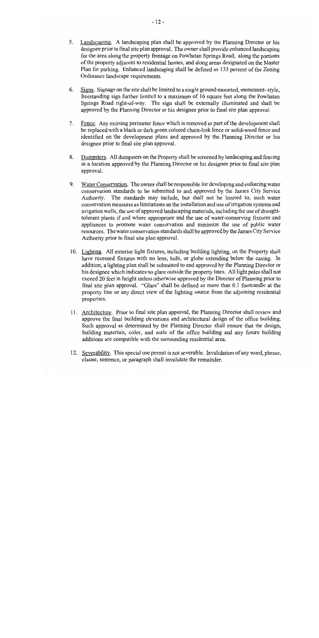- 5. Landscaping. A landscaping plan shall be approved by the Planning Director or his designee prior to final site plan approval. The owner shall provide enhanced landscaping for the area along the property frontage on Powhatan Springs Road, along the portions of the property adjacent to residential homes, and along areas designated on the Master Plan for parking. Enhanced landscaping shall be defined as 133 percent of the Zoning Ordinance landscape requirements.
- 6. Signs. Signage on the site shall be limited to a single ground-mounted, monument-style, freestanding sign further limited to a maximum of 16 square feet along the Powhatan Springs Road right-of-way. The sign shall be externally illuminated and shall be approved by the Planning Director or his designee prior to final site plan approval.
- $7<sub>1</sub>$ Fence. Any existing perimeter fence which is removed as part of the development shall be replaced with a black or dark green colored chain-link fence or solid-wood fence and identified on the development plans and approved by the Planning Director or his designee prior to final site plan approval.
- 8. Dumpsters. All dumpsters on the Property shall be screened by landscaping and fencing in a location approved by the Planning Director or his designee prior to final site plan approval.
- 9. Water Conservation. The owner shall be responsible for developing and enforcing water conservation standards to be submitted to and approved by the James City Service Authority. The standards may include, but shall not be limited to, such water conservation measures as limitations on the installation and use of irrigation systems and irrigation wells, the use of approved landscaping materials, including the use of droughttolerant plants if and where appropriate and the use of water-conserving fixtures and appliances to promote water conservation and minimize the use of public water resources. The water conservation standards shall be approved by the James City Service Authority prior to final site plan approval.
- 10. Lighting. All exterior light fixtures, including building lighting, on the Property shall have recessed fixtures with no lens, bulb, or globe extending below the casing. In addition, a lighting plan shall be submitted to and approved by the Planning Director or his designee which indicates no glare outside the property lines. All light poles shall not exceed 20 feet in height unless otherwise approved by the Director of Planning prior to final site plan approval. "Glare" shall be defined as more than 0.1 footcandle at the property line or any direct view of the lighting source from the adjoining residential properties.
- 11. Architecture. Prior to final site plan approval, the Planning Director shall review and approve the final building elevations and architectural design of the office building. Such approval as determined by the Planning Director shall ensure that the design, building materials, color, and scale of the office building and any future building additions are compatible with the surrounding residential area.
- 12. Severability. This special use permit is not severable. Invalidation of any word, phrase, clause, sentence, or paragraph shall invalidate the remainder.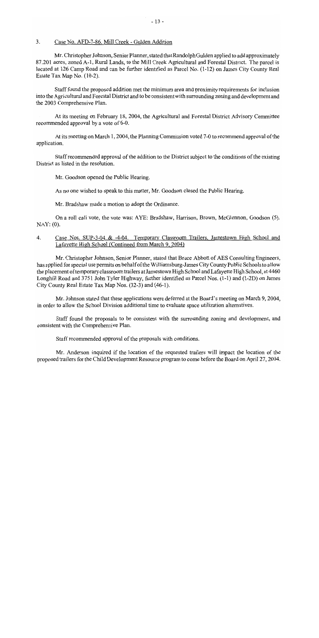#### $\overline{3}$ . Case No. AFD-7-86. Mill Creek - Gulden Addition

Mr. Christopher Johnson, Senior Planner, stated that Randolph Gulden applied to add approximately 87.201 acres, zoned A-1, Rural Lands, to the Mill Creek Agricultural and Forestal District. The parcel is located at 126 Camp Road and can be further identified as Parcel No. (1-12) on James City County Real Estate Tax Map No. (10-2).

Staff found the proposed addition met the minimum area and proximity requirements for inclusion into the Agricultural and Forestal District and to be consistent with surrounding zoning and development and the 2003 Comprehensive Plan.

At its meeting on February 18, 2004, the Agricultural and Forestal District Advisory Committee recommended approval by a vote of 6-0.

At its meeting on March 1, 2004, the Planning Commission voted 7-0 to recommend approval of the application.

Staff recommended approval of the addition to the District subject to the conditions of the existing District as listed in the resolution.

Mr. Goodson opened the Public Hearing.

As no one wished to speak to this matter, Mr. Goodson closed the Public Hearing.

Mr. Bradshaw made a motion to adopt the Ordinance.

On a roll call vote, the vote was: AYE: Bradshaw, Harrison, Brown, McGlennon, Goodson (5).  $NAY: (0)$ .

#### Case Nos. SUP-3-04 & -4-04. Temporary Classroom Trailers, Jamestown High School and 4. Lafayette High School (Continued from March 9, 2004)

Mr. Christopher Johnson, Senior Planner, stated that Bruce Abbott of AES Consulting Engineers, has applied for special use permits on behalf of the Williamsburg-James City County Public Schools to allow the placement of temporary classroom trailers at Jamestown High School and Lafayette High School, at 4460 Longhill Road and 3751 John Tyler Highway, further identified as Parcel Nos. (1-1) and (1-2D) on James City County Real Estate Tax Map Nos. (32-3) and (46-1).

Mr. Johnson stated that these applications were deferred at the Board's meeting on March 9, 2004, in order to allow the School Division additional time to evaluate space utilization alternatives.

Staff found the proposals to be consistent with the surrounding zoning and development, and consistent with the Comprehensive Plan.

Staff recommended approval of the proposals with conditions.

Mr. Anderson inquired if the location of the requested trailers will impact the location of the proposed trailers for the Child Development Resource program to come before the Board on April 27, 2004.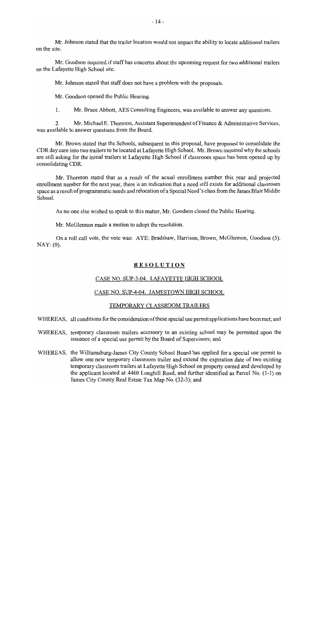Mr. Johnson stated that the trailer location would not impact the ability to locate additional trailers on the site.

Mr. Goodson inquired if staff has concerns about the upcoming request for two additional trailers on the Lafayette High School site.

Mr. Johnson stated that staff does not have a problem with the proposals.

Mr. Goodson opened the Public Hearing.

1. Mr. Bruce Abbott, AES Consulting Engineers, was available to answer any questions.

 $2^{\circ}$ Mr. Michael E. Thornton, Assistant Superintendent of Finance & Administrative Services, was available to answer questions from the Board.

Mr. Brown stated that the Schools, subsequent to this proposal, have proposed to consolidate the CDR day care into two trailers to be located at Lafayette High School. Mr. Brown inquired why the schools are still asking for the initial trailers at Lafayette High School if classroom space has been opened up by consolidating CDR.

Mr. Thornton stated that as a result of the actual enrollment number this year and projected enrollment number for the next year, there is an indication that a need still exists for additional classroom space as a result of programmatic needs and relocation of a Special Need's class from the James Blair Middle School.

As no one else wished to speak to this matter, Mr. Goodson closed the Public Hearing.

Mr. McGlennon made a motion to adopt the resolution.

On a roll call vote, the vote was: AYE: Bradshaw, Harrison, Brown, McGlennon, Goodson (5).  $\text{NAY: (0)}$ .

# **RESOLUTION**

### CASE NO. SUP-3-04. LAFAYETTE HIGH SCHOOL

# CASE NO. SUP-4-04. JAMESTOWN HIGH SCHOOL

#### TEMPORARY CLASSROOM TRAILERS

WHEREAS, all conditions for the consideration of these special use permit applications have been met; and

- WHEREAS, temporary classroom trailers accessory to an existing school may be permitted upon the issuance of a special use permit by the Board of Supervisors; and
- WHEREAS, the Williamsburg-James City County School Board has applied for a special use permit to allow one new temporary classroom trailer and extend the expiration date of two existing temporary classroom trailers at Lafayette High School on property owned and developed by the applicant located at 4460 Longhill Road, and further identified as Parcel No. (1-1) on James City County Real Estate Tax Map No. (32-3); and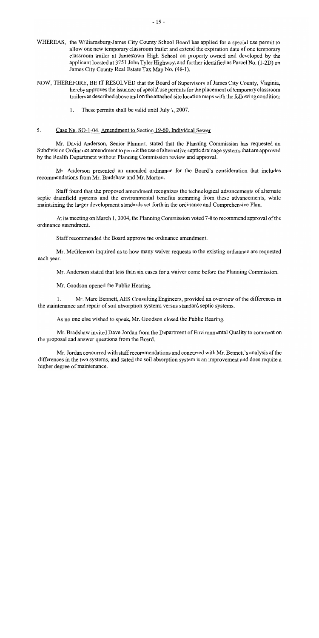- WHEREAS, the Williamsburg-James City County School Board has applied for a special use permit to allow one new temporary classroom trailer and extend the expiration date of one temporary classroom trailer at Jamestown High School on property owned and developed by the applicant located at 3751 John Tyler Highway, and further identified as Parcel No. (1-2D) on James City County Real Estate Tax Map No. (46-1).
- NOW, THEREFORE, BE IT RESOLVED that the Board of Supervisors of James City County, Virginia, hereby approves the issuance of special use permits for the placement of temporary classroom trailers as described above and on the attached site location maps with the following condition:
	- These permits shall be valid until July 1, 2007.  $\mathbf{1}$ .

#### $5<sub>1</sub>$ Case No. SO-1-04. Amendment to Section 19-60. Individual Sewer

Mr. David Anderson, Senior Planner, stated that the Planning Commission has requested an Subdivision Ordinance amendment to permit the use of alternative septic drainage systems that are approved by the Health Department without Planning Commission review and approval.

Mr. Anderson presented an amended ordinance for the Board's consideration that includes recommendations from Mr. Bradshaw and Mr. Morton.

Staff found that the proposed amendment recognizes the technological advancements of alternate septic drainfield systems and the environmental benefits stemming from these advancements, while maintaining the larger development standards set forth in the ordinance and Comprehensive Plan.

At its meeting on March 1, 2004, the Planning Commission voted 7-0 to recommend approval of the ordinance amendment.

Staff recommended the Board approve the ordinance amendment.

Mr. McGlennon inquired as to how many waiver requests to the existing ordinance are requested each year.

Mr. Anderson stated that less than six cases for a waiver come before the Planning Commission.

Mr. Goodson opened the Public Hearing.

Mr. Marc Bennett, AES Consulting Engineers, provided an overview of the differences in the maintenance and repair of soil absorption systems versus standard septic systems.

As no one else wished to speak, Mr. Goodson closed the Public Hearing.

Mr. Bradshaw invited Dave Jordan from the Department of Environmental Quality to comment on the proposal and answer questions from the Board.

Mr. Jordan concurred with staff recommendations and concurred with Mr. Bennett's analysis of the differences in the two systems, and stated the soil absorption system is an improvement and does require a higher degree of maintenance.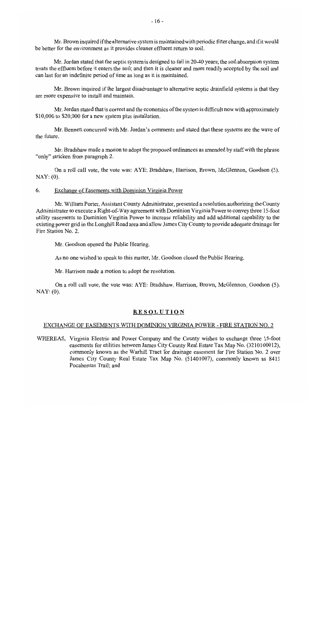Mr. Brown inquired if the alternative system is maintained with periodic filter change, and if it would be better for the environment as it provides cleaner effluent return to soil.

Mr. Jordan stated that the septic system is designed to fail in 20-40 years; the soil absorption system treats the effluent before it enters the soil; and then it is cleaner and more readily accepted by the soil and can last for an indefinite period of time as long as it is maintained.

Mr. Brown inquired if the largest disadvantage to alternative septic drainfield systems is that they are more expensive to install and maintain.

Mr. Jordan stated that is correct and the economics of the system is difficult now with approximately \$10,000 to \$20,000 for a new system plus installation.

Mr. Bennett concurred with Mr. Jordan's comments and stated that these systems are the wave of the future.

Mr. Bradshaw made a motion to adopt the proposed ordinances as amended by staff with the phrase "only" stricken from paragraph 2.

On a roll call vote, the vote was: AYE: Bradshaw, Harrison, Brown, McGlennon, Goodson (5).  $NAY: (0)$ .

#### 6. Exchange of Easements with Dominion Virginia Power

Mr. William Porter, Assistant County Administrator, presented a resolution authorizing the County Administrator to execute a Right-of-Way agreement with Dominion Virginia Power to convey three 15-foot utility easements to Dominion Virginia Power to increase reliability and add additional capability to the existing power grid in the Longhill Road area and allow James City County to provide adequate drainage for Fire Station No. 2.

Mr. Goodson opened the Public Hearing.

As no one wished to speak to this matter, Mr. Goodson closed the Public Hearing.

Mr. Harrison made a motion to adopt the resolution.

On a roll call vote, the vote was: AYE: Bradshaw, Harrison, Brown, McGlennon, Goodson (5).  $NAY: (0)$ .

#### **RESOLUTION**

### EXCHANGE OF EASEMENTS WITH DOMINION VIRGINIA POWER - FIRE STATION NO. 2

WHEREAS, Virginia Electric and Power Company and the County wishes to exchange three 15-foot easements for utilities between James City County Real Estate Tax Map No. (3210100012), commonly known as the Warhill Tract for drainage easement for Fire Station No. 2 over James City County Real Estate Tax Map No. (51401007), commonly known as 8415 Pocahontas Trail; and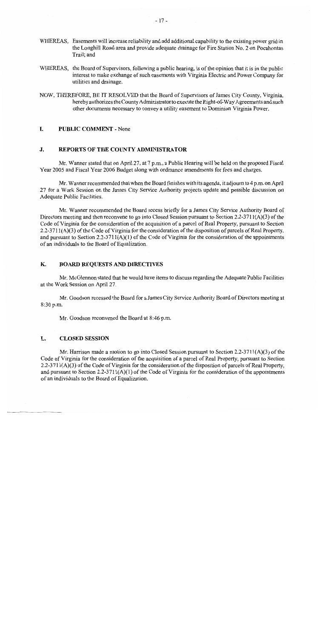- WHEREAS, Easements will increase reliability and add additional capability to the existing power grid in the Longhill Road area and provide adequate drainage for Fire Station No. 2 on Pocahontas Trail: and
- WHEREAS, the Board of Supervisors, following a public hearing, is of the opinion that it is in the public interest to make exchange of such easements with Virginia Electric and Power Company for utilities and drainage.
- NOW, THEREFORE, BE IT RESOLVED that the Board of Supervisors of James City County, Virginia, hereby authorizes the County Administrator to execute the Right-of-Way Agreements and such other documents necessary to convey a utility easement to Dominion Virginia Power.

#### L. **PUBLIC COMMENT - None**

#### J. **REPORTS OF THE COUNTY ADMINISTRATOR**

Mr. Wanner stated that on April 27, at 7 p.m., a Public Hearing will be held on the proposed Fiscal Year 2005 and Fiscal Year 2006 Budget along with ordinance amendments for fees and charges.

Mr. Wanner recommended that when the Board finishes with its agenda, it adjourn to 4 p.m. on April 27 for a Work Session on the James City Service Authority projects update and possible discussion on Adequate Public Facilities.

Mr. Wanner recommended the Board recess briefly for a James City Service Authority Board of Directors meeting and then reconvene to go into Closed Session pursuant to Section 2.2-3711(A)(3) of the Code of Virginia for the consideration of the acquisition of a parcel of Real Property, pursuant to Section 2.2-3711(A)(3) of the Code of Virginia for the consideration of the disposition of parcels of Real Property, and pursuant to Section 2.2-3711( $A$ )(1) of the Code of Virginia for the consideration of the appointments of an individuals to the Board of Equalization.

#### К. **BOARD REQUESTS AND DIRECTIVES**

Mr. McGlennon stated that he would have items to discuss regarding the Adequate Public Facilities at the Work Session on April 27.

Mr. Goodson recessed the Board for a James City Service Authority Board of Directors meeting at 8:30 p.m.

Mr. Goodson reconvened the Board at 8:46 p.m.

#### L. **CLOSED SESSION**

Mr. Harrison made a motion to go into Closed Session pursuant to Section 2.2-3711(A)(3) of the Code of Virginia for the consideration of the acquisition of a parcel of Real Property, pursuant to Section 2.2-3711(A)(3) of the Code of Virginia for the consideration of the disposition of parcels of Real Property, and pursuant to Section  $2.2-3711(A)(1)$  of the Code of Virginia for the consideration of the appointments of an individuals to the Board of Equalization.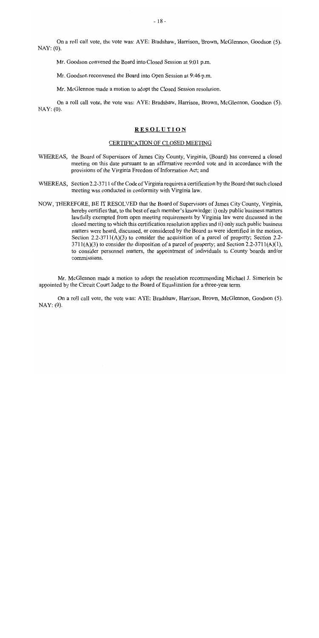On a roll call vote, the vote was: AYE: Bradshaw, Harrison, Brown, McGlennon, Goodson (5).  $NAY: (0)$ .

Mr. Goodson convened the Board into Closed Session at 9:01 p.m.

Mr. Goodson reconvened the Board into Open Session at 9:46 p.m.

Mr. McGlennon made a motion to adopt the Closed Session resolution.

On a roll call vote, the vote was: AYE: Bradshaw, Harrison, Brown, McGlennon, Goodson (5).  $\text{NAY: (0)}$ .

#### **RESOLUTION**

### CERTIFICATION OF CLOSED MEETING

- WHEREAS, the Board of Supervisors of James City County, Virginia, (Board) has convened a closed meeting on this date pursuant to an affirmative recorded vote and in accordance with the provisions of the Virginia Freedom of Information Act; and
- WHEREAS, Section 2.2-3711 of the Code of Virginia requires a certification by the Board that such closed meeting was conducted in conformity with Virginia law.
- NOW, THEREFORE, BE IT RESOLVED that the Board of Supervisors of James City County, Virginia, hereby certifies that, to the best of each member's knowledge: i) only public business matters lawfully exempted from open meeting requirements by Virginia law were discussed in the closed meeting to which this certification resolution applies and ii) only such public business matters were heard, discussed, or considered by the Board as were identified in the motion, Section 2.2-3711(A)(3) to consider the acquisition of a parcel of property; Section 2.2- $3711(A)(3)$  to consider the disposition of a parcel of property; and Section 2.2-3711(A)(1), to consider personnel matters, the appointment of individuals to County boards and/or commissions.

Mr. McGlennon made a motion to adopt the resolution recommending Michael J. Simerlein be appointed by the Circuit Court Judge to the Board of Equalization for a three-year term.

On a roll call vote, the vote was: AYE: Bradshaw, Harrison, Brown, McGlennon, Goodson (5).  $\text{NAY}: (0).$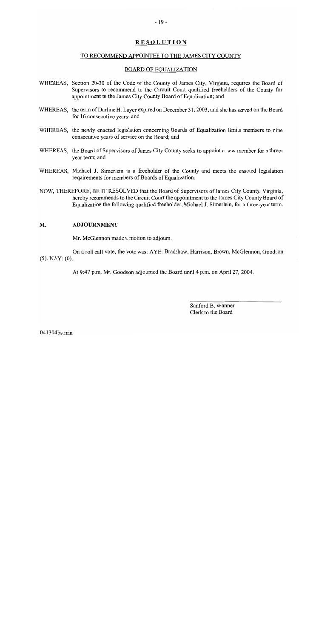# **RESOLUTION**

#### TO RECOMMEND APPOINTEE TO THE JAMES CITY COUNTY

#### **BOARD OF EQUALIZATION**

- WHEREAS, Section 20-30 of the Code of the County of James City, Virginia, requires the Board of Supervisors to recommend to the Circuit Court qualified freeholders of the County for appointment to the James City County Board of Equalization; and
- WHEREAS, the term of Darline H. Layer expired on December 31, 2003, and she has served on the Board for 16 consecutive years; and
- WHEREAS, the newly enacted legislation concerning Boards of Equalization limits members to nine consecutive years of service on the Board; and
- WHEREAS, the Board of Supervisors of James City County seeks to appoint a new member for a threeyear term; and
- WHEREAS, Michael J. Simerlein is a freeholder of the County and meets the enacted legislation requirements for members of Boards of Equalization.
- NOW, THEREFORE, BE IT RESOLVED that the Board of Supervisors of James City County, Virginia, hereby recommends to the Circuit Court the appointment to the James City County Board of Equalization the following qualified freeholder, Michael J. Simerlein, for a three-year term.

#### **ADJOURNMENT** M.

Mr. McGlennon made a motion to adjourn.

On a roll call vote, the vote was: AYE: Bradshaw, Harrison, Brown, McGlennon, Goodson  $(5)$ . NAY:  $(0)$ .

At 9:47 p.m. Mr. Goodson adjourned the Board until 4 p.m. on April 27, 2004.

Sanford B. Wanner Clerk to the Board

041304bs.min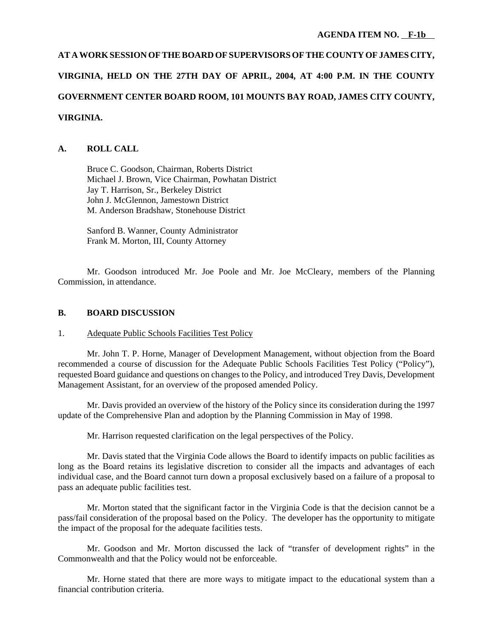# **AT A WORK SESSION OF THE BOARD OF SUPERVISORS OF THE COUNTY OF JAMES CITY, VIRGINIA, HELD ON THE 27TH DAY OF APRIL, 2004, AT 4:00 P.M. IN THE COUNTY GOVERNMENT CENTER BOARD ROOM, 101 MOUNTS BAY ROAD, JAMES CITY COUNTY, VIRGINIA.**

# **A. ROLL CALL**

Bruce C. Goodson, Chairman, Roberts District Michael J. Brown, Vice Chairman, Powhatan District Jay T. Harrison, Sr., Berkeley District John J. McGlennon, Jamestown District M. Anderson Bradshaw, Stonehouse District

Sanford B. Wanner, County Administrator Frank M. Morton, III, County Attorney

Mr. Goodson introduced Mr. Joe Poole and Mr. Joe McCleary, members of the Planning Commission, in attendance.

# **B. BOARD DISCUSSION**

### 1. Adequate Public Schools Facilities Test Policy

Mr. John T. P. Horne, Manager of Development Management, without objection from the Board recommended a course of discussion for the Adequate Public Schools Facilities Test Policy ("Policy"), requested Board guidance and questions on changes to the Policy, and introduced Trey Davis, Development Management Assistant, for an overview of the proposed amended Policy.

Mr. Davis provided an overview of the history of the Policy since its consideration during the 1997 update of the Comprehensive Plan and adoption by the Planning Commission in May of 1998.

Mr. Harrison requested clarification on the legal perspectives of the Policy.

Mr. Davis stated that the Virginia Code allows the Board to identify impacts on public facilities as long as the Board retains its legislative discretion to consider all the impacts and advantages of each individual case, and the Board cannot turn down a proposal exclusively based on a failure of a proposal to pass an adequate public facilities test.

Mr. Morton stated that the significant factor in the Virginia Code is that the decision cannot be a pass/fail consideration of the proposal based on the Policy. The developer has the opportunity to mitigate the impact of the proposal for the adequate facilities tests.

Mr. Goodson and Mr. Morton discussed the lack of "transfer of development rights" in the Commonwealth and that the Policy would not be enforceable.

Mr. Horne stated that there are more ways to mitigate impact to the educational system than a financial contribution criteria.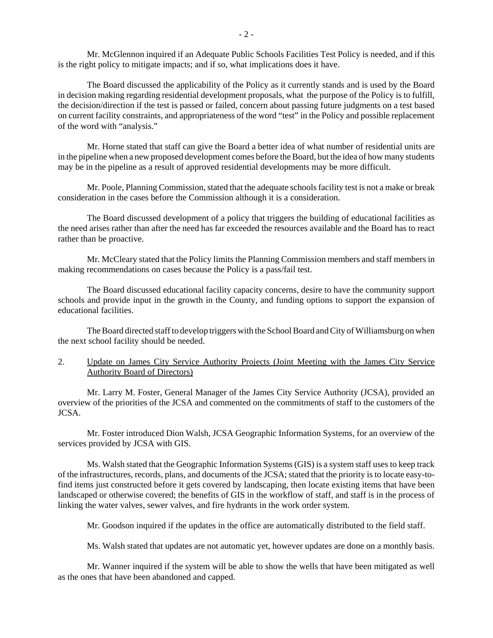Mr. McGlennon inquired if an Adequate Public Schools Facilities Test Policy is needed, and if this is the right policy to mitigate impacts; and if so, what implications does it have.

The Board discussed the applicability of the Policy as it currently stands and is used by the Board in decision making regarding residential development proposals, what the purpose of the Policy is to fulfill, the decision/direction if the test is passed or failed, concern about passing future judgments on a test based on current facility constraints, and appropriateness of the word "test" in the Policy and possible replacement of the word with "analysis."

Mr. Horne stated that staff can give the Board a better idea of what number of residential units are in the pipeline when a new proposed development comes before the Board, but the idea of how many students may be in the pipeline as a result of approved residential developments may be more difficult.

Mr. Poole, Planning Commission, stated that the adequate schools facility test is not a make or break consideration in the cases before the Commission although it is a consideration.

The Board discussed development of a policy that triggers the building of educational facilities as the need arises rather than after the need has far exceeded the resources available and the Board has to react rather than be proactive.

Mr. McCleary stated that the Policy limits the Planning Commission members and staff members in making recommendations on cases because the Policy is a pass/fail test.

The Board discussed educational facility capacity concerns, desire to have the community support schools and provide input in the growth in the County, and funding options to support the expansion of educational facilities.

The Board directed staff to develop triggers with the School Board and City of Williamsburg on when the next school facility should be needed.

# 2. Update on James City Service Authority Projects (Joint Meeting with the James City Service Authority Board of Directors)

Mr. Larry M. Foster, General Manager of the James City Service Authority (JCSA), provided an overview of the priorities of the JCSA and commented on the commitments of staff to the customers of the JCSA.

Mr. Foster introduced Dion Walsh, JCSA Geographic Information Systems, for an overview of the services provided by JCSA with GIS.

Ms. Walsh stated that the Geographic Information Systems (GIS) is a system staff uses to keep track of the infrastructures, records, plans, and documents of the JCSA; stated that the priority is to locate easy-tofind items just constructed before it gets covered by landscaping, then locate existing items that have been landscaped or otherwise covered; the benefits of GIS in the workflow of staff, and staff is in the process of linking the water valves, sewer valves, and fire hydrants in the work order system.

Mr. Goodson inquired if the updates in the office are automatically distributed to the field staff.

Ms. Walsh stated that updates are not automatic yet, however updates are done on a monthly basis.

Mr. Wanner inquired if the system will be able to show the wells that have been mitigated as well as the ones that have been abandoned and capped.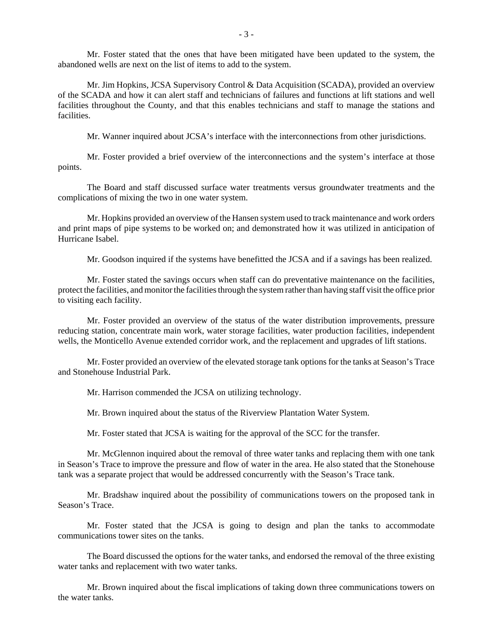Mr. Foster stated that the ones that have been mitigated have been updated to the system, the abandoned wells are next on the list of items to add to the system.

Mr. Jim Hopkins, JCSA Supervisory Control & Data Acquisition (SCADA), provided an overview of the SCADA and how it can alert staff and technicians of failures and functions at lift stations and well facilities throughout the County, and that this enables technicians and staff to manage the stations and facilities.

Mr. Wanner inquired about JCSA's interface with the interconnections from other jurisdictions.

Mr. Foster provided a brief overview of the interconnections and the system's interface at those points.

The Board and staff discussed surface water treatments versus groundwater treatments and the complications of mixing the two in one water system.

Mr. Hopkins provided an overview of the Hansen system used to track maintenance and work orders and print maps of pipe systems to be worked on; and demonstrated how it was utilized in anticipation of Hurricane Isabel.

Mr. Goodson inquired if the systems have benefitted the JCSA and if a savings has been realized.

Mr. Foster stated the savings occurs when staff can do preventative maintenance on the facilities, protect the facilities, and monitor the facilities through the system rather than having staff visit the office prior to visiting each facility.

Mr. Foster provided an overview of the status of the water distribution improvements, pressure reducing station, concentrate main work, water storage facilities, water production facilities, independent wells, the Monticello Avenue extended corridor work, and the replacement and upgrades of lift stations.

Mr. Foster provided an overview of the elevated storage tank options for the tanks at Season's Trace and Stonehouse Industrial Park.

Mr. Harrison commended the JCSA on utilizing technology.

Mr. Brown inquired about the status of the Riverview Plantation Water System.

Mr. Foster stated that JCSA is waiting for the approval of the SCC for the transfer.

Mr. McGlennon inquired about the removal of three water tanks and replacing them with one tank in Season's Trace to improve the pressure and flow of water in the area. He also stated that the Stonehouse tank was a separate project that would be addressed concurrently with the Season's Trace tank.

Mr. Bradshaw inquired about the possibility of communications towers on the proposed tank in Season's Trace.

Mr. Foster stated that the JCSA is going to design and plan the tanks to accommodate communications tower sites on the tanks.

The Board discussed the options for the water tanks, and endorsed the removal of the three existing water tanks and replacement with two water tanks.

Mr. Brown inquired about the fiscal implications of taking down three communications towers on the water tanks.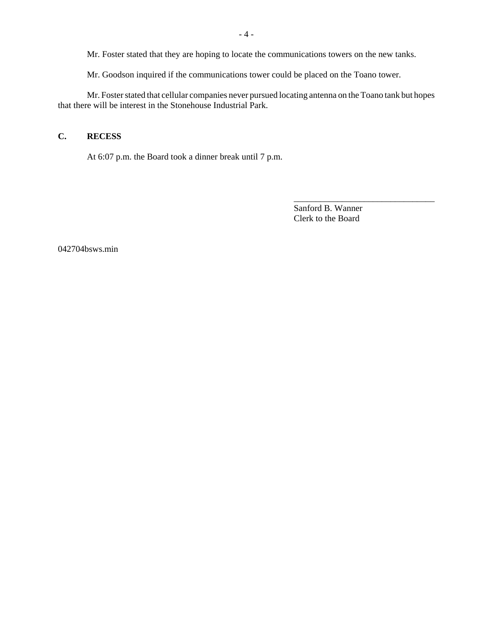Mr. Foster stated that they are hoping to locate the communications towers on the new tanks.

Mr. Goodson inquired if the communications tower could be placed on the Toano tower.

Mr. Foster stated that cellular companies never pursued locating antenna on the Toano tank but hopes that there will be interest in the Stonehouse Industrial Park.

# **C. RECESS**

At 6:07 p.m. the Board took a dinner break until 7 p.m.

Sanford B. Wanner Clerk to the Board

\_\_\_\_\_\_\_\_\_\_\_\_\_\_\_\_\_\_\_\_\_\_\_\_\_\_\_\_\_\_\_\_

042704bsws.min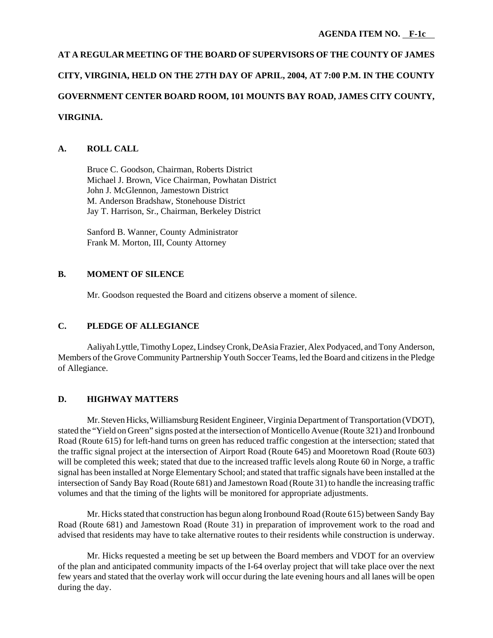# **AT A REGULAR MEETING OF THE BOARD OF SUPERVISORS OF THE COUNTY OF JAMES CITY, VIRGINIA, HELD ON THE 27TH DAY OF APRIL, 2004, AT 7:00 P.M. IN THE COUNTY GOVERNMENT CENTER BOARD ROOM, 101 MOUNTS BAY ROAD, JAMES CITY COUNTY, VIRGINIA.**

# **A. ROLL CALL**

Bruce C. Goodson, Chairman, Roberts District Michael J. Brown, Vice Chairman, Powhatan District John J. McGlennon, Jamestown District M. Anderson Bradshaw, Stonehouse District Jay T. Harrison, Sr., Chairman, Berkeley District

Sanford B. Wanner, County Administrator Frank M. Morton, III, County Attorney

# **B. MOMENT OF SILENCE**

Mr. Goodson requested the Board and citizens observe a moment of silence.

# **C. PLEDGE OF ALLEGIANCE**

Aaliyah Lyttle, Timothy Lopez, Lindsey Cronk, DeAsia Frazier, Alex Podyaced, and Tony Anderson, Members of the Grove Community Partnership Youth Soccer Teams, led the Board and citizens in the Pledge of Allegiance.

# **D. HIGHWAY MATTERS**

Mr. Steven Hicks, Williamsburg Resident Engineer, Virginia Department of Transportation (VDOT), stated the "Yield on Green" signs posted at the intersection of Monticello Avenue (Route 321) and Ironbound Road (Route 615) for left-hand turns on green has reduced traffic congestion at the intersection; stated that the traffic signal project at the intersection of Airport Road (Route 645) and Mooretown Road (Route 603) will be completed this week; stated that due to the increased traffic levels along Route 60 in Norge, a traffic signal has been installed at Norge Elementary School; and stated that traffic signals have been installed at the intersection of Sandy Bay Road (Route 681) and Jamestown Road (Route 31) to handle the increasing traffic volumes and that the timing of the lights will be monitored for appropriate adjustments.

Mr. Hicks stated that construction has begun along Ironbound Road (Route 615) between Sandy Bay Road (Route 681) and Jamestown Road (Route 31) in preparation of improvement work to the road and advised that residents may have to take alternative routes to their residents while construction is underway.

Mr. Hicks requested a meeting be set up between the Board members and VDOT for an overview of the plan and anticipated community impacts of the I-64 overlay project that will take place over the next few years and stated that the overlay work will occur during the late evening hours and all lanes will be open during the day.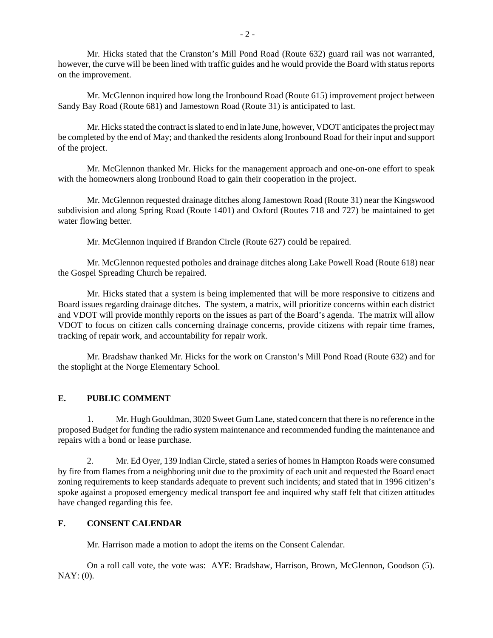Mr. Hicks stated that the Cranston's Mill Pond Road (Route 632) guard rail was not warranted, however, the curve will be been lined with traffic guides and he would provide the Board with status reports on the improvement.

Mr. McGlennon inquired how long the Ironbound Road (Route 615) improvement project between Sandy Bay Road (Route 681) and Jamestown Road (Route 31) is anticipated to last.

Mr. Hicks stated the contract is slated to end in late June, however, VDOT anticipates the project may be completed by the end of May; and thanked the residents along Ironbound Road for their input and support of the project.

Mr. McGlennon thanked Mr. Hicks for the management approach and one-on-one effort to speak with the homeowners along Ironbound Road to gain their cooperation in the project.

Mr. McGlennon requested drainage ditches along Jamestown Road (Route 31) near the Kingswood subdivision and along Spring Road (Route 1401) and Oxford (Routes 718 and 727) be maintained to get water flowing better.

Mr. McGlennon inquired if Brandon Circle (Route 627) could be repaired.

Mr. McGlennon requested potholes and drainage ditches along Lake Powell Road (Route 618) near the Gospel Spreading Church be repaired.

Mr. Hicks stated that a system is being implemented that will be more responsive to citizens and Board issues regarding drainage ditches. The system, a matrix, will prioritize concerns within each district and VDOT will provide monthly reports on the issues as part of the Board's agenda. The matrix will allow VDOT to focus on citizen calls concerning drainage concerns, provide citizens with repair time frames, tracking of repair work, and accountability for repair work.

Mr. Bradshaw thanked Mr. Hicks for the work on Cranston's Mill Pond Road (Route 632) and for the stoplight at the Norge Elementary School.

# **E. PUBLIC COMMENT**

1. Mr. Hugh Gouldman, 3020 Sweet Gum Lane, stated concern that there is no reference in the proposed Budget for funding the radio system maintenance and recommended funding the maintenance and repairs with a bond or lease purchase.

2. Mr. Ed Oyer, 139 Indian Circle, stated a series of homes in Hampton Roads were consumed by fire from flames from a neighboring unit due to the proximity of each unit and requested the Board enact zoning requirements to keep standards adequate to prevent such incidents; and stated that in 1996 citizen's spoke against a proposed emergency medical transport fee and inquired why staff felt that citizen attitudes have changed regarding this fee.

# **F. CONSENT CALENDAR**

Mr. Harrison made a motion to adopt the items on the Consent Calendar.

On a roll call vote, the vote was: AYE: Bradshaw, Harrison, Brown, McGlennon, Goodson (5). NAY: (0).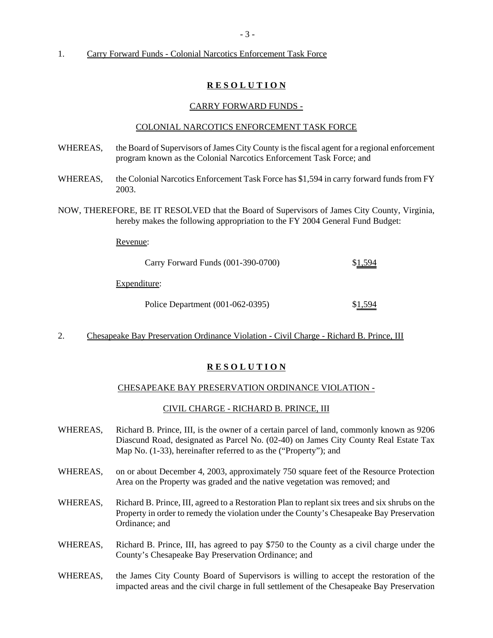### 1. Carry Forward Funds - Colonial Narcotics Enforcement Task Force

## **R E S O L U T I O N**

#### CARRY FORWARD FUNDS -

#### COLONIAL NARCOTICS ENFORCEMENT TASK FORCE

- WHEREAS, the Board of Supervisors of James City County is the fiscal agent for a regional enforcement program known as the Colonial Narcotics Enforcement Task Force; and
- WHEREAS, the Colonial Narcotics Enforcement Task Force has \$1,594 in carry forward funds from FY 2003.
- NOW, THEREFORE, BE IT RESOLVED that the Board of Supervisors of James City County, Virginia, hereby makes the following appropriation to the FY 2004 General Fund Budget:

Revenue:

| Carry Forward Funds (001-390-0700) | \$1,594 |
|------------------------------------|---------|
| Expenditure:                       |         |
| Police Department (001-062-0395)   | \$1,594 |

2. Chesapeake Bay Preservation Ordinance Violation - Civil Charge - Richard B. Prince, III

### **R E S O L U T I O N**

#### CHESAPEAKE BAY PRESERVATION ORDINANCE VIOLATION -

#### CIVIL CHARGE - RICHARD B. PRINCE, III

- WHEREAS, Richard B. Prince, III, is the owner of a certain parcel of land, commonly known as 9206 Diascund Road, designated as Parcel No. (02-40) on James City County Real Estate Tax Map No. (1-33), hereinafter referred to as the ("Property"); and
- WHEREAS, on or about December 4, 2003, approximately 750 square feet of the Resource Protection Area on the Property was graded and the native vegetation was removed; and
- WHEREAS, Richard B. Prince, III, agreed to a Restoration Plan to replant six trees and six shrubs on the Property in order to remedy the violation under the County's Chesapeake Bay Preservation Ordinance; and
- WHEREAS, Richard B. Prince, III, has agreed to pay \$750 to the County as a civil charge under the County's Chesapeake Bay Preservation Ordinance; and
- WHEREAS, the James City County Board of Supervisors is willing to accept the restoration of the impacted areas and the civil charge in full settlement of the Chesapeake Bay Preservation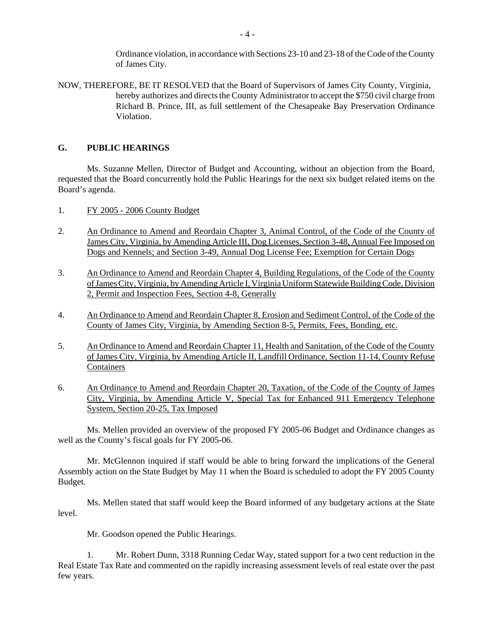Ordinance violation, in accordance with Sections 23-10 and 23-18 of the Code of the County of James City.

NOW, THEREFORE, BE IT RESOLVED that the Board of Supervisors of James City County, Virginia, hereby authorizes and directs the County Administrator to accept the \$750 civil charge from Richard B. Prince, III, as full settlement of the Chesapeake Bay Preservation Ordinance Violation.

# **G. PUBLIC HEARINGS**

Ms. Suzanne Mellen, Director of Budget and Accounting, without an objection from the Board, requested that the Board concurrently hold the Public Hearings for the next six budget related items on the Board's agenda.

- 1. FY 2005 2006 County Budget
- 2. An Ordinance to Amend and Reordain Chapter 3, Animal Control, of the Code of the County of James City, Virginia, by Amending Article III, Dog Licenses, Section 3-48, Annual Fee Imposed on Dogs and Kennels; and Section 3-49, Annual Dog License Fee; Exemption for Certain Dogs
- 3. An Ordinance to Amend and Reordain Chapter 4, Building Regulations, of the Code of the County of James City, Virginia, by Amending Article I, Virginia Uniform Statewide Building Code, Division 2, Permit and Inspection Fees, Section 4-8, Generally
- 4. An Ordinance to Amend and Reordain Chapter 8, Erosion and Sediment Control, of the Code of the County of James City, Virginia, by Amending Section 8-5, Permits, Fees, Bonding, etc.
- 5. An Ordinance to Amend and Reordain Chapter 11, Health and Sanitation, of the Code of the County of James City, Virginia, by Amending Article II, Landfill Ordinance, Section 11-14, County Refuse **Containers**
- 6. An Ordinance to Amend and Reordain Chapter 20, Taxation, of the Code of the County of James City, Virginia, by Amending Article V, Special Tax for Enhanced 911 Emergency Telephone System, Section 20-25, Tax Imposed

Ms. Mellen provided an overview of the proposed FY 2005-06 Budget and Ordinance changes as well as the County's fiscal goals for FY 2005-06.

Mr. McGlennon inquired if staff would be able to bring forward the implications of the General Assembly action on the State Budget by May 11 when the Board is scheduled to adopt the FY 2005 County Budget.

Ms. Mellen stated that staff would keep the Board informed of any budgetary actions at the State level.

Mr. Goodson opened the Public Hearings.

1. Mr. Robert Dunn, 3318 Running Cedar Way, stated support for a two cent reduction in the Real Estate Tax Rate and commented on the rapidly increasing assessment levels of real estate over the past few years.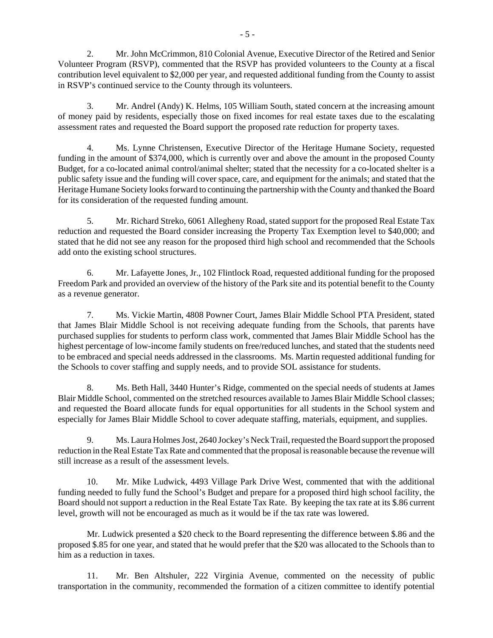2. Mr. John McCrimmon, 810 Colonial Avenue, Executive Director of the Retired and Senior Volunteer Program (RSVP), commented that the RSVP has provided volunteers to the County at a fiscal contribution level equivalent to \$2,000 per year, and requested additional funding from the County to assist in RSVP's continued service to the County through its volunteers.

3. Mr. Andrel (Andy) K. Helms, 105 William South, stated concern at the increasing amount of money paid by residents, especially those on fixed incomes for real estate taxes due to the escalating assessment rates and requested the Board support the proposed rate reduction for property taxes.

4. Ms. Lynne Christensen, Executive Director of the Heritage Humane Society, requested funding in the amount of \$374,000, which is currently over and above the amount in the proposed County Budget, for a co-located animal control/animal shelter; stated that the necessity for a co-located shelter is a public safety issue and the funding will cover space, care, and equipment for the animals; and stated that the Heritage Humane Society looks forward to continuing the partnership with the County and thanked the Board for its consideration of the requested funding amount.

5. Mr. Richard Streko, 6061 Allegheny Road, stated support for the proposed Real Estate Tax reduction and requested the Board consider increasing the Property Tax Exemption level to \$40,000; and stated that he did not see any reason for the proposed third high school and recommended that the Schools add onto the existing school structures.

6. Mr. Lafayette Jones, Jr., 102 Flintlock Road, requested additional funding for the proposed Freedom Park and provided an overview of the history of the Park site and its potential benefit to the County as a revenue generator.

7. Ms. Vickie Martin, 4808 Powner Court, James Blair Middle School PTA President, stated that James Blair Middle School is not receiving adequate funding from the Schools, that parents have purchased supplies for students to perform class work, commented that James Blair Middle School has the highest percentage of low-income family students on free/reduced lunches, and stated that the students need to be embraced and special needs addressed in the classrooms. Ms. Martin requested additional funding for the Schools to cover staffing and supply needs, and to provide SOL assistance for students.

8. Ms. Beth Hall, 3440 Hunter's Ridge, commented on the special needs of students at James Blair Middle School, commented on the stretched resources available to James Blair Middle School classes; and requested the Board allocate funds for equal opportunities for all students in the School system and especially for James Blair Middle School to cover adequate staffing, materials, equipment, and supplies.

9. Ms. Laura Holmes Jost, 2640 Jockey's Neck Trail, requested the Board support the proposed reduction in the Real Estate Tax Rate and commented that the proposal is reasonable because the revenue will still increase as a result of the assessment levels.

10. Mr. Mike Ludwick, 4493 Village Park Drive West, commented that with the additional funding needed to fully fund the School's Budget and prepare for a proposed third high school facility, the Board should not support a reduction in the Real Estate Tax Rate. By keeping the tax rate at its \$.86 current level, growth will not be encouraged as much as it would be if the tax rate was lowered.

Mr. Ludwick presented a \$20 check to the Board representing the difference between \$.86 and the proposed \$.85 for one year, and stated that he would prefer that the \$20 was allocated to the Schools than to him as a reduction in taxes.

11. Mr. Ben Altshuler, 222 Virginia Avenue, commented on the necessity of public transportation in the community, recommended the formation of a citizen committee to identify potential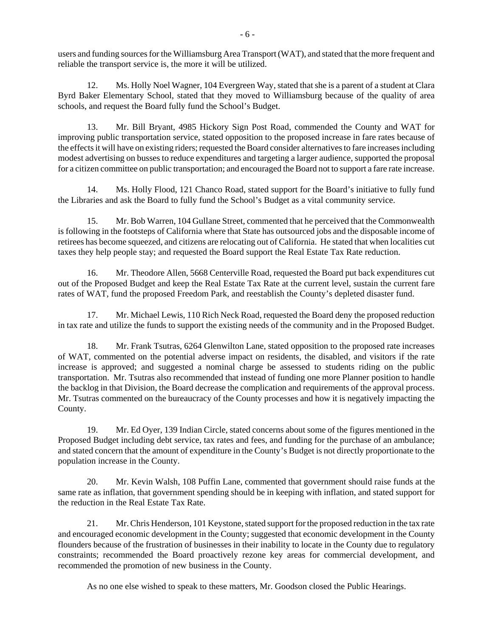users and funding sources for the Williamsburg Area Transport (WAT), and stated that the more frequent and reliable the transport service is, the more it will be utilized.

12. Ms. Holly Noel Wagner, 104 Evergreen Way, stated that she is a parent of a student at Clara Byrd Baker Elementary School, stated that they moved to Williamsburg because of the quality of area schools, and request the Board fully fund the School's Budget.

13. Mr. Bill Bryant, 4985 Hickory Sign Post Road, commended the County and WAT for improving public transportation service, stated opposition to the proposed increase in fare rates because of the effects it will have on existing riders; requested the Board consider alternatives to fare increases including modest advertising on busses to reduce expenditures and targeting a larger audience, supported the proposal for a citizen committee on public transportation; and encouraged the Board not to support a fare rate increase.

14. Ms. Holly Flood, 121 Chanco Road, stated support for the Board's initiative to fully fund the Libraries and ask the Board to fully fund the School's Budget as a vital community service.

15. Mr. Bob Warren, 104 Gullane Street, commented that he perceived that the Commonwealth is following in the footsteps of California where that State has outsourced jobs and the disposable income of retirees has become squeezed, and citizens are relocating out of California. He stated that when localities cut taxes they help people stay; and requested the Board support the Real Estate Tax Rate reduction.

16. Mr. Theodore Allen, 5668 Centerville Road, requested the Board put back expenditures cut out of the Proposed Budget and keep the Real Estate Tax Rate at the current level, sustain the current fare rates of WAT, fund the proposed Freedom Park, and reestablish the County's depleted disaster fund.

17. Mr. Michael Lewis, 110 Rich Neck Road, requested the Board deny the proposed reduction in tax rate and utilize the funds to support the existing needs of the community and in the Proposed Budget.

18. Mr. Frank Tsutras, 6264 Glenwilton Lane, stated opposition to the proposed rate increases of WAT, commented on the potential adverse impact on residents, the disabled, and visitors if the rate increase is approved; and suggested a nominal charge be assessed to students riding on the public transportation. Mr. Tsutras also recommended that instead of funding one more Planner position to handle the backlog in that Division, the Board decrease the complication and requirements of the approval process. Mr. Tsutras commented on the bureaucracy of the County processes and how it is negatively impacting the County.

19. Mr. Ed Oyer, 139 Indian Circle, stated concerns about some of the figures mentioned in the Proposed Budget including debt service, tax rates and fees, and funding for the purchase of an ambulance; and stated concern that the amount of expenditure in the County's Budget is not directly proportionate to the population increase in the County.

20. Mr. Kevin Walsh, 108 Puffin Lane, commented that government should raise funds at the same rate as inflation, that government spending should be in keeping with inflation, and stated support for the reduction in the Real Estate Tax Rate.

21. Mr. Chris Henderson, 101 Keystone, stated support for the proposed reduction in the tax rate and encouraged economic development in the County; suggested that economic development in the County flounders because of the frustration of businesses in their inability to locate in the County due to regulatory constraints; recommended the Board proactively rezone key areas for commercial development, and recommended the promotion of new business in the County.

As no one else wished to speak to these matters, Mr. Goodson closed the Public Hearings.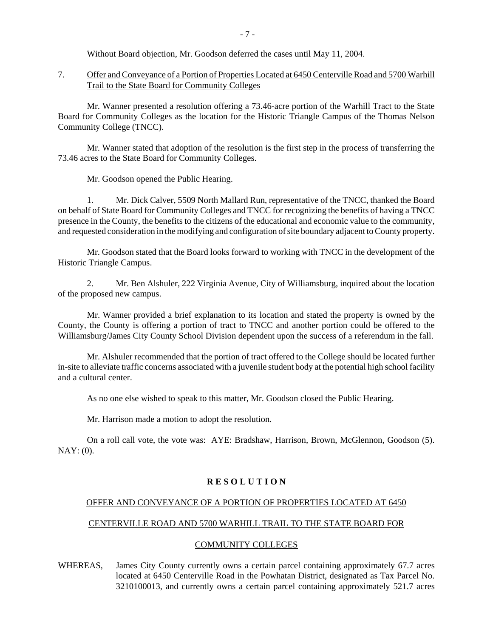Without Board objection, Mr. Goodson deferred the cases until May 11, 2004.

7. Offer and Conveyance of a Portion of Properties Located at 6450 Centerville Road and 5700 Warhill Trail to the State Board for Community Colleges

Mr. Wanner presented a resolution offering a 73.46-acre portion of the Warhill Tract to the State Board for Community Colleges as the location for the Historic Triangle Campus of the Thomas Nelson Community College (TNCC).

Mr. Wanner stated that adoption of the resolution is the first step in the process of transferring the 73.46 acres to the State Board for Community Colleges.

Mr. Goodson opened the Public Hearing.

1. Mr. Dick Calver, 5509 North Mallard Run, representative of the TNCC, thanked the Board on behalf of State Board for Community Colleges and TNCC for recognizing the benefits of having a TNCC presence in the County, the benefits to the citizens of the educational and economic value to the community, and requested consideration in the modifying and configuration of site boundary adjacent to County property.

Mr. Goodson stated that the Board looks forward to working with TNCC in the development of the Historic Triangle Campus.

2. Mr. Ben Alshuler, 222 Virginia Avenue, City of Williamsburg, inquired about the location of the proposed new campus.

Mr. Wanner provided a brief explanation to its location and stated the property is owned by the County, the County is offering a portion of tract to TNCC and another portion could be offered to the Williamsburg/James City County School Division dependent upon the success of a referendum in the fall.

Mr. Alshuler recommended that the portion of tract offered to the College should be located further in-site to alleviate traffic concerns associated with a juvenile student body at the potential high school facility and a cultural center.

As no one else wished to speak to this matter, Mr. Goodson closed the Public Hearing.

Mr. Harrison made a motion to adopt the resolution.

On a roll call vote, the vote was: AYE: Bradshaw, Harrison, Brown, McGlennon, Goodson (5).  $NAY: (0)$ .

# **R E S O L U T I O N**

### OFFER AND CONVEYANCE OF A PORTION OF PROPERTIES LOCATED AT 6450

# CENTERVILLE ROAD AND 5700 WARHILL TRAIL TO THE STATE BOARD FOR

### COMMUNITY COLLEGES

WHEREAS, James City County currently owns a certain parcel containing approximately 67.7 acres located at 6450 Centerville Road in the Powhatan District, designated as Tax Parcel No. 3210100013, and currently owns a certain parcel containing approximately 521.7 acres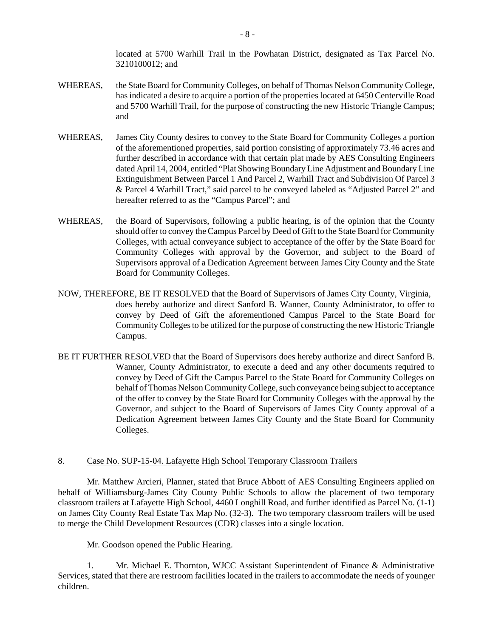located at 5700 Warhill Trail in the Powhatan District, designated as Tax Parcel No. 3210100012; and

- WHEREAS, the State Board for Community Colleges, on behalf of Thomas Nelson Community College, has indicated a desire to acquire a portion of the properties located at 6450 Centerville Road and 5700 Warhill Trail, for the purpose of constructing the new Historic Triangle Campus; and
- WHEREAS, James City County desires to convey to the State Board for Community Colleges a portion of the aforementioned properties, said portion consisting of approximately 73.46 acres and further described in accordance with that certain plat made by AES Consulting Engineers dated April 14, 2004, entitled "Plat Showing Boundary Line Adjustment and Boundary Line Extinguishment Between Parcel 1 And Parcel 2, Warhill Tract and Subdivision Of Parcel 3 & Parcel 4 Warhill Tract," said parcel to be conveyed labeled as "Adjusted Parcel 2" and hereafter referred to as the "Campus Parcel"; and
- WHEREAS, the Board of Supervisors, following a public hearing, is of the opinion that the County should offer to convey the Campus Parcel by Deed of Gift to the State Board for Community Colleges, with actual conveyance subject to acceptance of the offer by the State Board for Community Colleges with approval by the Governor, and subject to the Board of Supervisors approval of a Dedication Agreement between James City County and the State Board for Community Colleges.
- NOW, THEREFORE, BE IT RESOLVED that the Board of Supervisors of James City County, Virginia, does hereby authorize and direct Sanford B. Wanner, County Administrator, to offer to convey by Deed of Gift the aforementioned Campus Parcel to the State Board for Community Colleges to be utilized for the purpose of constructing the new Historic Triangle Campus.
- BE IT FURTHER RESOLVED that the Board of Supervisors does hereby authorize and direct Sanford B. Wanner, County Administrator, to execute a deed and any other documents required to convey by Deed of Gift the Campus Parcel to the State Board for Community Colleges on behalf of Thomas Nelson Community College, such conveyance being subject to acceptance of the offer to convey by the State Board for Community Colleges with the approval by the Governor, and subject to the Board of Supervisors of James City County approval of a Dedication Agreement between James City County and the State Board for Community Colleges.

### 8. Case No. SUP-15-04. Lafayette High School Temporary Classroom Trailers

Mr. Matthew Arcieri, Planner, stated that Bruce Abbott of AES Consulting Engineers applied on behalf of Williamsburg-James City County Public Schools to allow the placement of two temporary classroom trailers at Lafayette High School, 4460 Longhill Road, and further identified as Parcel No. (1-1) on James City County Real Estate Tax Map No. (32-3). The two temporary classroom trailers will be used to merge the Child Development Resources (CDR) classes into a single location.

Mr. Goodson opened the Public Hearing.

1. Mr. Michael E. Thornton, WJCC Assistant Superintendent of Finance & Administrative Services, stated that there are restroom facilities located in the trailers to accommodate the needs of younger children.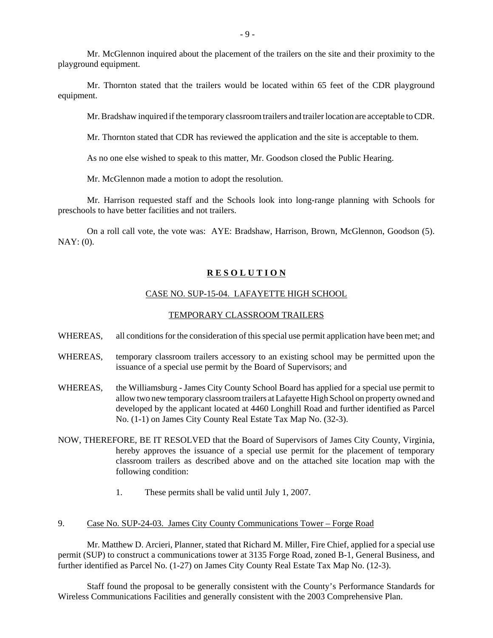Mr. McGlennon inquired about the placement of the trailers on the site and their proximity to the playground equipment.

Mr. Thornton stated that the trailers would be located within 65 feet of the CDR playground equipment.

Mr. Bradshaw inquired if the temporary classroom trailers and trailer location are acceptable to CDR.

Mr. Thornton stated that CDR has reviewed the application and the site is acceptable to them.

As no one else wished to speak to this matter, Mr. Goodson closed the Public Hearing.

Mr. McGlennon made a motion to adopt the resolution.

Mr. Harrison requested staff and the Schools look into long-range planning with Schools for preschools to have better facilities and not trailers.

On a roll call vote, the vote was: AYE: Bradshaw, Harrison, Brown, McGlennon, Goodson (5). NAY: (0).

#### **R E S O L U T I O N**

#### CASE NO. SUP-15-04. LAFAYETTE HIGH SCHOOL

#### TEMPORARY CLASSROOM TRAILERS

- WHEREAS, all conditions for the consideration of this special use permit application have been met; and
- WHEREAS, temporary classroom trailers accessory to an existing school may be permitted upon the issuance of a special use permit by the Board of Supervisors; and
- WHEREAS, the Williamsburg James City County School Board has applied for a special use permit to allow two new temporary classroom trailers at Lafayette High School on property owned and developed by the applicant located at 4460 Longhill Road and further identified as Parcel No. (1-1) on James City County Real Estate Tax Map No. (32-3).
- NOW, THEREFORE, BE IT RESOLVED that the Board of Supervisors of James City County, Virginia, hereby approves the issuance of a special use permit for the placement of temporary classroom trailers as described above and on the attached site location map with the following condition:
	- 1. These permits shall be valid until July 1, 2007.

## 9. Case No. SUP-24-03. James City County Communications Tower – Forge Road

Mr. Matthew D. Arcieri, Planner, stated that Richard M. Miller, Fire Chief, applied for a special use permit (SUP) to construct a communications tower at 3135 Forge Road, zoned B-1, General Business, and further identified as Parcel No. (1-27) on James City County Real Estate Tax Map No. (12-3).

Staff found the proposal to be generally consistent with the County's Performance Standards for Wireless Communications Facilities and generally consistent with the 2003 Comprehensive Plan.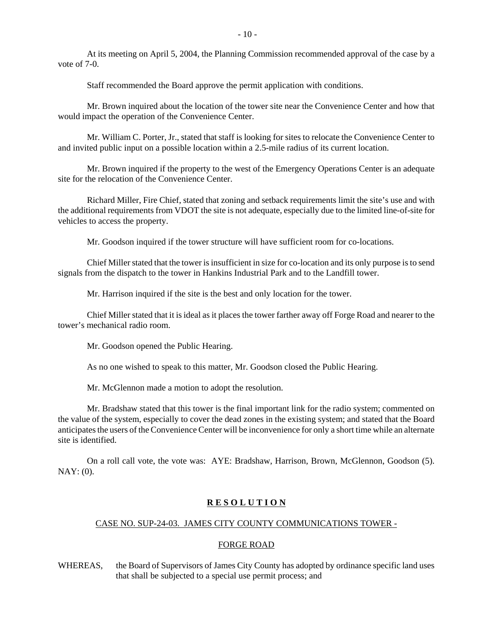At its meeting on April 5, 2004, the Planning Commission recommended approval of the case by a vote of 7-0.

Staff recommended the Board approve the permit application with conditions.

Mr. Brown inquired about the location of the tower site near the Convenience Center and how that would impact the operation of the Convenience Center.

Mr. William C. Porter, Jr., stated that staff is looking for sites to relocate the Convenience Center to and invited public input on a possible location within a 2.5-mile radius of its current location.

Mr. Brown inquired if the property to the west of the Emergency Operations Center is an adequate site for the relocation of the Convenience Center.

Richard Miller, Fire Chief, stated that zoning and setback requirements limit the site's use and with the additional requirements from VDOT the site is not adequate, especially due to the limited line-of-site for vehicles to access the property.

Mr. Goodson inquired if the tower structure will have sufficient room for co-locations.

Chief Miller stated that the tower is insufficient in size for co-location and its only purpose is to send signals from the dispatch to the tower in Hankins Industrial Park and to the Landfill tower.

Mr. Harrison inquired if the site is the best and only location for the tower.

Chief Miller stated that it is ideal as it places the tower farther away off Forge Road and nearer to the tower's mechanical radio room.

Mr. Goodson opened the Public Hearing.

As no one wished to speak to this matter, Mr. Goodson closed the Public Hearing.

Mr. McGlennon made a motion to adopt the resolution.

Mr. Bradshaw stated that this tower is the final important link for the radio system; commented on the value of the system, especially to cover the dead zones in the existing system; and stated that the Board anticipates the users of the Convenience Center will be inconvenience for only a short time while an alternate site is identified.

On a roll call vote, the vote was: AYE: Bradshaw, Harrison, Brown, McGlennon, Goodson (5). NAY: (0).

## **R E S O L U T I O N**

# CASE NO. SUP-24-03. JAMES CITY COUNTY COMMUNICATIONS TOWER -

#### FORGE ROAD

WHEREAS, the Board of Supervisors of James City County has adopted by ordinance specific land uses that shall be subjected to a special use permit process; and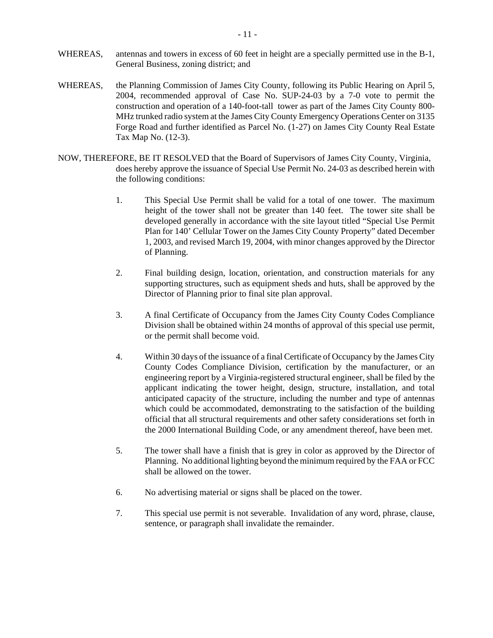- WHEREAS, antennas and towers in excess of 60 feet in height are a specially permitted use in the B-1, General Business, zoning district; and
- WHEREAS, the Planning Commission of James City County, following its Public Hearing on April 5, 2004, recommended approval of Case No. SUP-24-03 by a 7-0 vote to permit the construction and operation of a 140-foot-tall tower as part of the James City County 800- MHz trunked radio system at the James City County Emergency Operations Center on 3135 Forge Road and further identified as Parcel No. (1-27) on James City County Real Estate Tax Map No. (12-3).
- NOW, THEREFORE, BE IT RESOLVED that the Board of Supervisors of James City County, Virginia, does hereby approve the issuance of Special Use Permit No. 24-03 as described herein with the following conditions:
	- 1. This Special Use Permit shall be valid for a total of one tower. The maximum height of the tower shall not be greater than 140 feet. The tower site shall be developed generally in accordance with the site layout titled "Special Use Permit Plan for 140' Cellular Tower on the James City County Property" dated December 1, 2003, and revised March 19, 2004, with minor changes approved by the Director of Planning.
	- 2. Final building design, location, orientation, and construction materials for any supporting structures, such as equipment sheds and huts, shall be approved by the Director of Planning prior to final site plan approval.
	- 3. A final Certificate of Occupancy from the James City County Codes Compliance Division shall be obtained within 24 months of approval of this special use permit, or the permit shall become void.
	- 4. Within 30 days of the issuance of a final Certificate of Occupancy by the James City County Codes Compliance Division, certification by the manufacturer, or an engineering report by a Virginia-registered structural engineer, shall be filed by the applicant indicating the tower height, design, structure, installation, and total anticipated capacity of the structure, including the number and type of antennas which could be accommodated, demonstrating to the satisfaction of the building official that all structural requirements and other safety considerations set forth in the 2000 International Building Code, or any amendment thereof, have been met.
	- 5. The tower shall have a finish that is grey in color as approved by the Director of Planning. No additional lighting beyond the minimum required by the FAA or FCC shall be allowed on the tower.
	- 6. No advertising material or signs shall be placed on the tower.
	- 7. This special use permit is not severable. Invalidation of any word, phrase, clause, sentence, or paragraph shall invalidate the remainder.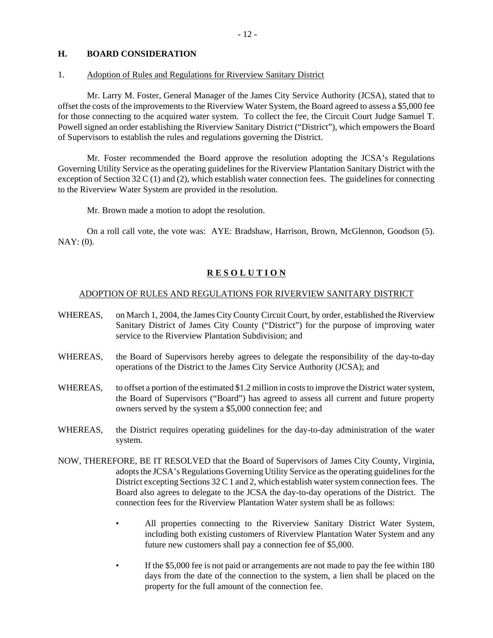#### **H. BOARD CONSIDERATION**

#### 1. Adoption of Rules and Regulations for Riverview Sanitary District

Mr. Larry M. Foster, General Manager of the James City Service Authority (JCSA), stated that to offset the costs of the improvements to the Riverview Water System, the Board agreed to assess a \$5,000 fee for those connecting to the acquired water system. To collect the fee, the Circuit Court Judge Samuel T. Powell signed an order establishing the Riverview Sanitary District ("District"), which empowers the Board of Supervisors to establish the rules and regulations governing the District.

Mr. Foster recommended the Board approve the resolution adopting the JCSA's Regulations Governing Utility Service as the operating guidelines for the Riverview Plantation Sanitary District with the exception of Section 32 C (1) and (2), which establish water connection fees. The guidelines for connecting to the Riverview Water System are provided in the resolution.

Mr. Brown made a motion to adopt the resolution.

On a roll call vote, the vote was: AYE: Bradshaw, Harrison, Brown, McGlennon, Goodson (5). NAY: (0).

#### **R E S O L U T I O N**

#### ADOPTION OF RULES AND REGULATIONS FOR RIVERVIEW SANITARY DISTRICT

- WHEREAS, on March 1, 2004, the James City County Circuit Court, by order, established the Riverview Sanitary District of James City County ("District") for the purpose of improving water service to the Riverview Plantation Subdivision; and
- WHEREAS, the Board of Supervisors hereby agrees to delegate the responsibility of the day-to-day operations of the District to the James City Service Authority (JCSA); and
- WHEREAS, to offset a portion of the estimated \$1.2 million in costs to improve the District water system, the Board of Supervisors ("Board") has agreed to assess all current and future property owners served by the system a \$5,000 connection fee; and
- WHEREAS, the District requires operating guidelines for the day-to-day administration of the water system.
- NOW, THEREFORE, BE IT RESOLVED that the Board of Supervisors of James City County, Virginia, adopts the JCSA's Regulations Governing Utility Service as the operating guidelines for the District excepting Sections 32 C 1 and 2, which establish water system connection fees. The Board also agrees to delegate to the JCSA the day-to-day operations of the District. The connection fees for the Riverview Plantation Water system shall be as follows:
	- All properties connecting to the Riverview Sanitary District Water System, including both existing customers of Riverview Plantation Water System and any future new customers shall pay a connection fee of \$5,000.
	- If the \$5,000 fee is not paid or arrangements are not made to pay the fee within 180 days from the date of the connection to the system, a lien shall be placed on the property for the full amount of the connection fee.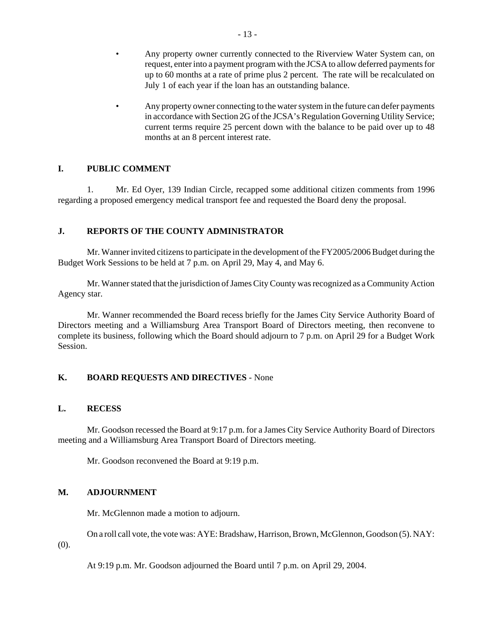- Any property owner currently connected to the Riverview Water System can, on request, enter into a payment program with the JCSA to allow deferred payments for up to 60 months at a rate of prime plus 2 percent. The rate will be recalculated on July 1 of each year if the loan has an outstanding balance.
- Any property owner connecting to the water system in the future can defer payments in accordance with Section 2G of the JCSA's Regulation Governing Utility Service; current terms require 25 percent down with the balance to be paid over up to 48 months at an 8 percent interest rate.

#### **I. PUBLIC COMMENT**

1. Mr. Ed Oyer, 139 Indian Circle, recapped some additional citizen comments from 1996 regarding a proposed emergency medical transport fee and requested the Board deny the proposal.

#### **J. REPORTS OF THE COUNTY ADMINISTRATOR**

Mr. Wanner invited citizens to participate in the development of the FY2005/2006 Budget during the Budget Work Sessions to be held at 7 p.m. on April 29, May 4, and May 6.

Mr. Wanner stated that the jurisdiction of James City County was recognized as a Community Action Agency star.

Mr. Wanner recommended the Board recess briefly for the James City Service Authority Board of Directors meeting and a Williamsburg Area Transport Board of Directors meeting, then reconvene to complete its business, following which the Board should adjourn to 7 p.m. on April 29 for a Budget Work Session.

# **K. BOARD REQUESTS AND DIRECTIVES** - None

#### **L. RECESS**

Mr. Goodson recessed the Board at 9:17 p.m. for a James City Service Authority Board of Directors meeting and a Williamsburg Area Transport Board of Directors meeting.

Mr. Goodson reconvened the Board at 9:19 p.m.

#### **M. ADJOURNMENT**

Mr. McGlennon made a motion to adjourn.

On a roll call vote, the vote was: AYE: Bradshaw, Harrison, Brown, McGlennon, Goodson (5). NAY: (0).

At 9:19 p.m. Mr. Goodson adjourned the Board until 7 p.m. on April 29, 2004.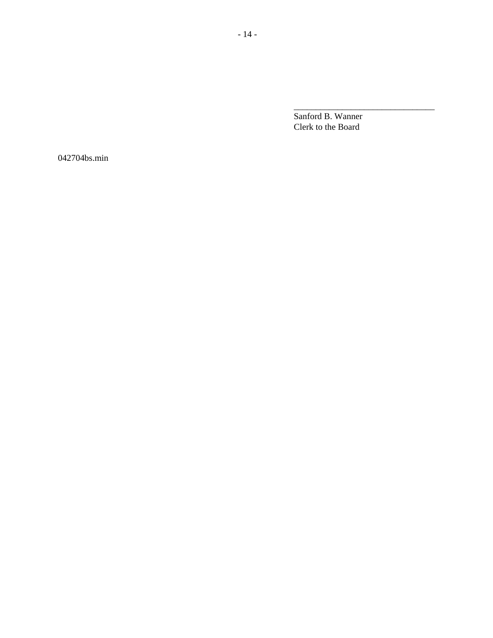Sanford B. Wanner Clerk to the Board

\_\_\_\_\_\_\_\_\_\_\_\_\_\_\_\_\_\_\_\_\_\_\_\_\_\_\_\_\_\_\_\_

042704bs.min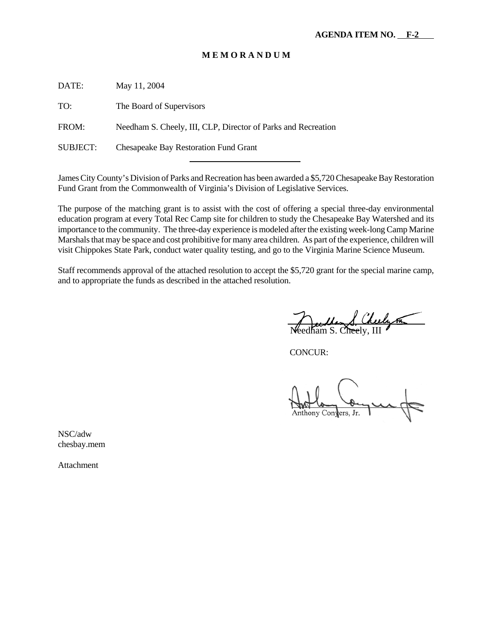DATE: May 11, 2004

TO: The Board of Supervisors

FROM: Needham S. Cheely, III, CLP, Director of Parks and Recreation

l

SUBJECT: Chesapeake Bay Restoration Fund Grant

James City County's Division of Parks and Recreation has been awarded a \$5,720 Chesapeake Bay Restoration Fund Grant from the Commonwealth of Virginia's Division of Legislative Services.

The purpose of the matching grant is to assist with the cost of offering a special three-day environmental education program at every Total Rec Camp site for children to study the Chesapeake Bay Watershed and its importance to the community. The three-day experience is modeled after the existing week-long Camp Marine Marshals that may be space and cost prohibitive for many area children. As part of the experience, children will visit Chippokes State Park, conduct water quality testing, and go to the Virginia Marine Science Museum.

Staff recommends approval of the attached resolution to accept the \$5,720 grant for the special marine camp, and to appropriate the funds as described in the attached resolution.

uller (Cheely on

CONCUR:

Anthony Cony

NSC/adw chesbay.mem

Attachment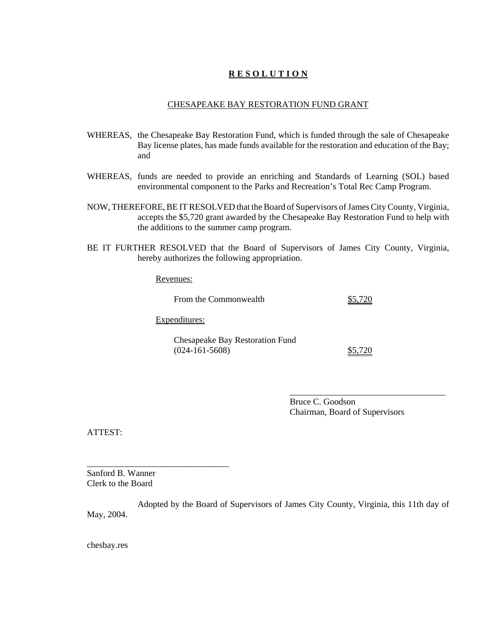# **R E S O L U T I O N**

#### CHESAPEAKE BAY RESTORATION FUND GRANT

- WHEREAS, the Chesapeake Bay Restoration Fund, which is funded through the sale of Chesapeake Bay license plates, has made funds available for the restoration and education of the Bay; and
- WHEREAS, funds are needed to provide an enriching and Standards of Learning (SOL) based environmental component to the Parks and Recreation's Total Rec Camp Program.
- NOW, THEREFORE, BE IT RESOLVED that the Board of Supervisors of James City County, Virginia, accepts the \$5,720 grant awarded by the Chesapeake Bay Restoration Fund to help with the additions to the summer camp program.
- BE IT FURTHER RESOLVED that the Board of Supervisors of James City County, Virginia, hereby authorizes the following appropriation.

Revenues:

| From the Commonwealth                               | \$5,720 |
|-----------------------------------------------------|---------|
| Expenditures:                                       |         |
| Chesapeake Bay Restoration Fund<br>$(024-161-5608)$ | \$5,720 |

Bruce C. Goodson Chairman, Board of Supervisors

\_\_\_\_\_\_\_\_\_\_\_\_\_\_\_\_\_\_\_\_\_\_\_\_\_\_\_\_\_\_\_\_\_\_\_

ATTEST:

Sanford B. Wanner Clerk to the Board

\_\_\_\_\_\_\_\_\_\_\_\_\_\_\_\_\_\_\_\_\_\_\_\_\_\_\_\_\_\_\_\_

Adopted by the Board of Supervisors of James City County, Virginia, this 11th day of May, 2004.

chesbay.res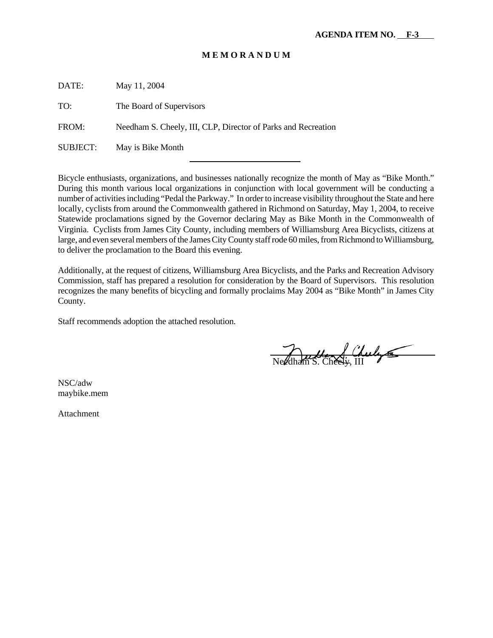DATE: May 11, 2004 TO: The Board of Supervisors FROM: Needham S. Cheely, III, CLP, Director of Parks and Recreation SUBJECT: May is Bike Month l

Bicycle enthusiasts, organizations, and businesses nationally recognize the month of May as "Bike Month." During this month various local organizations in conjunction with local government will be conducting a number of activities including "Pedal the Parkway." In order to increase visibility throughout the State and here locally, cyclists from around the Commonwealth gathered in Richmond on Saturday, May 1, 2004, to receive Statewide proclamations signed by the Governor declaring May as Bike Month in the Commonwealth of Virginia. Cyclists from James City County, including members of Williamsburg Area Bicyclists, citizens at large, and even several members of the James City County staff rode 60 miles, from Richmond to Williamsburg, to deliver the proclamation to the Board this evening.

Additionally, at the request of citizens, Williamsburg Area Bicyclists, and the Parks and Recreation Advisory Commission, staff has prepared a resolution for consideration by the Board of Supervisors. This resolution recognizes the many benefits of bicycling and formally proclaims May 2004 as "Bike Month" in James City County.

Staff recommends adoption the attached resolution.

Needham S. Cheely

NSC/adw maybike.mem

Attachment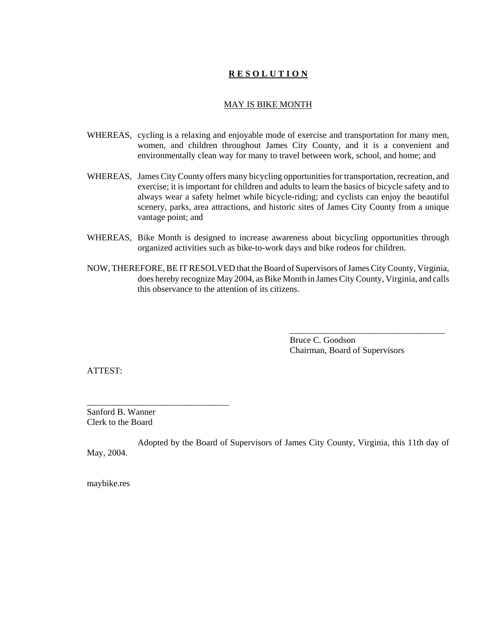# **R E S O L U T I O N**

#### MAY IS BIKE MONTH

- WHEREAS, cycling is a relaxing and enjoyable mode of exercise and transportation for many men, women, and children throughout James City County, and it is a convenient and environmentally clean way for many to travel between work, school, and home; and
- WHEREAS, James City County offers many bicycling opportunities for transportation, recreation, and exercise; it is important for children and adults to learn the basics of bicycle safety and to always wear a safety helmet while bicycle-riding; and cyclists can enjoy the beautiful scenery, parks, area attractions, and historic sites of James City County from a unique vantage point; and
- WHEREAS, Bike Month is designed to increase awareness about bicycling opportunities through organized activities such as bike-to-work days and bike rodeos for children.
- NOW, THEREFORE, BE IT RESOLVED that the Board of Supervisors of James City County, Virginia, does hereby recognize May 2004, as Bike Month in James City County, Virginia, and calls this observance to the attention of its citizens.

Bruce C. Goodson Chairman, Board of Supervisors

\_\_\_\_\_\_\_\_\_\_\_\_\_\_\_\_\_\_\_\_\_\_\_\_\_\_\_\_\_\_\_\_\_\_\_

ATTEST:

Sanford B. Wanner Clerk to the Board

\_\_\_\_\_\_\_\_\_\_\_\_\_\_\_\_\_\_\_\_\_\_\_\_\_\_\_\_\_\_\_\_

Adopted by the Board of Supervisors of James City County, Virginia, this 11th day of May, 2004.

maybike.res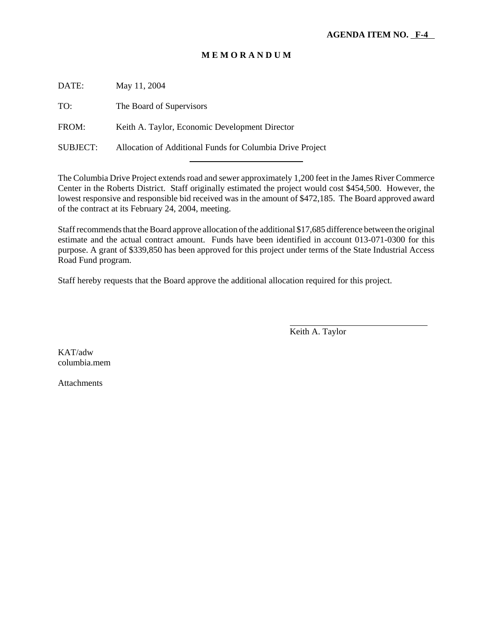DATE: May 11, 2004

TO: The Board of Supervisors

FROM: Keith A. Taylor, Economic Development Director

SUBJECT: Allocation of Additional Funds for Columbia Drive Project l

The Columbia Drive Project extends road and sewer approximately 1,200 feet in the James River Commerce Center in the Roberts District. Staff originally estimated the project would cost \$454,500. However, the lowest responsive and responsible bid received was in the amount of \$472,185. The Board approved award of the contract at its February 24, 2004, meeting.

Staff recommends that the Board approve allocation of the additional \$17,685 difference between the original estimate and the actual contract amount. Funds have been identified in account 013-071-0300 for this purpose. A grant of \$339,850 has been approved for this project under terms of the State Industrial Access Road Fund program.

Staff hereby requests that the Board approve the additional allocation required for this project.

Keith A. Taylor

 $\overline{a}$ 

KAT/adw columbia.mem

**Attachments**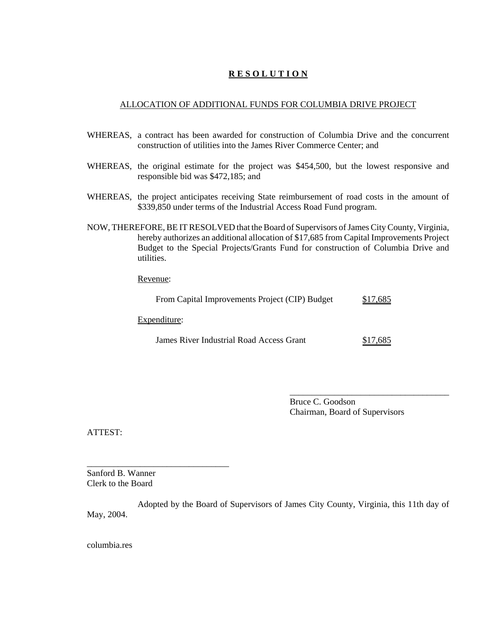# **R E S O L U T I O N**

#### ALLOCATION OF ADDITIONAL FUNDS FOR COLUMBIA DRIVE PROJECT

- WHEREAS, a contract has been awarded for construction of Columbia Drive and the concurrent construction of utilities into the James River Commerce Center; and
- WHEREAS, the original estimate for the project was \$454,500, but the lowest responsive and responsible bid was \$472,185; and
- WHEREAS, the project anticipates receiving State reimbursement of road costs in the amount of \$339,850 under terms of the Industrial Access Road Fund program.
- NOW, THEREFORE, BE IT RESOLVED that the Board of Supervisors of James City County, Virginia, hereby authorizes an additional allocation of \$17,685 from Capital Improvements Project Budget to the Special Projects/Grants Fund for construction of Columbia Drive and utilities.

Revenue:

|  |  | From Capital Improvements Project (CIP) Budget |  | \$17,685 |
|--|--|------------------------------------------------|--|----------|
|--|--|------------------------------------------------|--|----------|

Expenditure:

\_\_\_\_\_\_\_\_\_\_\_\_\_\_\_\_\_\_\_\_\_\_\_\_\_\_\_\_\_\_\_\_

James River Industrial Road Access Grant \$17,685

Bruce C. Goodson Chairman, Board of Supervisors

\_\_\_\_\_\_\_\_\_\_\_\_\_\_\_\_\_\_\_\_\_\_\_\_\_\_\_\_\_\_\_\_\_\_\_\_

ATTEST:

Sanford B. Wanner Clerk to the Board

Adopted by the Board of Supervisors of James City County, Virginia, this 11th day of May, 2004.

columbia.res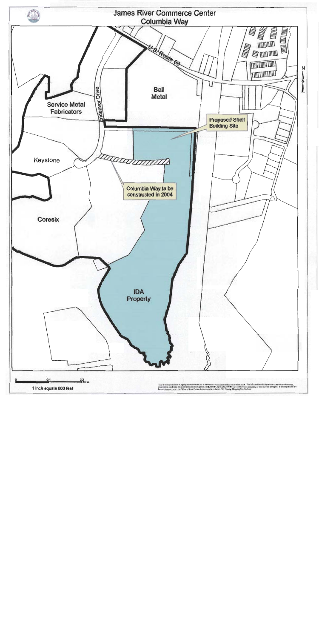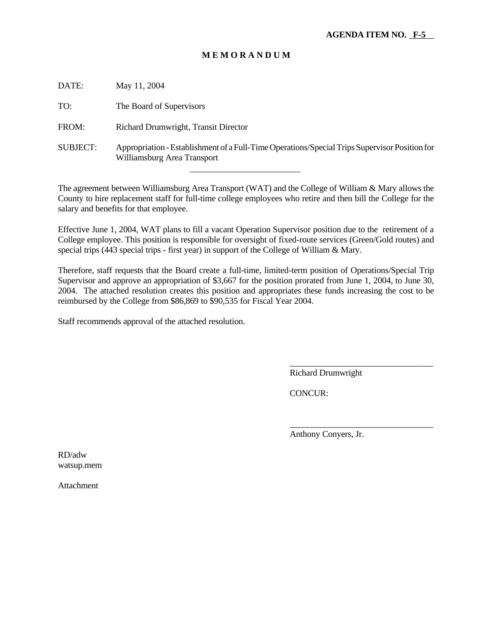| DATE:           | May 11, 2004                                                                                                                 |
|-----------------|------------------------------------------------------------------------------------------------------------------------------|
| TO:             | The Board of Supervisors                                                                                                     |
| FROM:           | Richard Drumwright, Transit Director                                                                                         |
| <b>SUBJECT:</b> | Appropriation - Establishment of a Full-Time Operations/Special Trips Supervisor Position for<br>Williamsburg Area Transport |

The agreement between Williamsburg Area Transport (WAT) and the College of William & Mary allows the County to hire replacement staff for full-time college employees who retire and then bill the College for the salary and benefits for that employee.

l

Effective June 1, 2004, WAT plans to fill a vacant Operation Supervisor position due to the retirement of a College employee. This position is responsible for oversight of fixed-route services (Green/Gold routes) and special trips (443 special trips - first year) in support of the College of William & Mary.

Therefore, staff requests that the Board create a full-time, limited-term position of Operations/Special Trip Supervisor and approve an appropriation of \$3,667 for the position prorated from June 1, 2004, to June 30, 2004. The attached resolution creates this position and appropriates these funds increasing the cost to be reimbursed by the College from \$86,869 to \$90,535 for Fiscal Year 2004.

Staff recommends approval of the attached resolution.

Richard Drumwright

\_\_\_\_\_\_\_\_\_\_\_\_\_\_\_\_\_\_\_\_\_\_\_\_\_\_\_\_\_\_\_\_\_

\_\_\_\_\_\_\_\_\_\_\_\_\_\_\_\_\_\_\_\_\_\_\_\_\_\_\_\_\_\_\_\_\_

CONCUR:

Anthony Conyers, Jr.

RD/adw watsup.mem

Attachment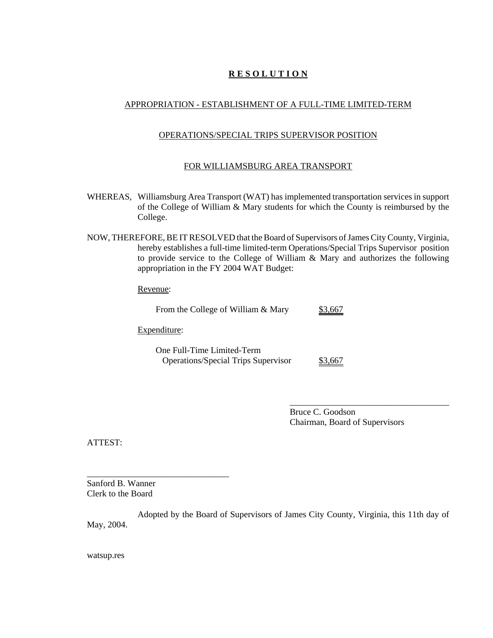# **R E S O L U T I O N**

# APPROPRIATION - ESTABLISHMENT OF A FULL-TIME LIMITED-TERM

#### OPERATIONS/SPECIAL TRIPS SUPERVISOR POSITION

#### FOR WILLIAMSBURG AREA TRANSPORT

- WHEREAS, Williamsburg Area Transport (WAT) has implemented transportation services in support of the College of William & Mary students for which the County is reimbursed by the College.
- NOW, THEREFORE, BE IT RESOLVED that the Board of Supervisors of James City County, Virginia, hereby establishes a full-time limited-term Operations/Special Trips Supervisor position to provide service to the College of William & Mary and authorizes the following appropriation in the FY 2004 WAT Budget:

Revenue:

|  | From the College of William & Mary | \$3,667 |
|--|------------------------------------|---------|
|  |                                    |         |

Expenditure:

\_\_\_\_\_\_\_\_\_\_\_\_\_\_\_\_\_\_\_\_\_\_\_\_\_\_\_\_\_\_\_\_

One Full-Time Limited-Term Operations/Special Trips Supervisor \$3,667

> Bruce C. Goodson Chairman, Board of Supervisors

\_\_\_\_\_\_\_\_\_\_\_\_\_\_\_\_\_\_\_\_\_\_\_\_\_\_\_\_\_\_\_\_\_\_\_\_

ATTEST:

Sanford B. Wanner Clerk to the Board

Adopted by the Board of Supervisors of James City County, Virginia, this 11th day of May, 2004.

watsup.res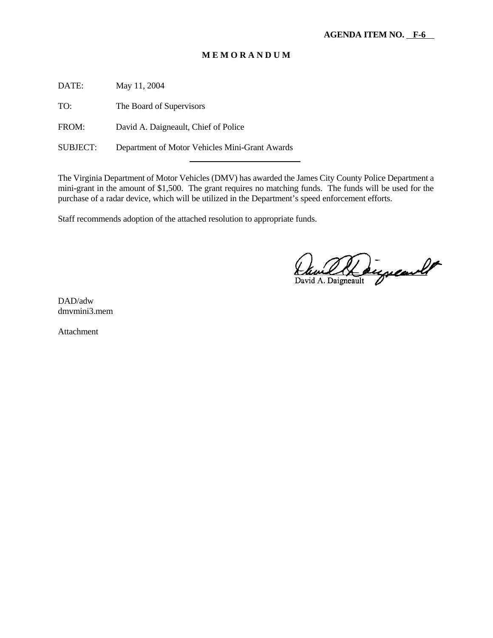DATE: May 11, 2004

TO: The Board of Supervisors

FROM: David A. Daigneault, Chief of Police

SUBJECT: Department of Motor Vehicles Mini-Grant Awards

The Virginia Department of Motor Vehicles (DMV) has awarded the James City County Police Department a mini-grant in the amount of \$1,500. The grant requires no matching funds. The funds will be used for the purchase of a radar device, which will be utilized in the Department's speed enforcement efforts.

Staff recommends adoption of the attached resolution to appropriate funds.

l

David A. Daigneault

DAD/adw dmvmini3.mem

Attachment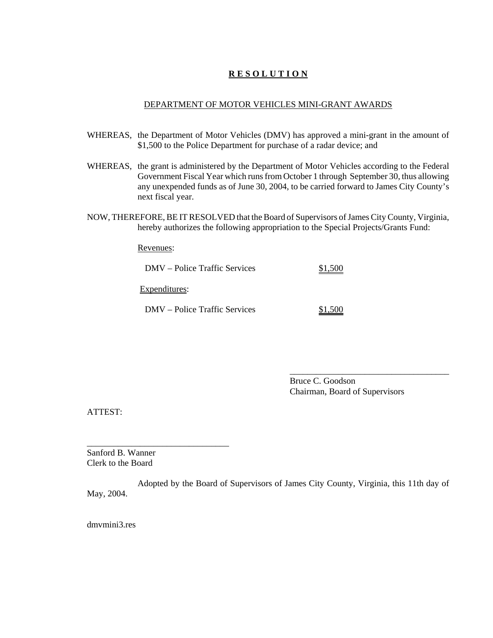# **R E S O L U T I O N**

#### DEPARTMENT OF MOTOR VEHICLES MINI-GRANT AWARDS

- WHEREAS, the Department of Motor Vehicles (DMV) has approved a mini-grant in the amount of \$1,500 to the Police Department for purchase of a radar device; and
- WHEREAS, the grant is administered by the Department of Motor Vehicles according to the Federal Government Fiscal Year which runs from October 1 through September 30, thus allowing any unexpended funds as of June 30, 2004, to be carried forward to James City County's next fiscal year.
- NOW, THEREFORE, BE IT RESOLVED that the Board of Supervisors of James City County, Virginia, hereby authorizes the following appropriation to the Special Projects/Grants Fund:

Revenues:

| DMV – Police Traffic Services | \$1,500 |
|-------------------------------|---------|
| Expenditures:                 |         |
| DMV – Police Traffic Services | \$1,500 |

Bruce C. Goodson Chairman, Board of Supervisors

\_\_\_\_\_\_\_\_\_\_\_\_\_\_\_\_\_\_\_\_\_\_\_\_\_\_\_\_\_\_\_\_\_\_\_\_

ATTEST:

Sanford B. Wanner Clerk to the Board

\_\_\_\_\_\_\_\_\_\_\_\_\_\_\_\_\_\_\_\_\_\_\_\_\_\_\_\_\_\_\_\_

Adopted by the Board of Supervisors of James City County, Virginia, this 11th day of May, 2004.

dmvmini3.res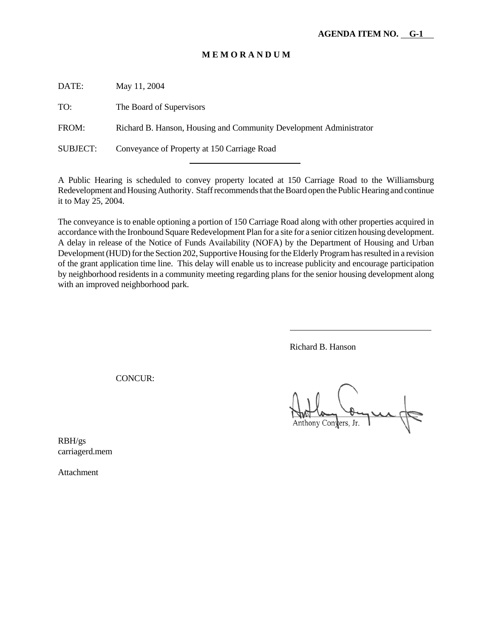DATE: May 11, 2004

TO: The Board of Supervisors

FROM: Richard B. Hanson, Housing and Community Development Administrator

SUBJECT: Conveyance of Property at 150 Carriage Road

A Public Hearing is scheduled to convey property located at 150 Carriage Road to the Williamsburg Redevelopment and Housing Authority. Staff recommends that the Board open the Public Hearing and continue it to May 25, 2004.

The conveyance is to enable optioning a portion of 150 Carriage Road along with other properties acquired in accordance with the Ironbound Square Redevelopment Plan for a site for a senior citizen housing development. A delay in release of the Notice of Funds Availability (NOFA) by the Department of Housing and Urban Development (HUD) for the Section 202, Supportive Housing for the Elderly Program has resulted in a revision of the grant application time line. This delay will enable us to increase publicity and encourage participation by neighborhood residents in a community meeting regarding plans for the senior housing development along with an improved neighborhood park.

Richard B. Hanson

 $\overline{a}$ 

CONCUR:

Anthony Convers, Jr.

RBH/gs carriagerd.mem

Attachment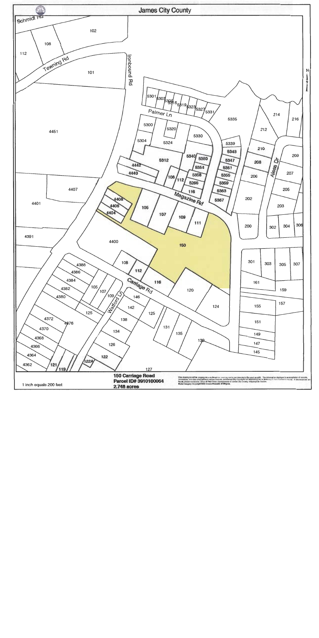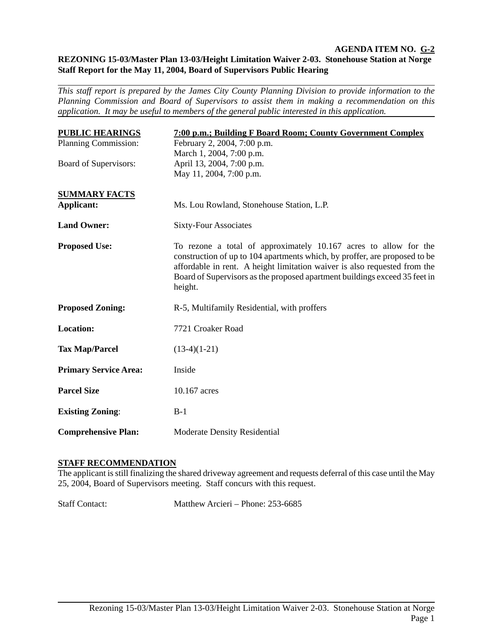#### **AGENDA ITEM NO. G-2 REZONING 15-03/Master Plan 13-03/Height Limitation Waiver 2-03. Stonehouse Station at Norge Staff Report for the May 11, 2004, Board of Supervisors Public Hearing**

*This staff report is prepared by the James City County Planning Division to provide information to the Planning Commission and Board of Supervisors to assist them in making a recommendation on this application. It may be useful to members of the general public interested in this application.* 

| <b>PUBLIC HEARINGS</b><br>Planning Commission: | 7:00 p.m.; Building F Board Room; County Government Complex<br>February 2, 2004, 7:00 p.m.                                                                                                                                                                                                                           |
|------------------------------------------------|----------------------------------------------------------------------------------------------------------------------------------------------------------------------------------------------------------------------------------------------------------------------------------------------------------------------|
| Board of Supervisors:                          | March 1, 2004, 7:00 p.m.<br>April 13, 2004, 7:00 p.m.<br>May 11, 2004, 7:00 p.m.                                                                                                                                                                                                                                     |
| <b>SUMMARY FACTS</b><br><b>Applicant:</b>      | Ms. Lou Rowland, Stonehouse Station, L.P.                                                                                                                                                                                                                                                                            |
| <b>Land Owner:</b>                             | <b>Sixty-Four Associates</b>                                                                                                                                                                                                                                                                                         |
| <b>Proposed Use:</b>                           | To rezone a total of approximately 10.167 acres to allow for the<br>construction of up to 104 apartments which, by proffer, are proposed to be<br>affordable in rent. A height limitation waiver is also requested from the<br>Board of Supervisors as the proposed apartment buildings exceed 35 feet in<br>height. |
| <b>Proposed Zoning:</b>                        | R-5, Multifamily Residential, with proffers                                                                                                                                                                                                                                                                          |
| <b>Location:</b>                               | 7721 Croaker Road                                                                                                                                                                                                                                                                                                    |
| <b>Tax Map/Parcel</b>                          | $(13-4)(1-21)$                                                                                                                                                                                                                                                                                                       |
| <b>Primary Service Area:</b>                   | Inside                                                                                                                                                                                                                                                                                                               |
| <b>Parcel Size</b>                             | 10.167 acres                                                                                                                                                                                                                                                                                                         |
| <b>Existing Zoning:</b>                        | $B-1$                                                                                                                                                                                                                                                                                                                |
| <b>Comprehensive Plan:</b>                     | <b>Moderate Density Residential</b>                                                                                                                                                                                                                                                                                  |

# **STAFF RECOMMENDATION**

The applicant is still finalizing the shared driveway agreement and requests deferral of this case until the May 25, 2004, Board of Supervisors meeting. Staff concurs with this request.

Staff Contact: Matthew Arcieri – Phone: 253-6685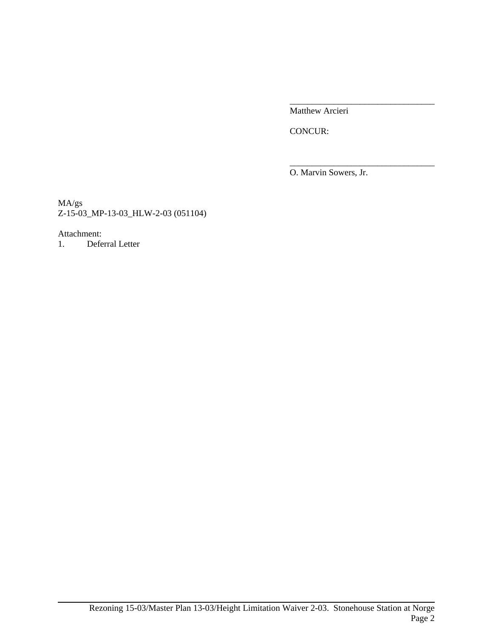Matthew Arcieri

\_\_\_\_\_\_\_\_\_\_\_\_\_\_\_\_\_\_\_\_\_\_\_\_\_\_\_\_\_\_\_\_\_

\_\_\_\_\_\_\_\_\_\_\_\_\_\_\_\_\_\_\_\_\_\_\_\_\_\_\_\_\_\_\_\_\_

CONCUR:

O. Marvin Sowers, Jr.

MA/gs Z-15-03\_MP-13-03\_HLW-2-03 (051104)

#### Attachment:

1. Deferral Letter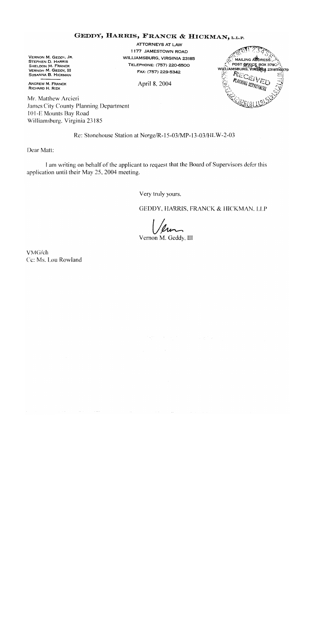# GEDDY, HARRIS, FRANCK & HICKMAN, L.L.P.

VERNON M. GEDDY, JR. STEPHEN D. HARRIS SHELDON M. FRANCK **VERNON M. GEDDY, III** SUSANNA B. HICKMAN

**ANDREW M. FRANCK** RICHARD H. RIZK

Mr. Matthew Arcieri James City County Planning Department 101-E Mounts Bay Road Williamsburg, Virginia 23185

**ATTORNEYS AT LAW** 1177 JAMESTOWN ROAD WILLIAMSBURG, VIRGINIA 23185 TELEPHONE: (757) 220-6500 FAX: (757) 229-5342

April 8, 2004

MAILING ABORESS <sup>1</sup>POST @FFICE BOX 3790<sup>0</sup> 136,52 RECE PLANNING DEI

Re: Stonehouse Station at Norge/R-15-03/MP-13-03/HLW-2-03

Dear Matt:

I am writing on behalf of the applicant to request that the Board of Supervisors defer this application until their May 25, 2004 meeting.

Very truly yours,

GEDDY, HARRIS, FRANCK & HICKMAN, LLP

Vernon M. Geddy, III

 $\mathcal{C}^{\mathcal{A}}$ 

VMG/ch Cc: Ms. Lou Rowland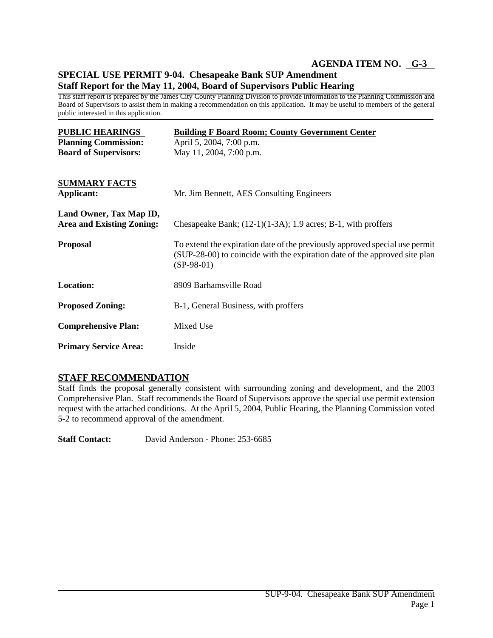# **AGENDA ITEM NO. G-3**

# **SPECIAL USE PERMIT 9-04. Chesapeake Bank SUP Amendment Staff Report for the May 11, 2004, Board of Supervisors Public Hearing**

This staff report is prepared by the James City County Planning Division to provide information to the Planning Commission and Board of Supervisors to assist them in making a recommendation on this application. It may be useful to members of the general public interested in this application.

| <b>PUBLIC HEARINGS</b><br><b>Planning Commission:</b>       | <b>Building F Board Room; County Government Center</b><br>April 5, 2004, 7:00 p.m.                                                                                        |  |  |
|-------------------------------------------------------------|---------------------------------------------------------------------------------------------------------------------------------------------------------------------------|--|--|
| <b>Board of Supervisors:</b>                                | May 11, 2004, 7:00 p.m.                                                                                                                                                   |  |  |
| <b>SUMMARY FACTS</b><br><b>Applicant:</b>                   | Mr. Jim Bennett, AES Consulting Engineers                                                                                                                                 |  |  |
| Land Owner, Tax Map ID,<br><b>Area and Existing Zoning:</b> | Chesapeake Bank; $(12-1)(1-3A)$ ; 1.9 acres; B-1, with proffers                                                                                                           |  |  |
| <b>Proposal</b>                                             | To extend the expiration date of the previously approved special use permit<br>(SUP-28-00) to coincide with the expiration date of the approved site plan<br>$(SP-98-01)$ |  |  |
| <b>Location:</b>                                            | 8909 Barhamsville Road                                                                                                                                                    |  |  |
| <b>Proposed Zoning:</b>                                     | B-1, General Business, with proffers                                                                                                                                      |  |  |
| <b>Comprehensive Plan:</b>                                  | Mixed Use                                                                                                                                                                 |  |  |
| <b>Primary Service Area:</b>                                | Inside                                                                                                                                                                    |  |  |

# **STAFF RECOMMENDATION**

Staff finds the proposal generally consistent with surrounding zoning and development, and the 2003 Comprehensive Plan. Staff recommends the Board of Supervisors approve the special use permit extension request with the attached conditions. At the April 5, 2004, Public Hearing, the Planning Commission voted 5-2 to recommend approval of the amendment.

**Staff Contact:** David Anderson - Phone: 253-6685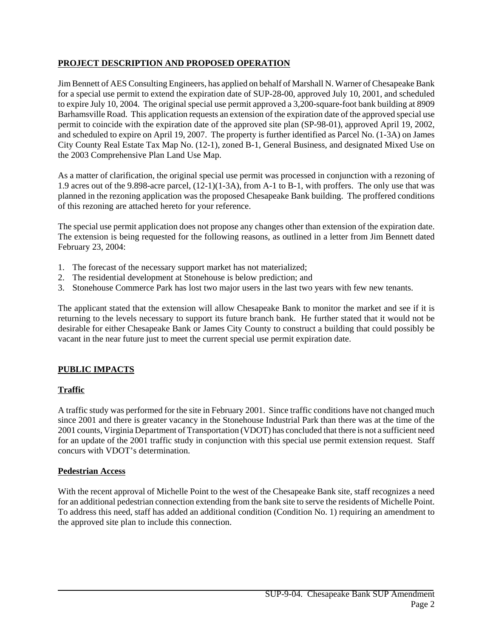# **PROJECT DESCRIPTION AND PROPOSED OPERATION**

Jim Bennett of AES Consulting Engineers, has applied on behalf of Marshall N. Warner of Chesapeake Bank for a special use permit to extend the expiration date of SUP-28-00, approved July 10, 2001, and scheduled to expire July 10, 2004. The original special use permit approved a 3,200-square-foot bank building at 8909 Barhamsville Road. This application requests an extension of the expiration date of the approved special use permit to coincide with the expiration date of the approved site plan (SP-98-01), approved April 19, 2002, and scheduled to expire on April 19, 2007. The property is further identified as Parcel No. (1-3A) on James City County Real Estate Tax Map No. (12-1), zoned B-1, General Business, and designated Mixed Use on the 2003 Comprehensive Plan Land Use Map.

As a matter of clarification, the original special use permit was processed in conjunction with a rezoning of 1.9 acres out of the 9.898-acre parcel, (12-1)(1-3A), from A-1 to B-1, with proffers. The only use that was planned in the rezoning application was the proposed Chesapeake Bank building. The proffered conditions of this rezoning are attached hereto for your reference.

The special use permit application does not propose any changes other than extension of the expiration date. The extension is being requested for the following reasons, as outlined in a letter from Jim Bennett dated February 23, 2004:

- 1. The forecast of the necessary support market has not materialized;
- 2. The residential development at Stonehouse is below prediction; and
- 3. Stonehouse Commerce Park has lost two major users in the last two years with few new tenants.

The applicant stated that the extension will allow Chesapeake Bank to monitor the market and see if it is returning to the levels necessary to support its future branch bank. He further stated that it would not be desirable for either Chesapeake Bank or James City County to construct a building that could possibly be vacant in the near future just to meet the current special use permit expiration date.

# **PUBLIC IMPACTS**

# **Traffic**

A traffic study was performed for the site in February 2001. Since traffic conditions have not changed much since 2001 and there is greater vacancy in the Stonehouse Industrial Park than there was at the time of the 2001 counts, Virginia Department of Transportation (VDOT) has concluded that there is not a sufficient need for an update of the 2001 traffic study in conjunction with this special use permit extension request. Staff concurs with VDOT's determination.

#### **Pedestrian Access**

With the recent approval of Michelle Point to the west of the Chesapeake Bank site, staff recognizes a need for an additional pedestrian connection extending from the bank site to serve the residents of Michelle Point. To address this need, staff has added an additional condition (Condition No. 1) requiring an amendment to the approved site plan to include this connection.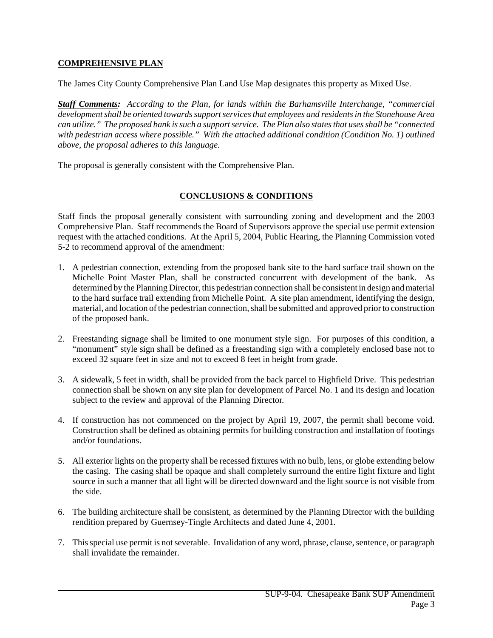# **COMPREHENSIVE PLAN**

The James City County Comprehensive Plan Land Use Map designates this property as Mixed Use.

*Staff Comments: According to the Plan, for lands within the Barhamsville Interchange, "commercial development shall be oriented towards support services that employees and residents in the Stonehouse Area can utilize." The proposed bank is such a support service. The Plan also states that uses shall be "connected with pedestrian access where possible." With the attached additional condition (Condition No. 1) outlined above, the proposal adheres to this language.*

The proposal is generally consistent with the Comprehensive Plan.

# **CONCLUSIONS & CONDITIONS**

Staff finds the proposal generally consistent with surrounding zoning and development and the 2003 Comprehensive Plan. Staff recommends the Board of Supervisors approve the special use permit extension request with the attached conditions. At the April 5, 2004, Public Hearing, the Planning Commission voted 5-2 to recommend approval of the amendment:

- 1. A pedestrian connection, extending from the proposed bank site to the hard surface trail shown on the Michelle Point Master Plan, shall be constructed concurrent with development of the bank. As determined by the Planning Director, this pedestrian connection shall be consistent in design and material to the hard surface trail extending from Michelle Point. A site plan amendment, identifying the design, material, and location of the pedestrian connection, shall be submitted and approved prior to construction of the proposed bank.
- 2. Freestanding signage shall be limited to one monument style sign. For purposes of this condition, a "monument" style sign shall be defined as a freestanding sign with a completely enclosed base not to exceed 32 square feet in size and not to exceed 8 feet in height from grade.
- 3. A sidewalk, 5 feet in width, shall be provided from the back parcel to Highfield Drive. This pedestrian connection shall be shown on any site plan for development of Parcel No. 1 and its design and location subject to the review and approval of the Planning Director.
- 4. If construction has not commenced on the project by April 19, 2007, the permit shall become void. Construction shall be defined as obtaining permits for building construction and installation of footings and/or foundations.
- 5. All exterior lights on the property shall be recessed fixtures with no bulb, lens, or globe extending below the casing. The casing shall be opaque and shall completely surround the entire light fixture and light source in such a manner that all light will be directed downward and the light source is not visible from the side.
- 6. The building architecture shall be consistent, as determined by the Planning Director with the building rendition prepared by Guernsey-Tingle Architects and dated June 4, 2001.
- 7. This special use permit is not severable. Invalidation of any word, phrase, clause, sentence, or paragraph shall invalidate the remainder.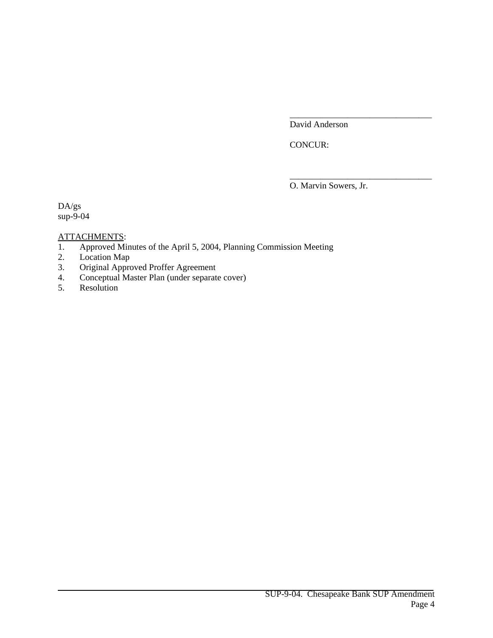David Anderson

\_\_\_\_\_\_\_\_\_\_\_\_\_\_\_\_\_\_\_\_\_\_\_\_\_\_\_\_\_\_\_\_

\_\_\_\_\_\_\_\_\_\_\_\_\_\_\_\_\_\_\_\_\_\_\_\_\_\_\_\_\_\_\_\_

CONCUR:

O. Marvin Sowers, Jr.

DA/gs sup-9-04

# ATTACHMENTS:

- 1. Approved Minutes of the April 5, 2004, Planning Commission Meeting
- 2. Location Map<br>3. Original Appro
- Original Approved Proffer Agreement
- 4. Conceptual Master Plan (under separate cover)
- 5. Resolution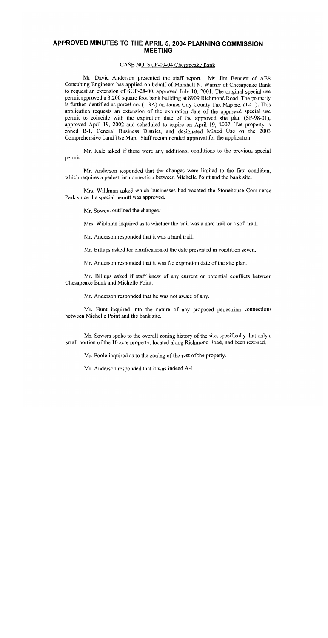# APPROVED MINUTES TO THE APRIL 5, 2004 PLANNING COMMISSION **MEETING**

#### CASE NO. SUP-09-04 Chesapeake Bank

Mr. David Anderson presented the staff report. Mr. Jim Bennett of AES Consulting Engineers has applied on behalf of Marshall N. Warner of Chesapeake Bank to request an extension of SUP-28-00, approved July 10, 2001. The original special use permit approved a 3,200 square foot bank building at 8909 Richmond Road. The property is further identified as parcel no.  $(1-3A)$  on James City County Tax Map no.  $(12-1)$ . This application requests an extension of the expiration date of the approved special use permit to coincide with the expiration date of the approved site plan (SP-98-01), approved April 19, 2002 and scheduled to expire on April 19, 2007. The property is zoned B-1, General Business District, and designated Mixed Use on the 2003 Comprehensive Land Use Map. Staff recommended approval for the application.

Mr. Kale asked if there were any additional conditions to the previous special permit.

Mr. Anderson responded that the changes were limited to the first condition, which requires a pedestrian connection between Michelle Point and the bank site.

Mrs. Wildman asked which businesses had vacated the Stonehouse Commerce Park since the special permit was approved.

Mr. Sowers outlined the changes.

Mrs. Wildman inquired as to whether the trail was a hard trail or a soft trail.

Mr. Anderson responded that it was a hard trail.

Mr. Billups asked for clarification of the date presented in condition seven.

Mr. Anderson responded that it was the expiration date of the site plan.

Mr. Billups asked if staff knew of any current or potential conflicts between Chesapeake Bank and Michelle Point.

Mr. Anderson responded that he was not aware of any.

Mr. Hunt inquired into the nature of any proposed pedestrian connections between Michelle Point and the bank site.

Mr. Sowers spoke to the overall zoning history of the site, specifically that only a small portion of the 10 acre property, located along Richmond Road, had been rezoned.

Mr. Poole inquired as to the zoning of the rest of the property.

Mr. Anderson responded that it was indeed A-1.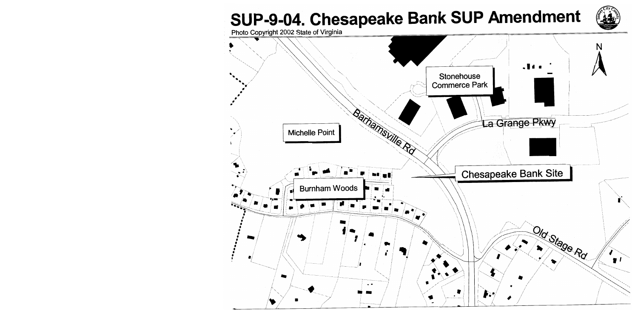# SUP-9-04. Chesapeake Bank SUP Amendment



Photo Copyright 2002 State of Virginia

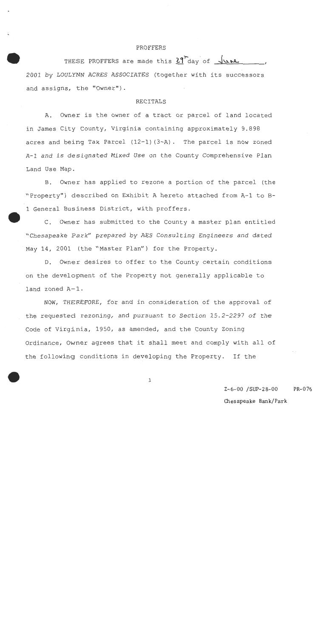#### PROFFERS

THESE PROFFERS are made this 29 day of June 2001 by LOULYNN ACRES ASSOCIATES (together with its successors and assigns, the "Owner").

#### **RECITALS**

Owner is the owner of a tract or parcel of land located A. in James City County, Virginia containing approximately 9.898 acres and being Tax Parcel (12-1)(3-A). The parcel is now zoned A-1 and is designated Mixed Use on the County Comprehensive Plan Land Use Map.

B. Owner has applied to rezone a portion of the parcel (the "Property") described on Exhibit A hereto attached from A-1 to B-1 General Business District, with proffers.

C. Owner has submitted to the County a master plan entitled "Chesapeake Park" prepared by AES Consulting Engineers and dated May 14, 2001 (the "Master Plan") for the Property.

D. Owner desires to offer to the County certain conditions on the development of the Property not generally applicable to land zoned A-1.

NOW, THEREFORE, for and in consideration of the approval of the requested rezoning, and pursuant to Section 15.2-2297 of the Code of Virginia, 1950, as amended, and the County Zoning Ordinance, Owner agrees that it shall meet and comply with all of the following conditions in developing the Property. If the

 $\mathbf 1$ 

 $Z - 6 - 00$  /SUP-28-00 PR-076

Chesapeake Bank/Park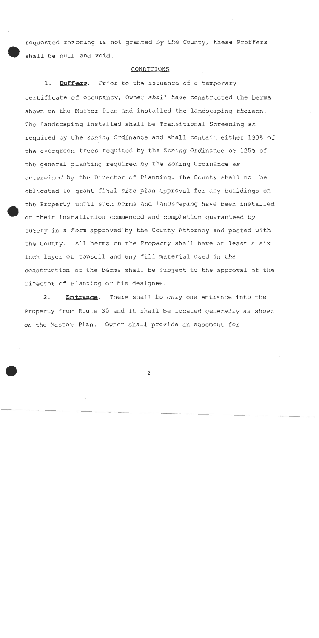requested rezoning is not granted by the County, these Proffers shall be null and void.

#### CONDITIONS

 $1.$ Buffers. Prior to the issuance of a temporary certificate of occupancy, Owner shall have constructed the berms shown on the Master Plan and installed the landscaping thereon. The landscaping installed shall be Transitional Screening as required by the Zoning Ordinance and shall contain either 133% of the evergreen trees required by the Zoning Ordinance or 125% of the general planting required by the Zoning Ordinance as determined by the Director of Planning. The County shall not be obligated to grant final site plan approval for any buildings on the Property until such berms and landscaping have been installed or their installation commenced and completion quaranteed by surety in a form approved by the County Attorney and posted with the County. All berms on the Property shall have at least a six inch layer of topsoil and any fill material used in the construction of the berms shall be subject to the approval of the Director of Planning or his designee.

 $2.$ Entrance. There shall be only one entrance into the Property from Route 30 and it shall be located generally as shown on the Master Plan. Owner shall provide an easement for

 $\overline{c}$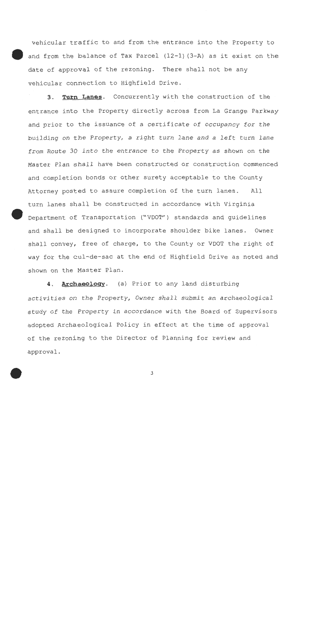vehicular traffic to and from the entrance into the Property to and from the balance of Tax Parcel (12-1) (3-A) as it exist on the date of approval of the rezoning. There shall not be any vehicular connection to Highfield Drive.

3. Turn Lanes. Concurrently with the construction of the entrance into the Property directly across from La Grange Parkway and prior to the issuance of a certificate of occupancy for the building on the Property, a right turn lane and a left turn lane from Route 30 into the entrance to the Property as shown on the Master Plan shall have been constructed or construction commenced and completion bonds or other surety acceptable to the County Attorney posted to assure completion of the turn lanes.  $A11$ turn lanes shall be constructed in accordance with Virginia Department of Transportation ("VDOT") standards and quidelines and shall be designed to incorporate shoulder bike lanes. Owner shall convey, free of charge, to the County or VDOT the right of way for the cul-de-sac at the end of Highfield Drive as noted and shown on the Master Plan.

Archaeology. (a) Prior to any land disturbing 4. activities on the Property, Owner shall submit an archaeological study of the Property in accordance with the Board of Supervisors adopted Archaeological Policy in effect at the time of approval of the rezoning to the Director of Planning for review and approval.

3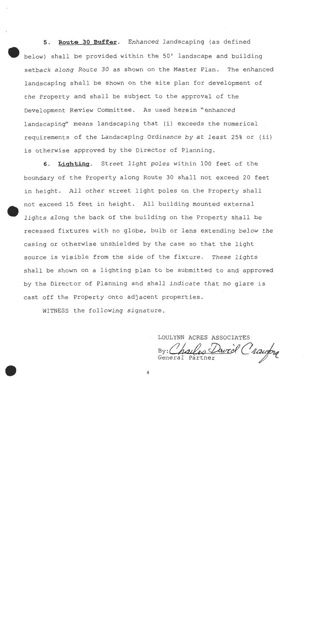Route 30 Buffer. Enhanced landscaping (as defined  $5<sub>1</sub>$ below) shall be provided within the 50' landscape and building setback along Route 30 as shown on the Master Plan. The enhanced landscaping shall be shown on the site plan for development of the Property and shall be subject to the approval of the Development Review Committee. As used herein "enhanced landscaping" means landscaping that (i) exceeds the numerical requirements of the Landscaping Ordinance by at least 25% or (ii) is otherwise approved by the Director of Planning.

6. Lighting. Street light poles within 100 feet of the boundary of the Property along Route 30 shall not exceed 20 feet in height. All other street light poles on the Property shall not exceed 15 feet in height. All building mounted external lights along the back of the building on the Property shall be recessed fixtures with no globe, bulb or lens extending below the casing or otherwise unshielded by the case so that the light source is visible from the side of the fixture. These lights shall be shown on a lighting plan to be submitted to and approved by the Director of Planning and shall indicate that no glare is cast off the Property onto adjacent properties.

4

WITNESS the following signature.

LOULYNN ACRES ASSOCIATES 20 David C'aauforg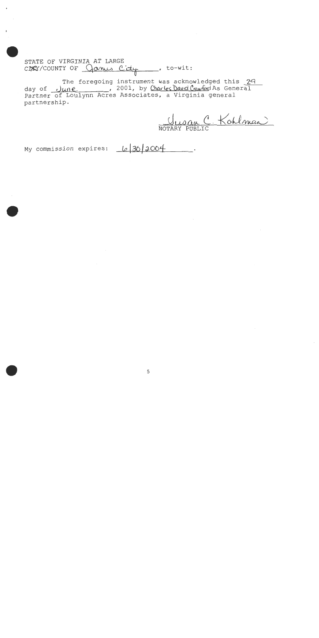STATE OF VIRGINIA AT LARGE CDRY/COUNTY OF <u>James City</u>, to-wit:

The foregoing instrument was acknowledged this 29 day of *June*, 2001, by Charles David Crawford As General<br>Partner of Loulynn Acres Associates, a Virginia general partnership.

<u> Jusan C Kohlman</u>

My commission expires: Le 30 2004.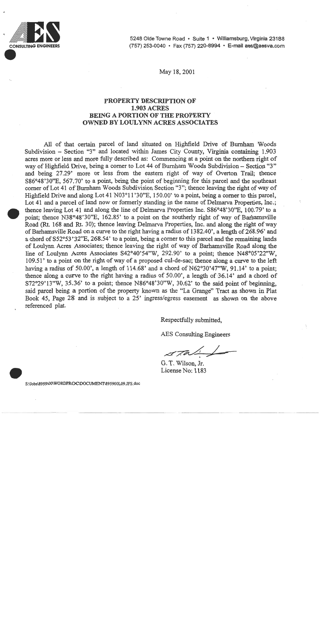

5248 Olde Towne Road · Suite 1 · Williamsburg, Virginia 23188 (757) 253-0040 · Fax (757) 220-8994 · E-mail aes@aesva.com

May 18, 2001

# PROPERTY DESCRIPTION OF **1.903 ACRES BEING A PORTION OF THE PROPERTY OWNED BY LOULYNN ACRES ASSOCIATES**

All of that certain parcel of land situated on Highfield Drive of Burnham Woods Subdivision – Section "3" and located within James City County, Virginia containing 1.903 acres more or less and more fully described as: Commencing at a point on the northern right of way of Highfield Drive, being a corner to Lot 44 of Burnham Woods Subdivision – Section "3" and being 27.29' more or less from the eastern right of way of Overton Trail: thence S86°48'30"E, 567.70' to a point, being the point of beginning for this parcel and the southeast corner of Lot 41 of Burnham Woods Subdivision Section "3"; thence leaving the right of way of Highfield Drive and along Lot 41 N03°11'30"E, 150.00' to a point, being a corner to this parcel. Lot 41 and a parcel of land now or formerly standing in the name of Delmarya Properties, Inc.: thence leaving Lot 41 and along the line of Delmarya Properties Inc.  $886^{\circ}48'30''E$ , 100.79' to a point; thence N38°48'30"E, 162.85' to a point on the southerly right of way of Barhamsville Road (Rt. 168 and Rt. 30); thence leaving Delmarya Properties, Inc. and along the right of way of Barhamsville Road on a curve to the right having a radius of 1382.40', a length of 268.96' and a chord of S52°53'32"E, 268.54' to a point, being a corner to this parcel and the remaining lands of Loulynn Acres Associates; thence leaving the right of way of Barhamsville Road along the line of Loulynn Acres Associates S42°40'54"W, 292.90' to a point; thence N48°05'22"W, 109.51' to a point on the right of way of a proposed cul-de-sac; thence along a curve to the left having a radius of 50.00', a length of 114.68' and a chord of  $N62^{\circ}30'47''W$ , 91.14' to a point; thence along a curve to the right having a radius of 50.00', a length of 36.14' and a chord of S72°29'13"W, 35.36' to a point; thence N86°48'30"W, 30.62' to the said point of beginning. said parcel being a portion of the property known as the "La Grange" Tract as shown in Plat Book 45, Page 28 and is subject to a 25' ingress/egress easement as shown on the above referenced plat.

Respectfully submitted.

**AES** Consulting Engineers

 $2770$ 

G. T. Wilson, Jr. License No: 1183

S:\Jobs\8959\00\WORDPROC\DOCUMENT\895900L09.JFS.doc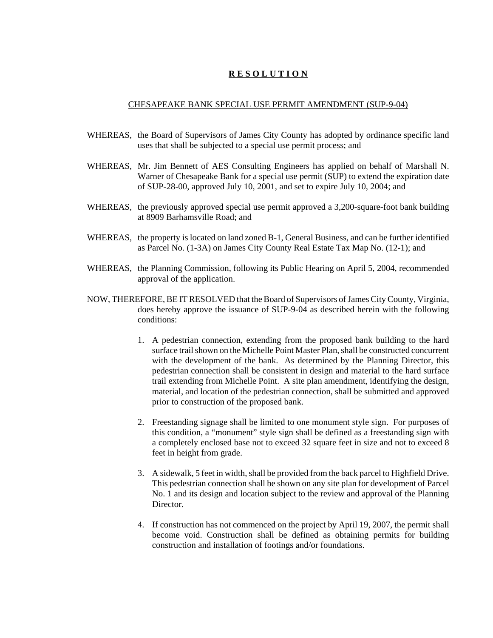# **R E S O L U T I O N**

#### CHESAPEAKE BANK SPECIAL USE PERMIT AMENDMENT (SUP-9-04)

- WHEREAS, the Board of Supervisors of James City County has adopted by ordinance specific land uses that shall be subjected to a special use permit process; and
- WHEREAS, Mr. Jim Bennett of AES Consulting Engineers has applied on behalf of Marshall N. Warner of Chesapeake Bank for a special use permit (SUP) to extend the expiration date of SUP-28-00, approved July 10, 2001, and set to expire July 10, 2004; and
- WHEREAS, the previously approved special use permit approved a 3,200-square-foot bank building at 8909 Barhamsville Road; and
- WHEREAS, the property is located on land zoned B-1, General Business, and can be further identified as Parcel No. (1-3A) on James City County Real Estate Tax Map No. (12-1); and
- WHEREAS, the Planning Commission, following its Public Hearing on April 5, 2004, recommended approval of the application.
- NOW, THEREFORE, BE IT RESOLVED that the Board of Supervisors of James City County, Virginia, does hereby approve the issuance of SUP-9-04 as described herein with the following conditions:
	- 1. A pedestrian connection, extending from the proposed bank building to the hard surface trail shown on the Michelle Point Master Plan, shall be constructed concurrent with the development of the bank. As determined by the Planning Director, this pedestrian connection shall be consistent in design and material to the hard surface trail extending from Michelle Point. A site plan amendment, identifying the design, material, and location of the pedestrian connection, shall be submitted and approved prior to construction of the proposed bank.
	- 2. Freestanding signage shall be limited to one monument style sign. For purposes of this condition, a "monument" style sign shall be defined as a freestanding sign with a completely enclosed base not to exceed 32 square feet in size and not to exceed 8 feet in height from grade.
	- 3. A sidewalk, 5 feet in width, shall be provided from the back parcel to Highfield Drive. This pedestrian connection shall be shown on any site plan for development of Parcel No. 1 and its design and location subject to the review and approval of the Planning Director.
	- 4. If construction has not commenced on the project by April 19, 2007, the permit shall become void. Construction shall be defined as obtaining permits for building construction and installation of footings and/or foundations.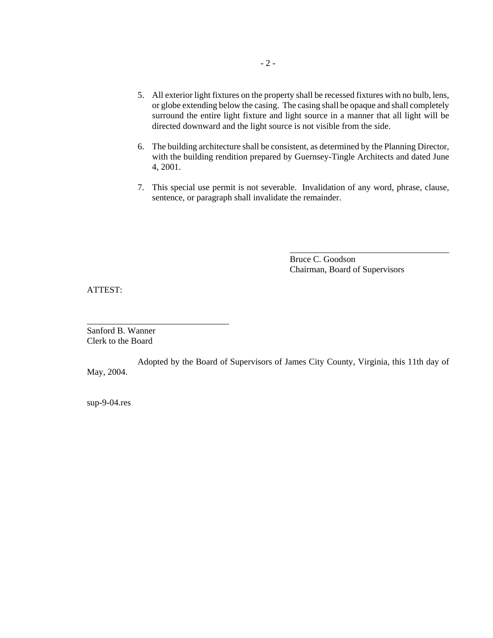- 5. All exterior light fixtures on the property shall be recessed fixtures with no bulb, lens, or globe extending below the casing. The casing shall be opaque and shall completely surround the entire light fixture and light source in a manner that all light will be directed downward and the light source is not visible from the side.
- 6. The building architecture shall be consistent, as determined by the Planning Director, with the building rendition prepared by Guernsey-Tingle Architects and dated June 4, 2001.
- 7. This special use permit is not severable. Invalidation of any word, phrase, clause, sentence, or paragraph shall invalidate the remainder.

Bruce C. Goodson Chairman, Board of Supervisors

\_\_\_\_\_\_\_\_\_\_\_\_\_\_\_\_\_\_\_\_\_\_\_\_\_\_\_\_\_\_\_\_\_\_\_\_

ATTEST:

Sanford B. Wanner Clerk to the Board

\_\_\_\_\_\_\_\_\_\_\_\_\_\_\_\_\_\_\_\_\_\_\_\_\_\_\_\_\_\_\_\_

Adopted by the Board of Supervisors of James City County, Virginia, this 11th day of May, 2004.

sup-9-04.res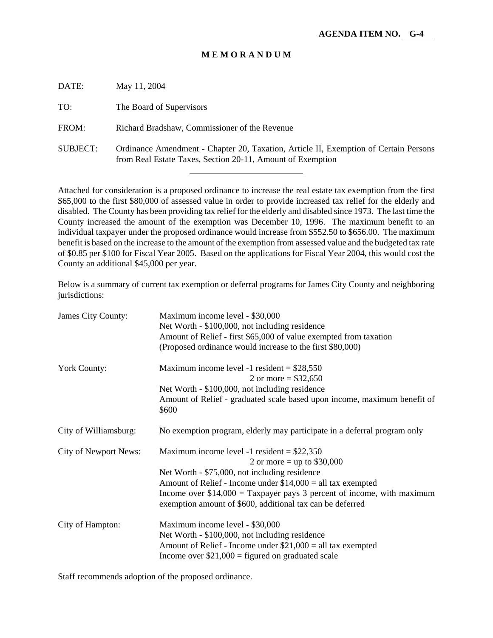| DATE:           | May 11, 2004                                                                                                                                       |
|-----------------|----------------------------------------------------------------------------------------------------------------------------------------------------|
| TO:             | The Board of Supervisors                                                                                                                           |
| FROM:           | Richard Bradshaw, Commissioner of the Revenue                                                                                                      |
| <b>SUBJECT:</b> | Ordinance Amendment - Chapter 20, Taxation, Article II, Exemption of Certain Persons<br>from Real Estate Taxes, Section 20-11, Amount of Exemption |
|                 |                                                                                                                                                    |

Attached for consideration is a proposed ordinance to increase the real estate tax exemption from the first \$65,000 to the first \$80,000 of assessed value in order to provide increased tax relief for the elderly and disabled. The County has been providing tax relief for the elderly and disabled since 1973. The last time the County increased the amount of the exemption was December 10, 1996. The maximum benefit to an individual taxpayer under the proposed ordinance would increase from \$552.50 to \$656.00. The maximum benefit is based on the increase to the amount of the exemption from assessed value and the budgeted tax rate of \$0.85 per \$100 for Fiscal Year 2005. Based on the applications for Fiscal Year 2004, this would cost the County an additional \$45,000 per year.

Below is a summary of current tax exemption or deferral programs for James City County and neighboring jurisdictions:

| James City County:           | Maximum income level - \$30,000<br>Net Worth - \$100,000, not including residence<br>Amount of Relief - first \$65,000 of value exempted from taxation<br>(Proposed ordinance would increase to the first \$80,000) |
|------------------------------|---------------------------------------------------------------------------------------------------------------------------------------------------------------------------------------------------------------------|
|                              |                                                                                                                                                                                                                     |
| <b>York County:</b>          | Maximum income level -1 resident = $$28,550$<br>2 or more = $$32,650$                                                                                                                                               |
|                              | Net Worth - \$100,000, not including residence                                                                                                                                                                      |
|                              | Amount of Relief - graduated scale based upon income, maximum benefit of<br>\$600                                                                                                                                   |
| City of Williamsburg:        | No exemption program, elderly may participate in a deferral program only                                                                                                                                            |
| <b>City of Newport News:</b> | Maximum income level -1 resident = $$22,350$                                                                                                                                                                        |
|                              | 2 or more = up to $$30,000$                                                                                                                                                                                         |
|                              | Net Worth - \$75,000, not including residence                                                                                                                                                                       |
|                              | Amount of Relief - Income under $$14,000 =$ all tax exempted                                                                                                                                                        |
|                              | Income over $$14,000 =$ Taxpayer pays 3 percent of income, with maximum<br>exemption amount of \$600, additional tax can be deferred                                                                                |
| City of Hampton:             | Maximum income level - \$30,000                                                                                                                                                                                     |
|                              | Net Worth - \$100,000, not including residence                                                                                                                                                                      |
|                              | Amount of Relief - Income under $$21,000 =$ all tax exempted                                                                                                                                                        |
|                              | Income over $$21,000 =$ figured on graduated scale                                                                                                                                                                  |

Staff recommends adoption of the proposed ordinance.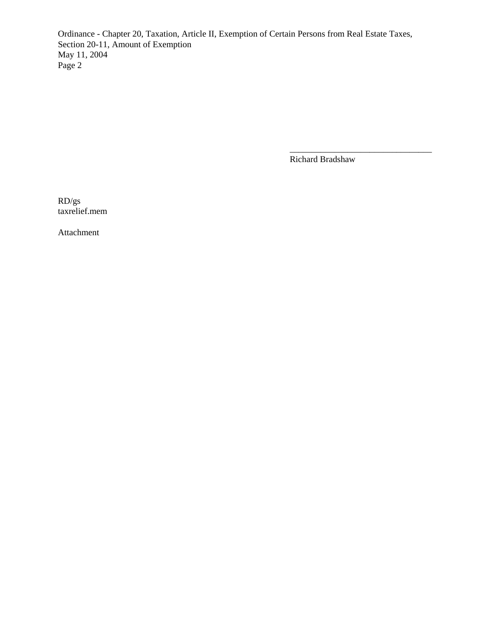Ordinance - Chapter 20, Taxation, Article II, Exemption of Certain Persons from Real Estate Taxes, Section 20-11, Amount of Exemption May 11, 2004 Page 2

Richard Bradshaw

\_\_\_\_\_\_\_\_\_\_\_\_\_\_\_\_\_\_\_\_\_\_\_\_\_\_\_\_\_\_\_\_

RD/gs taxrelief.mem

Attachment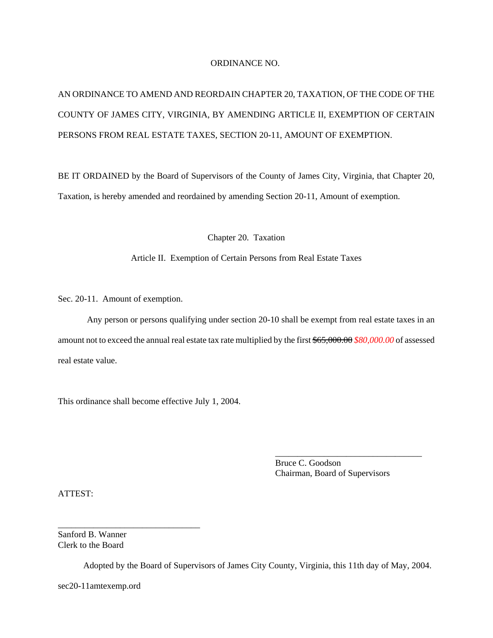#### ORDINANCE NO.

# AN ORDINANCE TO AMEND AND REORDAIN CHAPTER 20, TAXATION, OF THE CODE OF THE COUNTY OF JAMES CITY, VIRGINIA, BY AMENDING ARTICLE II, EXEMPTION OF CERTAIN PERSONS FROM REAL ESTATE TAXES, SECTION 20-11, AMOUNT OF EXEMPTION.

BE IT ORDAINED by the Board of Supervisors of the County of James City, Virginia, that Chapter 20, Taxation, is hereby amended and reordained by amending Section 20-11, Amount of exemption.

Chapter 20. Taxation

#### Article II. Exemption of Certain Persons from Real Estate Taxes

Sec. 20-11. Amount of exemption.

Any person or persons qualifying under section 20-10 shall be exempt from real estate taxes in an amount not to exceed the annual real estate tax rate multiplied by the first \$65,000.00 *\$80,000.00* of assessed real estate value.

This ordinance shall become effective July 1, 2004.

Bruce C. Goodson Chairman, Board of Supervisors

\_\_\_\_\_\_\_\_\_\_\_\_\_\_\_\_\_\_\_\_\_\_\_\_\_\_\_\_\_\_\_\_\_

ATTEST:

Sanford B. Wanner Clerk to the Board

\_\_\_\_\_\_\_\_\_\_\_\_\_\_\_\_\_\_\_\_\_\_\_\_\_\_\_\_\_\_\_\_

Adopted by the Board of Supervisors of James City County, Virginia, this 11th day of May, 2004.

sec20-11amtexemp.ord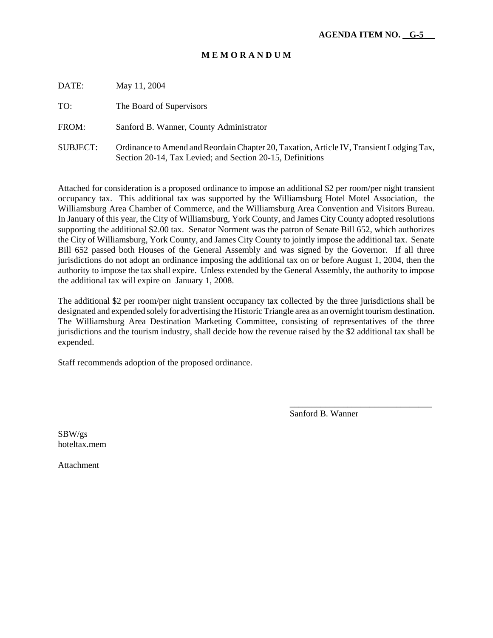| DATE:           | May 11, 2004                                                                                                                                          |
|-----------------|-------------------------------------------------------------------------------------------------------------------------------------------------------|
| TO:             | The Board of Supervisors                                                                                                                              |
| FROM:           | Sanford B. Wanner, County Administrator                                                                                                               |
| <b>SUBJECT:</b> | Ordinance to Amend and Reordain Chapter 20, Taxation, Article IV, Transient Lodging Tax,<br>Section 20-14, Tax Levied; and Section 20-15, Definitions |
|                 |                                                                                                                                                       |

Attached for consideration is a proposed ordinance to impose an additional \$2 per room/per night transient occupancy tax. This additional tax was supported by the Williamsburg Hotel Motel Association, the Williamsburg Area Chamber of Commerce, and the Williamsburg Area Convention and Visitors Bureau. In January of this year, the City of Williamsburg, York County, and James City County adopted resolutions supporting the additional \$2.00 tax. Senator Norment was the patron of Senate Bill 652, which authorizes the City of Williamsburg, York County, and James City County to jointly impose the additional tax. Senate Bill 652 passed both Houses of the General Assembly and was signed by the Governor. If all three jurisdictions do not adopt an ordinance imposing the additional tax on or before August 1, 2004, then the authority to impose the tax shall expire. Unless extended by the General Assembly, the authority to impose the additional tax will expire on January 1, 2008.

The additional \$2 per room/per night transient occupancy tax collected by the three jurisdictions shall be designated and expended solely for advertising the Historic Triangle area as an overnight tourism destination. The Williamsburg Area Destination Marketing Committee, consisting of representatives of the three jurisdictions and the tourism industry, shall decide how the revenue raised by the \$2 additional tax shall be expended.

Staff recommends adoption of the proposed ordinance.

Sanford B. Wanner

\_\_\_\_\_\_\_\_\_\_\_\_\_\_\_\_\_\_\_\_\_\_\_\_\_\_\_\_\_\_\_\_

SBW/gs hoteltax.mem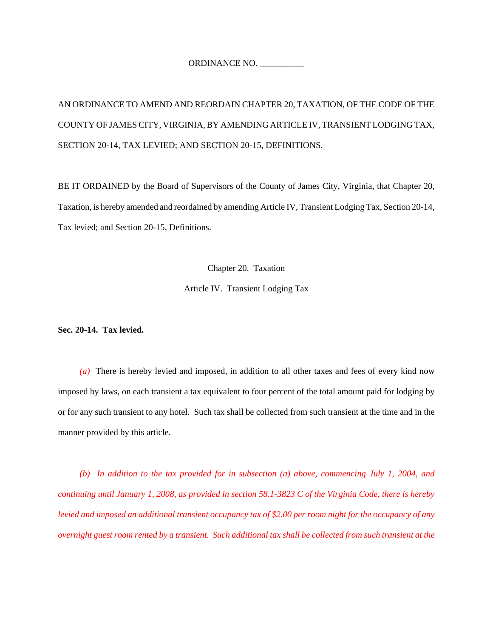ORDINANCE NO.

AN ORDINANCE TO AMEND AND REORDAIN CHAPTER 20, TAXATION, OF THE CODE OF THE COUNTY OF JAMES CITY, VIRGINIA, BY AMENDING ARTICLE IV, TRANSIENT LODGING TAX, SECTION 20-14, TAX LEVIED; AND SECTION 20-15, DEFINITIONS.

BE IT ORDAINED by the Board of Supervisors of the County of James City, Virginia, that Chapter 20, Taxation, is hereby amended and reordained by amending Article IV, Transient Lodging Tax, Section 20-14, Tax levied; and Section 20-15, Definitions.

Chapter 20. Taxation

Article IV. Transient Lodging Tax

**Sec. 20-14. Tax levied.**

*(a)* There is hereby levied and imposed, in addition to all other taxes and fees of every kind now imposed by laws, on each transient a tax equivalent to four percent of the total amount paid for lodging by or for any such transient to any hotel. Such tax shall be collected from such transient at the time and in the manner provided by this article.

*(b) In addition to the tax provided for in subsection (a) above, commencing July 1, 2004, and continuing until January 1, 2008, as provided in section 58.1-3823 C of the Virginia Code, there is hereby levied and imposed an additional transient occupancy tax of \$2.00 per room night for the occupancy of any overnight guest room rented by a transient. Such additional tax shall be collected from such transient at the*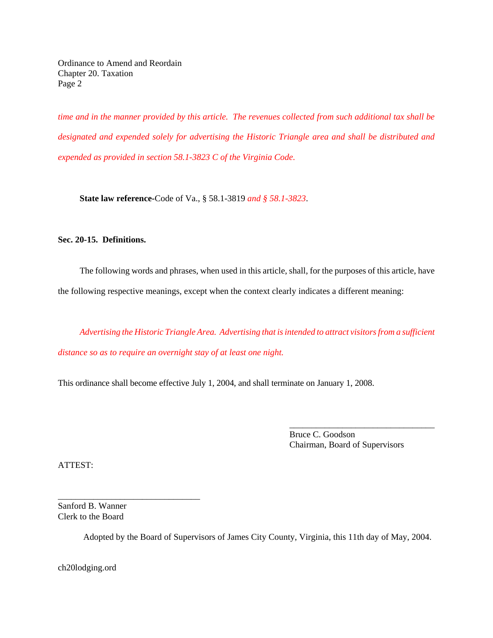Ordinance to Amend and Reordain Chapter 20. Taxation Page 2

*time and in the manner provided by this article. The revenues collected from such additional tax shall be designated and expended solely for advertising the Historic Triangle area and shall be distributed and expended as provided in section 58.1-3823 C of the Virginia Code.*

**State law reference-**Code of Va., § 58.1-3819 *and § 58.1-3823*.

## **Sec. 20-15. Definitions.**

The following words and phrases, when used in this article, shall, for the purposes of this article, have the following respective meanings, except when the context clearly indicates a different meaning:

*Advertising the Historic Triangle Area. Advertising that is intended to attract visitors from a sufficient distance so as to require an overnight stay of at least one night.*

This ordinance shall become effective July 1, 2004, and shall terminate on January 1, 2008.

Bruce C. Goodson Chairman, Board of Supervisors

\_\_\_\_\_\_\_\_\_\_\_\_\_\_\_\_\_\_\_\_\_\_\_\_\_\_\_\_\_\_\_\_\_

ATTEST:

Sanford B. Wanner Clerk to the Board

\_\_\_\_\_\_\_\_\_\_\_\_\_\_\_\_\_\_\_\_\_\_\_\_\_\_\_\_\_\_\_\_

Adopted by the Board of Supervisors of James City County, Virginia, this 11th day of May, 2004.

ch20lodging.ord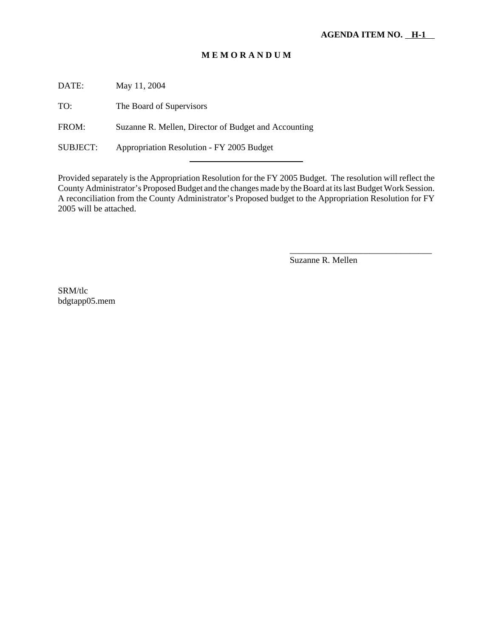DATE: May 11, 2004

TO: The Board of Supervisors

FROM: Suzanne R. Mellen, Director of Budget and Accounting

l

SUBJECT: Appropriation Resolution - FY 2005 Budget

Provided separately is the Appropriation Resolution for the FY 2005 Budget. The resolution will reflect the County Administrator's Proposed Budget and the changes made by the Board at its last Budget Work Session. A reconciliation from the County Administrator's Proposed budget to the Appropriation Resolution for FY 2005 will be attached.

Suzanne R. Mellen

\_\_\_\_\_\_\_\_\_\_\_\_\_\_\_\_\_\_\_\_\_\_\_\_\_\_\_\_\_\_\_\_

SRM/tlc bdgtapp05.mem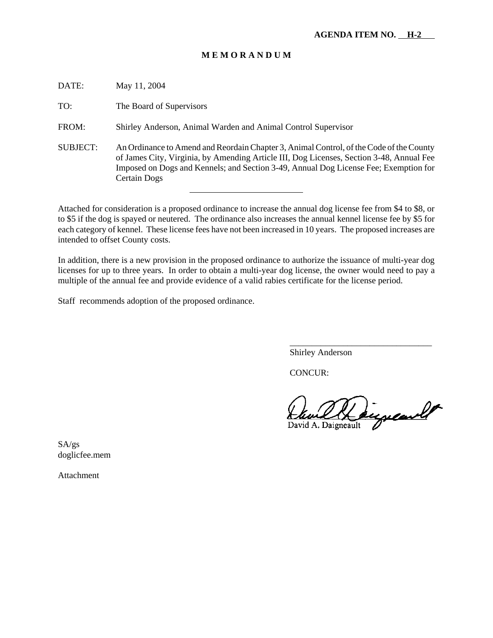| DATE:    | May 11, 2004                                                                                                                                                                                                                                                                                |
|----------|---------------------------------------------------------------------------------------------------------------------------------------------------------------------------------------------------------------------------------------------------------------------------------------------|
| TO:      | The Board of Supervisors                                                                                                                                                                                                                                                                    |
| FROM:    | Shirley Anderson, Animal Warden and Animal Control Supervisor                                                                                                                                                                                                                               |
| SUBJECT: | An Ordinance to Amend and Reordain Chapter 3, Animal Control, of the Code of the County<br>of James City, Virginia, by Amending Article III, Dog Licenses, Section 3-48, Annual Fee<br>Imposed on Dogs and Kennels; and Section 3-49, Annual Dog License Fee; Exemption for<br>Certain Dogs |

Attached for consideration is a proposed ordinance to increase the annual dog license fee from \$4 to \$8, or to \$5 if the dog is spayed or neutered. The ordinance also increases the annual kennel license fee by \$5 for each category of kennel. These license fees have not been increased in 10 years. The proposed increases are intended to offset County costs.

In addition, there is a new provision in the proposed ordinance to authorize the issuance of multi-year dog licenses for up to three years. In order to obtain a multi-year dog license, the owner would need to pay a multiple of the annual fee and provide evidence of a valid rabies certificate for the license period.

Staff recommends adoption of the proposed ordinance.

Shirley Anderson

CONCUR:

augurand David A. Daigneault

\_\_\_\_\_\_\_\_\_\_\_\_\_\_\_\_\_\_\_\_\_\_\_\_\_\_\_\_\_\_\_\_

SA/gs doglicfee.mem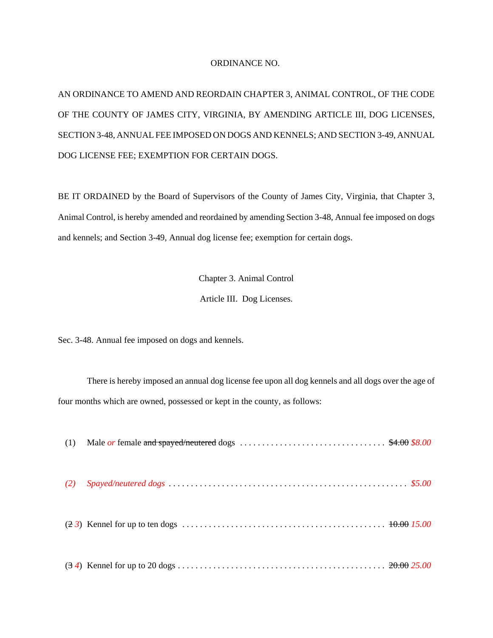#### ORDINANCE NO.

AN ORDINANCE TO AMEND AND REORDAIN CHAPTER 3, ANIMAL CONTROL, OF THE CODE OF THE COUNTY OF JAMES CITY, VIRGINIA, BY AMENDING ARTICLE III, DOG LICENSES, SECTION 3-48, ANNUAL FEE IMPOSED ON DOGS AND KENNELS; AND SECTION 3-49, ANNUAL DOG LICENSE FEE; EXEMPTION FOR CERTAIN DOGS.

BE IT ORDAINED by the Board of Supervisors of the County of James City, Virginia, that Chapter 3, Animal Control, is hereby amended and reordained by amending Section 3-48, Annual fee imposed on dogs and kennels; and Section 3-49, Annual dog license fee; exemption for certain dogs.

> Chapter 3. Animal Control Article III. Dog Licenses.

Sec. 3-48. Annual fee imposed on dogs and kennels.

There is hereby imposed an annual dog license fee upon all dog kennels and all dogs over the age of four months which are owned, possessed or kept in the county, as follows:

|     | (1) Male <i>or</i> female and spayed/neutered dogs $\ldots \ldots \ldots \ldots \ldots \ldots \ldots \ldots \ldots \qquad $4.00 $8.00$ |  |
|-----|----------------------------------------------------------------------------------------------------------------------------------------|--|
| (2) |                                                                                                                                        |  |
|     |                                                                                                                                        |  |
|     |                                                                                                                                        |  |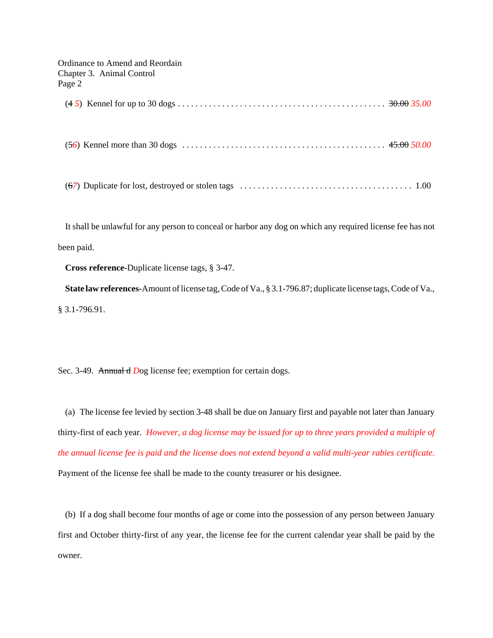| Ordinance to Amend and Reordain<br>Chapter 3. Animal Control<br>Page 2 |  |
|------------------------------------------------------------------------|--|
|                                                                        |  |
|                                                                        |  |
|                                                                        |  |

It shall be unlawful for any person to conceal or harbor any dog on which any required license fee has not been paid.

**Cross reference-**Duplicate license tags, § 3-47.

**State law references-**Amount of license tag, Code of Va., § 3.1-796.87; duplicate license tags, Code of Va., § 3.1-796.91.

Sec. 3-49. Annual d Dog license fee; exemption for certain dogs.

(a) The license fee levied by section 3-48 shall be due on January first and payable not later than January thirty-first of each year. *However, a dog license may be issued for up to three years provided a multiple of the annual license fee is paid and the license does not extend beyond a valid multi-year rabies certificate.* Payment of the license fee shall be made to the county treasurer or his designee.

(b) If a dog shall become four months of age or come into the possession of any person between January first and October thirty-first of any year, the license fee for the current calendar year shall be paid by the owner.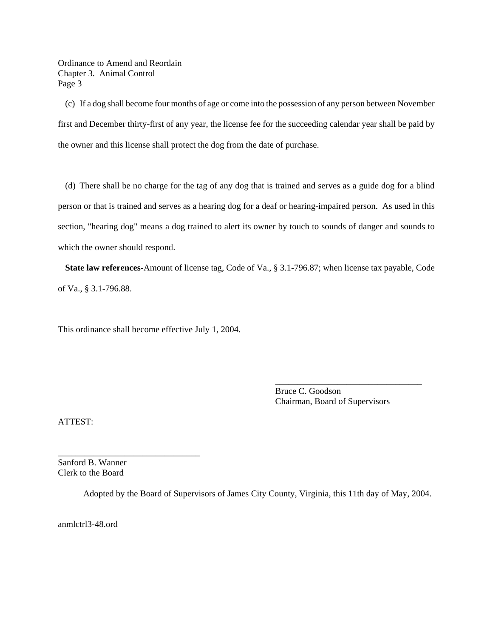Ordinance to Amend and Reordain Chapter 3. Animal Control Page 3

(c) If a dog shall become four months of age or come into the possession of any person between November first and December thirty-first of any year, the license fee for the succeeding calendar year shall be paid by the owner and this license shall protect the dog from the date of purchase.

(d) There shall be no charge for the tag of any dog that is trained and serves as a guide dog for a blind person or that is trained and serves as a hearing dog for a deaf or hearing-impaired person. As used in this section, "hearing dog" means a dog trained to alert its owner by touch to sounds of danger and sounds to which the owner should respond.

**State law references-**Amount of license tag, Code of Va., § 3.1-796.87; when license tax payable, Code of Va., § 3.1-796.88.

This ordinance shall become effective July 1, 2004.

Bruce C. Goodson Chairman, Board of Supervisors

\_\_\_\_\_\_\_\_\_\_\_\_\_\_\_\_\_\_\_\_\_\_\_\_\_\_\_\_\_\_\_\_\_

ATTEST:

Sanford B. Wanner Clerk to the Board

\_\_\_\_\_\_\_\_\_\_\_\_\_\_\_\_\_\_\_\_\_\_\_\_\_\_\_\_\_\_\_\_

Adopted by the Board of Supervisors of James City County, Virginia, this 11th day of May, 2004.

anmlctrl3-48.ord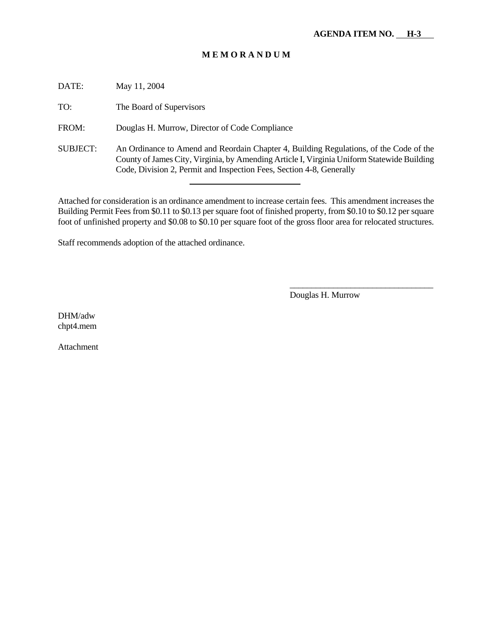DATE: May 11, 2004 TO: The Board of Supervisors FROM: Douglas H. Murrow, Director of Code Compliance SUBJECT: An Ordinance to Amend and Reordain Chapter 4, Building Regulations, of the Code of the County of James City, Virginia, by Amending Article I, Virginia Uniform Statewide Building Code, Division 2, Permit and Inspection Fees, Section 4-8, Generally

Attached for consideration is an ordinance amendment to increase certain fees. This amendment increases the Building Permit Fees from \$0.11 to \$0.13 per square foot of finished property, from \$0.10 to \$0.12 per square foot of unfinished property and \$0.08 to \$0.10 per square foot of the gross floor area for relocated structures.

Staff recommends adoption of the attached ordinance.

l

Douglas H. Murrow

\_\_\_\_\_\_\_\_\_\_\_\_\_\_\_\_\_\_\_\_\_\_\_\_\_\_\_\_\_\_\_\_\_

DHM/adw chpt4.mem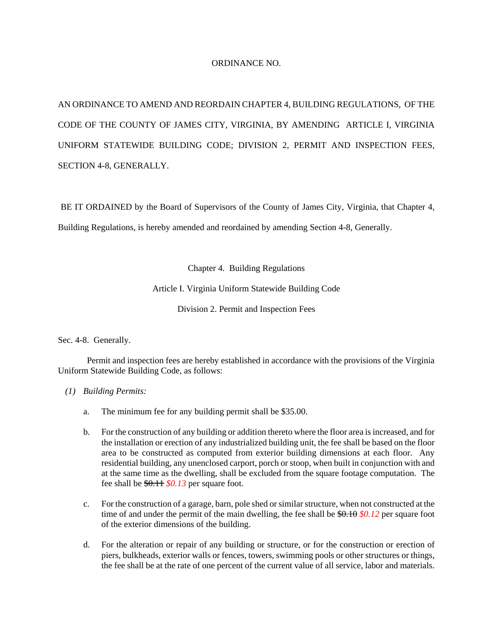#### ORDINANCE NO.

AN ORDINANCE TO AMEND AND REORDAIN CHAPTER 4, BUILDING REGULATIONS, OF THE CODE OF THE COUNTY OF JAMES CITY, VIRGINIA, BY AMENDING ARTICLE I, VIRGINIA UNIFORM STATEWIDE BUILDING CODE; DIVISION 2, PERMIT AND INSPECTION FEES, SECTION 4-8, GENERALLY.

BE IT ORDAINED by the Board of Supervisors of the County of James City, Virginia, that Chapter 4,

Building Regulations, is hereby amended and reordained by amending Section 4-8, Generally.

Chapter 4. Building Regulations

Article I. Virginia Uniform Statewide Building Code

Division 2. Permit and Inspection Fees

Sec. 4-8. Generally.

Permit and inspection fees are hereby established in accordance with the provisions of the Virginia Uniform Statewide Building Code, as follows:

- *(1) Building Permits:*
	- a. The minimum fee for any building permit shall be \$35.00.
	- b. For the construction of any building or addition thereto where the floor area is increased, and for the installation or erection of any industrialized building unit, the fee shall be based on the floor area to be constructed as computed from exterior building dimensions at each floor. Any residential building, any unenclosed carport, porch or stoop, when built in conjunction with and at the same time as the dwelling, shall be excluded from the square footage computation. The fee shall be \$0.11 *\$0.13* per square foot.
	- c. For the construction of a garage, barn, pole shed or similar structure, when not constructed at the time of and under the permit of the main dwelling, the fee shall be  $\frac{60.10}{10.12}$  per square foot of the exterior dimensions of the building.
	- d. For the alteration or repair of any building or structure, or for the construction or erection of piers, bulkheads, exterior walls or fences, towers, swimming pools or other structures or things, the fee shall be at the rate of one percent of the current value of all service, labor and materials.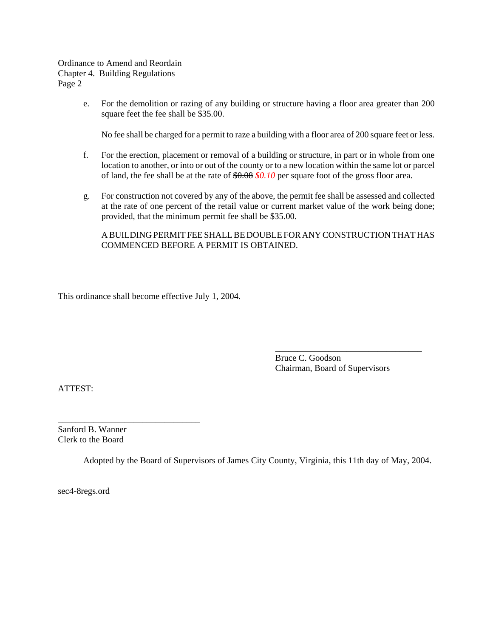Ordinance to Amend and Reordain Chapter 4. Building Regulations Page 2

> e. For the demolition or razing of any building or structure having a floor area greater than 200 square feet the fee shall be \$35.00.

No fee shall be charged for a permit to raze a building with a floor area of 200 square feet or less.

- f. For the erection, placement or removal of a building or structure, in part or in whole from one location to another, or into or out of the county or to a new location within the same lot or parcel of land, the fee shall be at the rate of \$0.08 *\$0.10* per square foot of the gross floor area.
- g. For construction not covered by any of the above, the permit fee shall be assessed and collected at the rate of one percent of the retail value or current market value of the work being done; provided, that the minimum permit fee shall be \$35.00.

## A BUILDING PERMIT FEE SHALL BE DOUBLE FOR ANY CONSTRUCTION THAT HAS COMMENCED BEFORE A PERMIT IS OBTAINED.

This ordinance shall become effective July 1, 2004.

Bruce C. Goodson Chairman, Board of Supervisors

\_\_\_\_\_\_\_\_\_\_\_\_\_\_\_\_\_\_\_\_\_\_\_\_\_\_\_\_\_\_\_\_\_

ATTEST:

Sanford B. Wanner Clerk to the Board

\_\_\_\_\_\_\_\_\_\_\_\_\_\_\_\_\_\_\_\_\_\_\_\_\_\_\_\_\_\_\_\_

Adopted by the Board of Supervisors of James City County, Virginia, this 11th day of May, 2004.

sec4-8regs.ord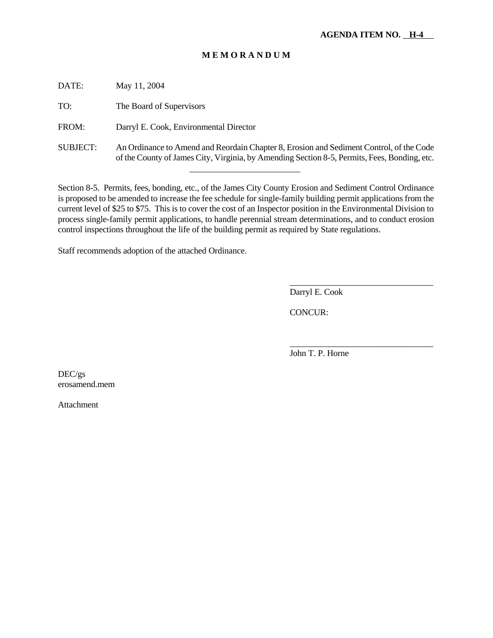DATE: May 11, 2004

TO: The Board of Supervisors

FROM: Darryl E. Cook, Environmental Director

l

SUBJECT: An Ordinance to Amend and Reordain Chapter 8, Erosion and Sediment Control, of the Code of the County of James City, Virginia, by Amending Section 8-5, Permits, Fees, Bonding, etc.

Section 8-5. Permits, fees, bonding, etc., of the James City County Erosion and Sediment Control Ordinance is proposed to be amended to increase the fee schedule for single-family building permit applications from the current level of \$25 to \$75. This is to cover the cost of an Inspector position in the Environmental Division to process single-family permit applications, to handle perennial stream determinations, and to conduct erosion control inspections throughout the life of the building permit as required by State regulations.

Staff recommends adoption of the attached Ordinance.

Darryl E. Cook

\_\_\_\_\_\_\_\_\_\_\_\_\_\_\_\_\_\_\_\_\_\_\_\_\_\_\_\_\_\_\_\_\_

\_\_\_\_\_\_\_\_\_\_\_\_\_\_\_\_\_\_\_\_\_\_\_\_\_\_\_\_\_\_\_\_\_

CONCUR:

John T. P. Horne

DEC/gs erosamend.mem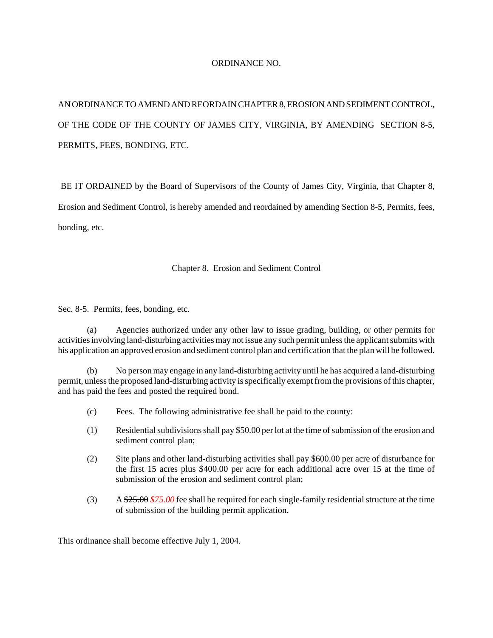#### ORDINANCE NO.

AN ORDINANCE TO AMEND AND REORDAIN CHAPTER 8, EROSION AND SEDIMENT CONTROL, OF THE CODE OF THE COUNTY OF JAMES CITY, VIRGINIA, BY AMENDING SECTION 8-5, PERMITS, FEES, BONDING, ETC.

BE IT ORDAINED by the Board of Supervisors of the County of James City, Virginia, that Chapter 8,

Erosion and Sediment Control, is hereby amended and reordained by amending Section 8-5, Permits, fees,

bonding, etc.

## Chapter 8. Erosion and Sediment Control

Sec. 8-5. Permits, fees, bonding, etc.

(a) Agencies authorized under any other law to issue grading, building, or other permits for activities involving land-disturbing activities may not issue any such permit unless the applicant submits with his application an approved erosion and sediment control plan and certification that the plan will be followed.

(b) No person may engage in any land-disturbing activity until he has acquired a land-disturbing permit, unless the proposed land-disturbing activity is specifically exempt from the provisions of this chapter, and has paid the fees and posted the required bond.

- (c) Fees. The following administrative fee shall be paid to the county:
- (1) Residential subdivisions shall pay \$50.00 per lot at the time of submission of the erosion and sediment control plan;
- (2) Site plans and other land-disturbing activities shall pay \$600.00 per acre of disturbance for the first 15 acres plus \$400.00 per acre for each additional acre over 15 at the time of submission of the erosion and sediment control plan;
- (3) A \$25.00 *\$75.00* fee shall be required for each single-family residential structure at the time of submission of the building permit application.

This ordinance shall become effective July 1, 2004.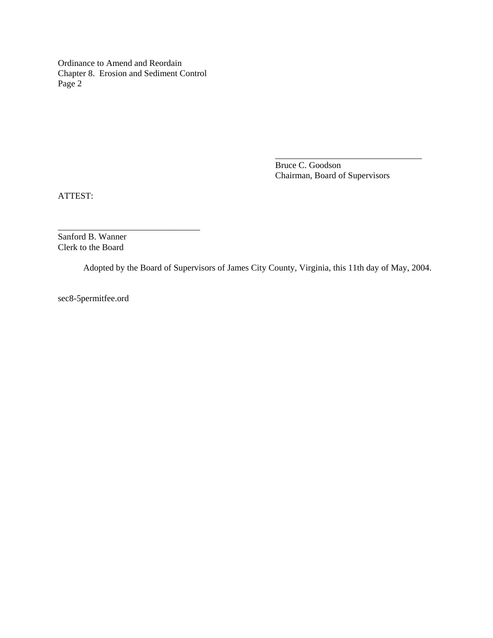Ordinance to Amend and Reordain Chapter 8. Erosion and Sediment Control Page 2

\_\_\_\_\_\_\_\_\_\_\_\_\_\_\_\_\_\_\_\_\_\_\_\_\_\_\_\_\_\_\_\_

Bruce C. Goodson Chairman, Board of Supervisors

\_\_\_\_\_\_\_\_\_\_\_\_\_\_\_\_\_\_\_\_\_\_\_\_\_\_\_\_\_\_\_\_\_

ATTEST:

Sanford B. Wanner Clerk to the Board

Adopted by the Board of Supervisors of James City County, Virginia, this 11th day of May, 2004.

sec8-5permitfee.ord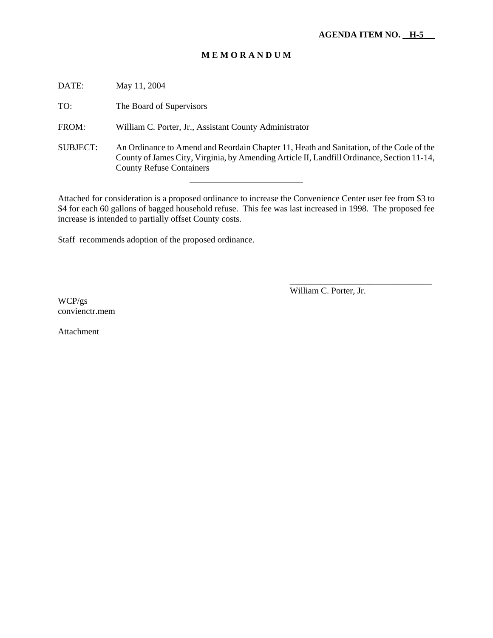DATE: May 11, 2004

TO: The Board of Supervisors

FROM: William C. Porter, Jr., Assistant County Administrator

l

SUBJECT: An Ordinance to Amend and Reordain Chapter 11, Heath and Sanitation, of the Code of the County of James City, Virginia, by Amending Article II, Landfill Ordinance, Section 11-14, County Refuse Containers

Attached for consideration is a proposed ordinance to increase the Convenience Center user fee from \$3 to \$4 for each 60 gallons of bagged household refuse. This fee was last increased in 1998. The proposed fee increase is intended to partially offset County costs.

Staff recommends adoption of the proposed ordinance.

William C. Porter, Jr.

\_\_\_\_\_\_\_\_\_\_\_\_\_\_\_\_\_\_\_\_\_\_\_\_\_\_\_\_\_\_\_\_

WCP/gs convienctr.mem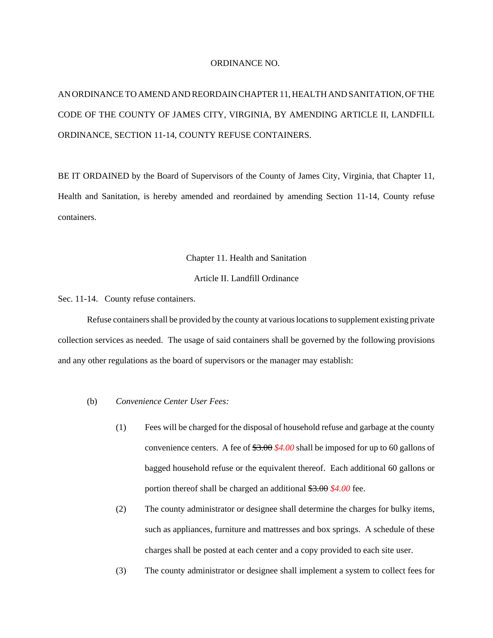#### ORDINANCE NO.

# AN ORDINANCE TO AMEND AND REORDAIN CHAPTER 11, HEALTH AND SANITATION, OF THE CODE OF THE COUNTY OF JAMES CITY, VIRGINIA, BY AMENDING ARTICLE II, LANDFILL ORDINANCE, SECTION 11-14, COUNTY REFUSE CONTAINERS.

BE IT ORDAINED by the Board of Supervisors of the County of James City, Virginia, that Chapter 11, Health and Sanitation, is hereby amended and reordained by amending Section 11-14, County refuse containers.

#### Chapter 11. Health and Sanitation

#### Article II. Landfill Ordinance

Sec. 11-14. County refuse containers.

Refuse containers shall be provided by the county at various locations to supplement existing private collection services as needed. The usage of said containers shall be governed by the following provisions and any other regulations as the board of supervisors or the manager may establish:

#### (b) *Convenience Center User Fees:*

- (1) Fees will be charged for the disposal of household refuse and garbage at the county convenience centers. A fee of \$3.00 *\$4.00* shall be imposed for up to 60 gallons of bagged household refuse or the equivalent thereof. Each additional 60 gallons or portion thereof shall be charged an additional \$3.00 *\$4.00* fee.
- (2) The county administrator or designee shall determine the charges for bulky items, such as appliances, furniture and mattresses and box springs. A schedule of these charges shall be posted at each center and a copy provided to each site user.
- (3) The county administrator or designee shall implement a system to collect fees for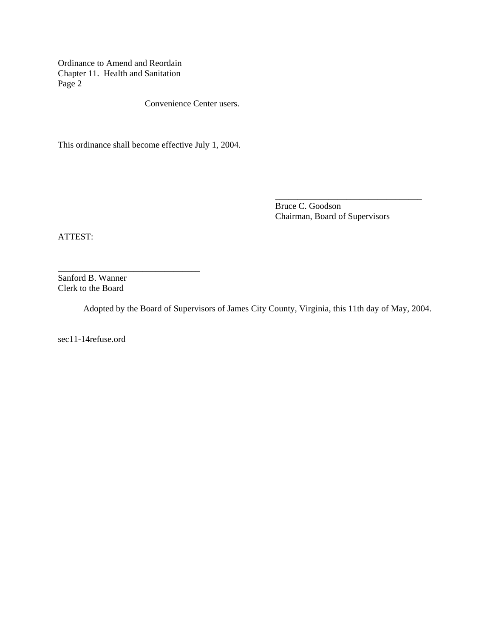Ordinance to Amend and Reordain Chapter 11. Health and Sanitation Page 2

Convenience Center users.

This ordinance shall become effective July 1, 2004.

Bruce C. Goodson Chairman, Board of Supervisors

\_\_\_\_\_\_\_\_\_\_\_\_\_\_\_\_\_\_\_\_\_\_\_\_\_\_\_\_\_\_\_\_\_

ATTEST:

Sanford B. Wanner Clerk to the Board

\_\_\_\_\_\_\_\_\_\_\_\_\_\_\_\_\_\_\_\_\_\_\_\_\_\_\_\_\_\_\_\_

Adopted by the Board of Supervisors of James City County, Virginia, this 11th day of May, 2004.

sec11-14refuse.ord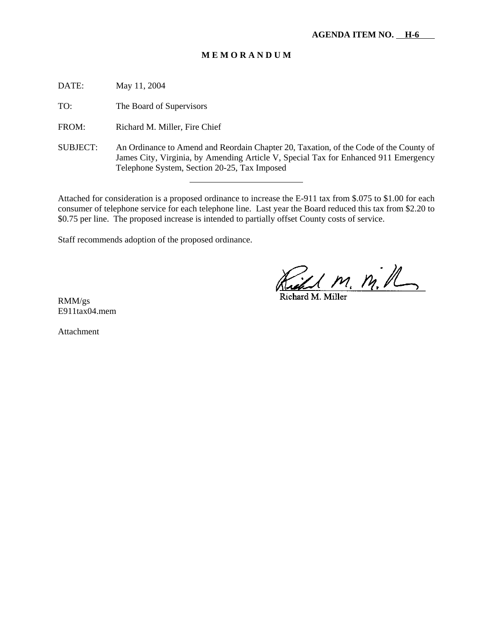DATE: May 11, 2004

TO: The Board of Supervisors

FROM: Richard M. Miller, Fire Chief

SUBJECT: An Ordinance to Amend and Reordain Chapter 20, Taxation, of the Code of the County of James City, Virginia, by Amending Article V, Special Tax for Enhanced 911 Emergency Telephone System, Section 20-25, Tax Imposed

Attached for consideration is a proposed ordinance to increase the E-911 tax from \$.075 to \$1.00 for each consumer of telephone service for each telephone line. Last year the Board reduced this tax from \$2.20 to \$0.75 per line. The proposed increase is intended to partially offset County costs of service.

Staff recommends adoption of the proposed ordinance.

l

<u>Cell M. M. R.</u>

RMM/gs E911tax04.mem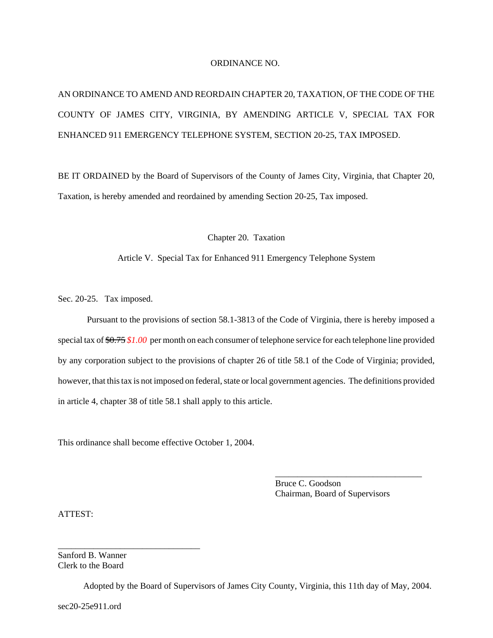#### ORDINANCE NO.

AN ORDINANCE TO AMEND AND REORDAIN CHAPTER 20, TAXATION, OF THE CODE OF THE COUNTY OF JAMES CITY, VIRGINIA, BY AMENDING ARTICLE V, SPECIAL TAX FOR ENHANCED 911 EMERGENCY TELEPHONE SYSTEM, SECTION 20-25, TAX IMPOSED.

BE IT ORDAINED by the Board of Supervisors of the County of James City, Virginia, that Chapter 20, Taxation, is hereby amended and reordained by amending Section 20-25, Tax imposed.

Chapter 20. Taxation

#### Article V. Special Tax for Enhanced 911 Emergency Telephone System

Sec. 20-25. Tax imposed.

Pursuant to the provisions of section 58.1-3813 of the Code of Virginia, there is hereby imposed a special tax of \$0.75 *\$1.00* per month on each consumer of telephone service for each telephone line provided by any corporation subject to the provisions of chapter 26 of title 58.1 of the Code of Virginia; provided, however, that this tax is not imposed on federal, state or local government agencies. The definitions provided in article 4, chapter 38 of title 58.1 shall apply to this article.

This ordinance shall become effective October 1, 2004.

Bruce C. Goodson Chairman, Board of Supervisors

\_\_\_\_\_\_\_\_\_\_\_\_\_\_\_\_\_\_\_\_\_\_\_\_\_\_\_\_\_\_\_\_\_

ATTEST:

Sanford B. Wanner Clerk to the Board

\_\_\_\_\_\_\_\_\_\_\_\_\_\_\_\_\_\_\_\_\_\_\_\_\_\_\_\_\_\_\_\_

Adopted by the Board of Supervisors of James City County, Virginia, this 11th day of May, 2004.

sec20-25e911.ord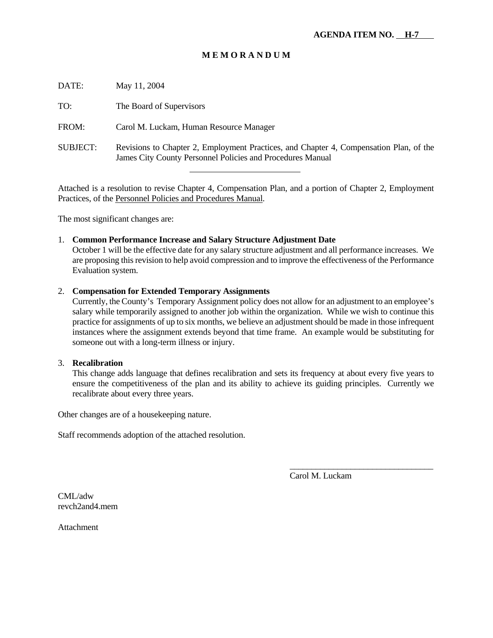| DATE:    | May 11, 2004                                                                                                                                         |
|----------|------------------------------------------------------------------------------------------------------------------------------------------------------|
| TO:      | The Board of Supervisors                                                                                                                             |
| FROM:    | Carol M. Luckam, Human Resource Manager                                                                                                              |
| SUBJECT: | Revisions to Chapter 2, Employment Practices, and Chapter 4, Compensation Plan, of the<br>James City County Personnel Policies and Procedures Manual |

Attached is a resolution to revise Chapter 4, Compensation Plan, and a portion of Chapter 2, Employment Practices, of the Personnel Policies and Procedures Manual.

The most significant changes are:

#### 1. **Common Performance Increase and Salary Structure Adjustment Date**

l

October 1 will be the effective date for any salary structure adjustment and all performance increases. We are proposing this revision to help avoid compression and to improve the effectiveness of the Performance Evaluation system.

#### 2. **Compensation for Extended Temporary Assignments**

Currently, the County's Temporary Assignment policy does not allow for an adjustment to an employee's salary while temporarily assigned to another job within the organization. While we wish to continue this practice for assignments of up to six months, we believe an adjustment should be made in those infrequent instances where the assignment extends beyond that time frame. An example would be substituting for someone out with a long-term illness or injury.

## 3. **Recalibration**

This change adds language that defines recalibration and sets its frequency at about every five years to ensure the competitiveness of the plan and its ability to achieve its guiding principles. Currently we recalibrate about every three years.

Other changes are of a housekeeping nature.

Staff recommends adoption of the attached resolution.

Carol M. Luckam

\_\_\_\_\_\_\_\_\_\_\_\_\_\_\_\_\_\_\_\_\_\_\_\_\_\_\_\_\_\_\_\_\_

CML/adw revch2and4.mem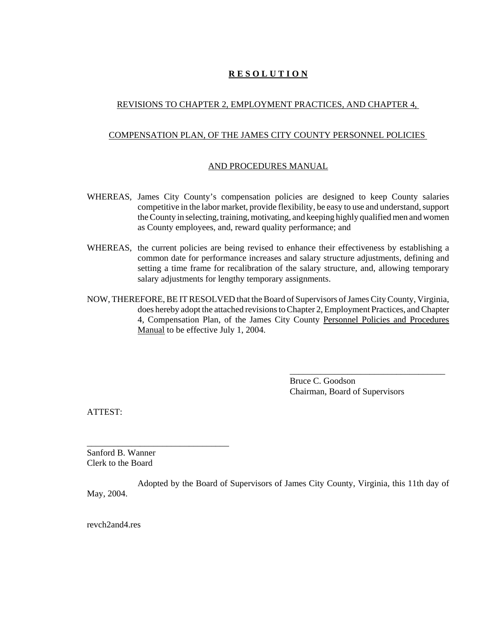## **R E S O L U T I O N**

## REVISIONS TO CHAPTER 2, EMPLOYMENT PRACTICES, AND CHAPTER 4,

#### COMPENSATION PLAN, OF THE JAMES CITY COUNTY PERSONNEL POLICIES

### AND PROCEDURES MANUAL

- WHEREAS, James City County's compensation policies are designed to keep County salaries competitive in the labor market, provide flexibility, be easy to use and understand, support the County in selecting, training, motivating, and keeping highly qualified men and women as County employees, and, reward quality performance; and
- WHEREAS, the current policies are being revised to enhance their effectiveness by establishing a common date for performance increases and salary structure adjustments, defining and setting a time frame for recalibration of the salary structure, and, allowing temporary salary adjustments for lengthy temporary assignments.
- NOW, THEREFORE, BE IT RESOLVED that the Board of Supervisors of James City County, Virginia, does hereby adopt the attached revisions to Chapter 2, Employment Practices, and Chapter 4, Compensation Plan, of the James City County Personnel Policies and Procedures Manual to be effective July 1, 2004.

Bruce C. Goodson Chairman, Board of Supervisors

\_\_\_\_\_\_\_\_\_\_\_\_\_\_\_\_\_\_\_\_\_\_\_\_\_\_\_\_\_\_\_\_\_\_\_

ATTEST:

Sanford B. Wanner Clerk to the Board

\_\_\_\_\_\_\_\_\_\_\_\_\_\_\_\_\_\_\_\_\_\_\_\_\_\_\_\_\_\_\_\_

Adopted by the Board of Supervisors of James City County, Virginia, this 11th day of May, 2004.

revch2and4.res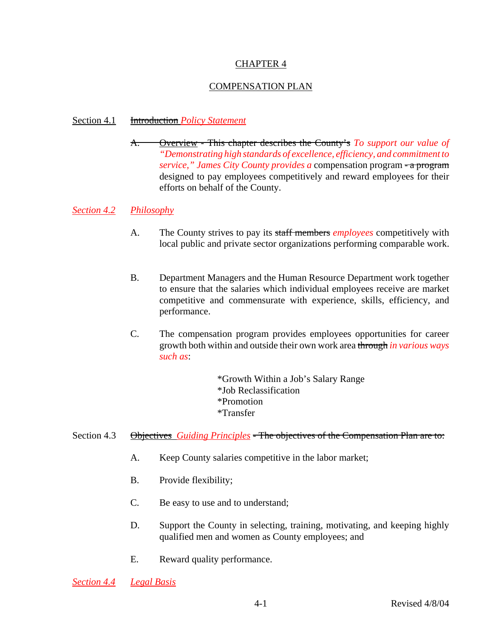# CHAPTER 4

# COMPENSATION PLAN

## Section 4.1 Introduction *Policy Statement*

A. Overview - This chapter describes the County's *To support our value of "Demonstrating high standards of excellence, efficiency, and commitment to service," James City County provides a* compensation program - a program designed to pay employees competitively and reward employees for their efforts on behalf of the County.

## *Section 4.2 Philosophy*

- A. The County strives to pay its staff members *employees* competitively with local public and private sector organizations performing comparable work.
- B. Department Managers and the Human Resource Department work together to ensure that the salaries which individual employees receive are market competitive and commensurate with experience, skills, efficiency, and performance.
- C. The compensation program provides employees opportunities for career growth both within and outside their own work area through *in various ways such as*:

\*Growth Within a Job's Salary Range \*Job Reclassification \*Promotion \*Transfer

## Section 4.3 **Objectives** *Guiding Principles* - The objectives of the Compensation Plan are to:

- A. Keep County salaries competitive in the labor market;
- B. Provide flexibility;
- C. Be easy to use and to understand;
- D. Support the County in selecting, training, motivating, and keeping highly qualified men and women as County employees; and
- E. Reward quality performance.

*Section 4.4 Legal Basis*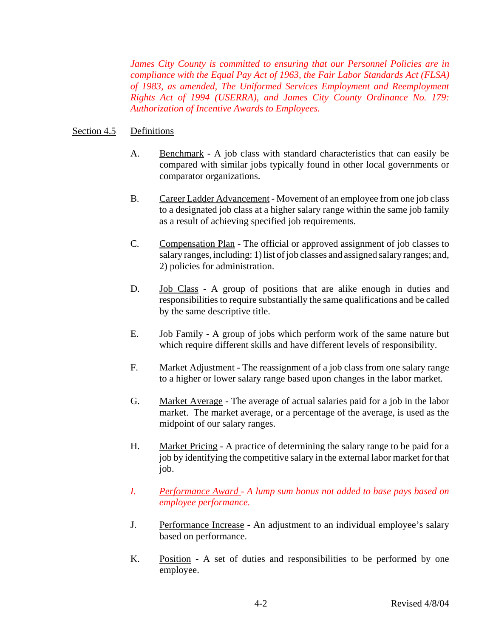*James City County is committed to ensuring that our Personnel Policies are in compliance with the Equal Pay Act of 1963, the Fair Labor Standards Act (FLSA) of 1983, as amended, The Uniformed Services Employment and Reemployment Rights Act of 1994 (USERRA), and James City County Ordinance No. 179: Authorization of Incentive Awards to Employees.*

## Section 4.5 Definitions

- A. Benchmark A job class with standard characteristics that can easily be compared with similar jobs typically found in other local governments or comparator organizations.
- B. Career Ladder Advancement Movement of an employee from one job class to a designated job class at a higher salary range within the same job family as a result of achieving specified job requirements.
- C. Compensation Plan The official or approved assignment of job classes to salary ranges, including: 1) list of job classes and assigned salary ranges; and, 2) policies for administration.
- D. Job Class A group of positions that are alike enough in duties and responsibilities to require substantially the same qualifications and be called by the same descriptive title.
- E. Job Family A group of jobs which perform work of the same nature but which require different skills and have different levels of responsibility.
- F. Market Adjustment The reassignment of a job class from one salary range to a higher or lower salary range based upon changes in the labor market*.*
- G. Market Average The average of actual salaries paid for a job in the labor market. The market average, or a percentage of the average, is used as the midpoint of our salary ranges.
- H. Market Pricing A practice of determining the salary range to be paid for a job by identifying the competitive salary in the external labor market for that job.
- *I. Performance Award A lump sum bonus not added to base pays based on employee performance.*
- J. Performance Increase An adjustment to an individual employee's salary based on performance.
- K. Position A set of duties and responsibilities to be performed by one employee.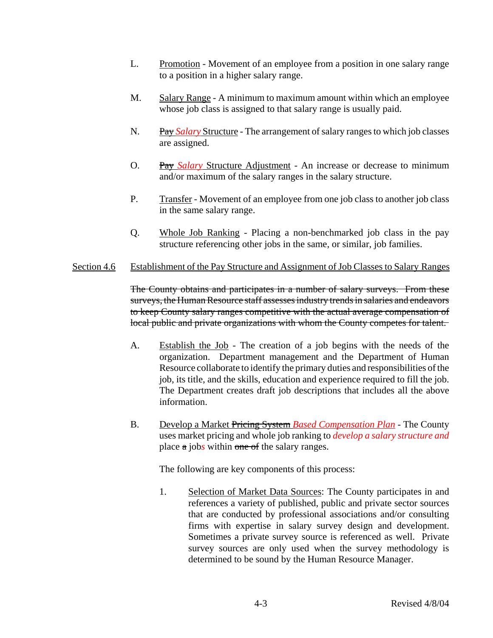- L. Promotion Movement of an employee from a position in one salary range to a position in a higher salary range.
- M. Salary Range A minimum to maximum amount within which an employee whose job class is assigned to that salary range is usually paid.
- N. Pay *Salary* Structure The arrangement of salary ranges to which job classes are assigned.
- O. Pay *Salary* Structure Adjustment An increase or decrease to minimum and/or maximum of the salary ranges in the salary structure.
- P. Transfer Movement of an employee from one job class to another job class in the same salary range.
- Q. Whole Job Ranking Placing a non-benchmarked job class in the pay structure referencing other jobs in the same, or similar, job families.

## Section 4.6 Establishment of the Pay Structure and Assignment of Job Classes to Salary Ranges

The County obtains and participates in a number of salary surveys. From these surveys, the Human Resource staff assesses industry trends in salaries and endeavors to keep County salary ranges competitive with the actual average compensation of local public and private organizations with whom the County competes for talent.

- A. Establish the Job The creation of a job begins with the needs of the organization. Department management and the Department of Human Resource collaborate to identify the primary duties and responsibilities of the job, its title, and the skills, education and experience required to fill the job. The Department creates draft job descriptions that includes all the above information.
- B. Develop a Market Pricing System *Based Compensation Plan* The County uses market pricing and whole job ranking to *develop a salary structure and* place a job*s* within one of the salary ranges.

The following are key components of this process:

1. Selection of Market Data Sources: The County participates in and references a variety of published, public and private sector sources that are conducted by professional associations and/or consulting firms with expertise in salary survey design and development. Sometimes a private survey source is referenced as well. Private survey sources are only used when the survey methodology is determined to be sound by the Human Resource Manager.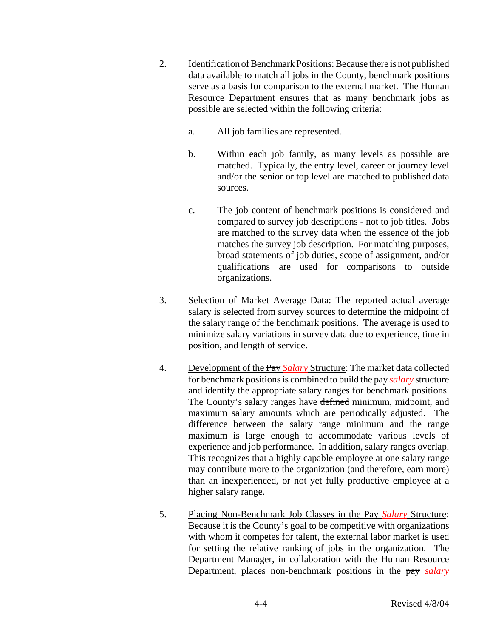- 2. Identification of Benchmark Positions: Because there is not published data available to match all jobs in the County, benchmark positions serve as a basis for comparison to the external market. The Human Resource Department ensures that as many benchmark jobs as possible are selected within the following criteria:
	- a. All job families are represented.
	- b. Within each job family, as many levels as possible are matched. Typically, the entry level, career or journey level and/or the senior or top level are matched to published data sources.
	- c. The job content of benchmark positions is considered and compared to survey job descriptions - not to job titles. Jobs are matched to the survey data when the essence of the job matches the survey job description. For matching purposes, broad statements of job duties, scope of assignment, and/or qualifications are used for comparisons to outside organizations.
- 3. Selection of Market Average Data: The reported actual average salary is selected from survey sources to determine the midpoint of the salary range of the benchmark positions. The average is used to minimize salary variations in survey data due to experience, time in position, and length of service.
- 4. Development of the Pay *Salary* Structure: The market data collected for benchmark positions is combined to build the pay *salary* structure and identify the appropriate salary ranges for benchmark positions. The County's salary ranges have defined minimum, midpoint, and maximum salary amounts which are periodically adjusted. The difference between the salary range minimum and the range maximum is large enough to accommodate various levels of experience and job performance. In addition, salary ranges overlap. This recognizes that a highly capable employee at one salary range may contribute more to the organization (and therefore, earn more) than an inexperienced, or not yet fully productive employee at a higher salary range.
- 5. Placing Non-Benchmark Job Classes in the Pay *Salary* Structure: Because it is the County's goal to be competitive with organizations with whom it competes for talent, the external labor market is used for setting the relative ranking of jobs in the organization. The Department Manager, in collaboration with the Human Resource Department, places non-benchmark positions in the pay *salary*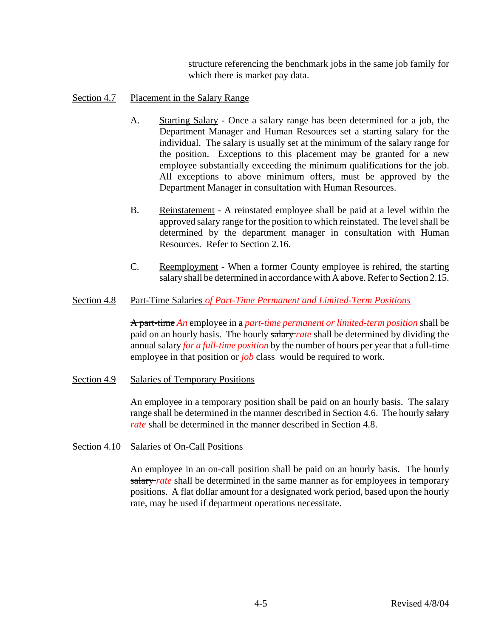structure referencing the benchmark jobs in the same job family for which there is market pay data.

## Section 4.7 Placement in the Salary Range

- A. Starting Salary Once a salary range has been determined for a job, the Department Manager and Human Resources set a starting salary for the individual. The salary is usually set at the minimum of the salary range for the position. Exceptions to this placement may be granted for a new employee substantially exceeding the minimum qualifications for the job. All exceptions to above minimum offers, must be approved by the Department Manager in consultation with Human Resources.
- B. Reinstatement A reinstated employee shall be paid at a level within the approved salary range for the position to which reinstated. The level shall be determined by the department manager in consultation with Human Resources. Refer to Section 2.16.
- C. Reemployment When a former County employee is rehired, the starting salary shall be determined in accordance with A above. Refer to Section 2.15.

## Section 4.8 Part-Time Salaries *of Part-Time Permanent and Limited-Term Positions*

A part-time *An* employee in a *part-time permanent or limited-term position* shall be paid on an hourly basis. The hourly salary *rate* shall be determined by dividing the annual salary *for a full-time position* by the number of hours per year that a full-time employee in that position or *job* class would be required to work.

Section 4.9 Salaries of Temporary Positions

An employee in a temporary position shall be paid on an hourly basis. The salary range shall be determined in the manner described in Section 4.6. The hourly salary *rate* shall be determined in the manner described in Section 4.8.

Section 4.10 Salaries of On-Call Positions

An employee in an on-call position shall be paid on an hourly basis. The hourly salary *rate* shall be determined in the same manner as for employees in temporary positions. A flat dollar amount for a designated work period, based upon the hourly rate, may be used if department operations necessitate.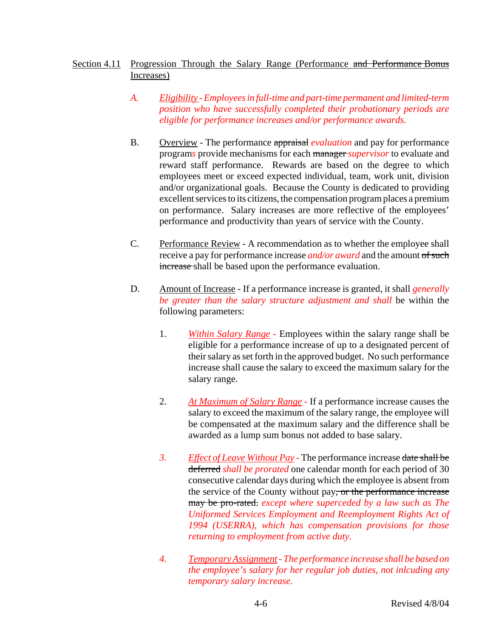# Section 4.11 Progression Through the Salary Range (Performance and Performance Bonus Increases)

- *A. Eligibility Employees in full-time and part-time permanent and limited-term position who have successfully completed their probationary periods are eligible for performance increases and/or performance awards.*
- B. Overview The performance appraisal *evaluation* and pay for performance program*s* provide mechanisms for each manager *supervisor* to evaluate and reward staff performance. Rewards are based on the degree to which employees meet or exceed expected individual, team, work unit, division and/or organizational goals. Because the County is dedicated to providing excellent services to its citizens, the compensation program places a premium on performance. Salary increases are more reflective of the employees' performance and productivity than years of service with the County.
- C. Performance Review A recommendation as to whether the employee shall receive a pay for performance increase *and/or award* and the amount of such increase shall be based upon the performance evaluation.
- D. Amount of Increase If a performance increase is granted, it shall *generally be greater than the salary structure adjustment and shall* be within the following parameters:
	- 1. *Within Salary Range -* Employees within the salary range shall be eligible for a performance increase of up to a designated percent of their salary as set forth in the approved budget. No such performance increase shall cause the salary to exceed the maximum salary for the salary range.
	- 2. *At Maximum of Salary Range -* If a performance increase causes the salary to exceed the maximum of the salary range, the employee will be compensated at the maximum salary and the difference shall be awarded as a lump sum bonus not added to base salary.
	- *3. Effect of Leave Without Pay* The performance increase date shall be deferred *shall be prorated* one calendar month for each period of 30 consecutive calendar days during which the employee is absent from the service of the County without pay, or the performance increase may be pro-rated. *except where superceded by a law such as The Uniformed Services Employment and Reemployment Rights Act of 1994 (USERRA), which has compensation provisions for those returning to employment from active duty.*
	- *4. Temporary Assignment The performance increase shall be based on the employee's salary for her regular job duties, not inlcuding any temporary salary increase.*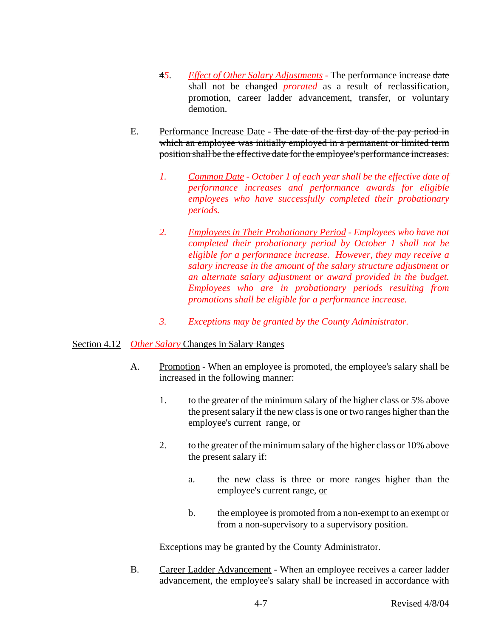- 4*5*. *Effect of Other Salary Adjustments -* The performance increase date shall not be changed *prorated* as a result of reclassification, promotion, career ladder advancement, transfer, or voluntary demotion.
- E. Performance Increase Date The date of the first day of the pay period in which an employee was initially employed in a permanent or limited term position shall be the effective date for the employee's performance increases.
	- *1. Common Date October 1 of each year shall be the effective date of performance increases and performance awards for eligible employees who have successfully completed their probationary periods.*
	- *2. Employees in Their Probationary Period Employees who have not completed their probationary period by October 1 shall not be eligible for a performance increase. However, they may receive a salary increase in the amount of the salary structure adjustment or an alternate salary adjustment or award provided in the budget. Employees who are in probationary periods resulting from promotions shall be eligible for a performance increase.*
	- *3. Exceptions may be granted by the County Administrator.*

# Section 4.12 *Other Salary* Changes in Salary Ranges

- A. Promotion When an employee is promoted, the employee's salary shall be increased in the following manner:
	- 1. to the greater of the minimum salary of the higher class or 5% above the present salary if the new class is one or two ranges higher than the employee's current range, or
	- 2. to the greater of the minimum salary of the higher class or 10% above the present salary if:
		- a. the new class is three or more ranges higher than the employee's current range, or
		- b. the employee is promoted from a non-exempt to an exempt or from a non-supervisory to a supervisory position.

Exceptions may be granted by the County Administrator.

B. Career Ladder Advancement - When an employee receives a career ladder advancement, the employee's salary shall be increased in accordance with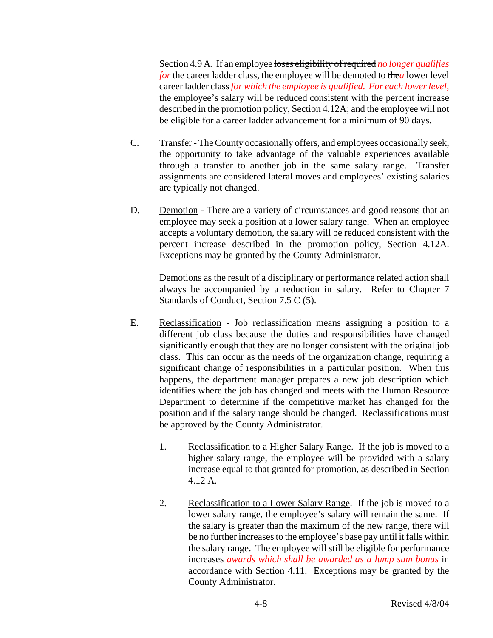Section 4.9 A. If an employee loses eligibility of required no longer qualifies *for* the career ladder class, the employee will be demoted to the*a* lower level career ladder class *for which the employee is qualified. For each lower level,* the employee's salary will be reduced consistent with the percent increase described in the promotion policy, Section 4.12A; and the employee will not be eligible for a career ladder advancement for a minimum of 90 days.

- C. Transfer The County occasionally offers, and employees occasionally seek, the opportunity to take advantage of the valuable experiences available through a transfer to another job in the same salary range. Transfer assignments are considered lateral moves and employees' existing salaries are typically not changed.
- D. Demotion There are a variety of circumstances and good reasons that an employee may seek a position at a lower salary range. When an employee accepts a voluntary demotion, the salary will be reduced consistent with the percent increase described in the promotion policy, Section 4.12A. Exceptions may be granted by the County Administrator.

Demotions as the result of a disciplinary or performance related action shall always be accompanied by a reduction in salary. Refer to Chapter 7 Standards of Conduct, Section 7.5 C (5).

- E. Reclassification Job reclassification means assigning a position to a different job class because the duties and responsibilities have changed significantly enough that they are no longer consistent with the original job class. This can occur as the needs of the organization change, requiring a significant change of responsibilities in a particular position. When this happens, the department manager prepares a new job description which identifies where the job has changed and meets with the Human Resource Department to determine if the competitive market has changed for the position and if the salary range should be changed. Reclassifications must be approved by the County Administrator.
	- 1. Reclassification to a Higher Salary Range. If the job is moved to a higher salary range, the employee will be provided with a salary increase equal to that granted for promotion, as described in Section 4.12 A.
	- 2. Reclassification to a Lower Salary Range. If the job is moved to a lower salary range, the employee's salary will remain the same. If the salary is greater than the maximum of the new range, there will be no further increases to the employee's base pay until it falls within the salary range. The employee will still be eligible for performance increases *awards which shall be awarded as a lump sum bonus* in accordance with Section 4.11. Exceptions may be granted by the County Administrator.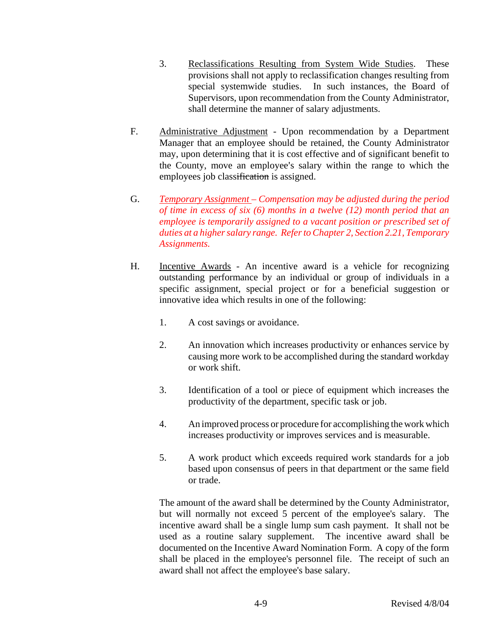- 3. Reclassifications Resulting from System Wide Studies. These provisions shall not apply to reclassification changes resulting from special systemwide studies. In such instances, the Board of Supervisors, upon recommendation from the County Administrator, shall determine the manner of salary adjustments.
- F. Administrative Adjustment Upon recommendation by a Department Manager that an employee should be retained, the County Administrator may, upon determining that it is cost effective and of significant benefit to the County, move an employee's salary within the range to which the employees job classification is assigned.
- G. *Temporary Assignment Compensation may be adjusted during the period of time in excess of six (6) months in a twelve (12) month period that an employee is temporarily assigned to a vacant position or prescribed set of duties at a higher salary range. Refer to Chapter 2, Section 2.21, Temporary Assignments.*
- H. Incentive Awards An incentive award is a vehicle for recognizing outstanding performance by an individual or group of individuals in a specific assignment, special project or for a beneficial suggestion or innovative idea which results in one of the following:
	- 1. A cost savings or avoidance.
	- 2. An innovation which increases productivity or enhances service by causing more work to be accomplished during the standard workday or work shift.
	- 3. Identification of a tool or piece of equipment which increases the productivity of the department, specific task or job.
	- 4. An improved process or procedure for accomplishing the work which increases productivity or improves services and is measurable.
	- 5. A work product which exceeds required work standards for a job based upon consensus of peers in that department or the same field or trade.

The amount of the award shall be determined by the County Administrator, but will normally not exceed 5 percent of the employee's salary. The incentive award shall be a single lump sum cash payment. It shall not be used as a routine salary supplement. The incentive award shall be documented on the Incentive Award Nomination Form. A copy of the form shall be placed in the employee's personnel file. The receipt of such an award shall not affect the employee's base salary.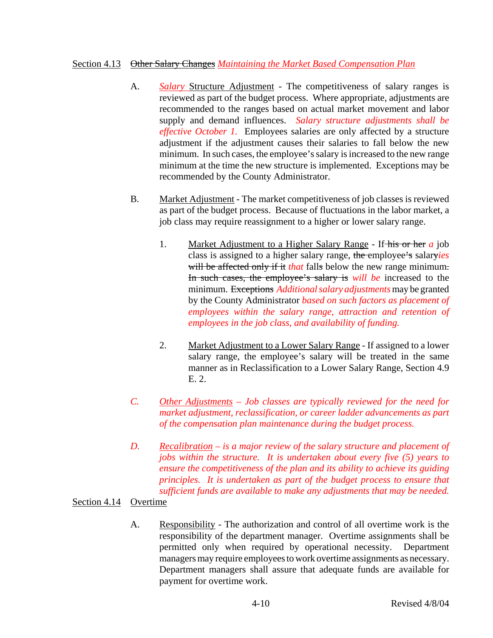## Section 4.13 Other Salary Changes *Maintaining the Market Based Compensation Plan*

- A. *Salary* Structure Adjustment The competitiveness of salary ranges is reviewed as part of the budget process. Where appropriate, adjustments are recommended to the ranges based on actual market movement and labor supply and demand influences. *Salary structure adjustments shall be effective October 1.* Employees salaries are only affected by a structure adjustment if the adjustment causes their salaries to fall below the new minimum. In such cases, the employee's salary is increased to the new range minimum at the time the new structure is implemented. Exceptions may be recommended by the County Administrator.
- B. Market Adjustment The market competitiveness of job classes is reviewed as part of the budget process. Because of fluctuations in the labor market, a job class may require reassignment to a higher or lower salary range.
	- 1. Market Adjustment to a Higher Salary Range If his or her *a* job class is assigned to a higher salary range, the employee's salary*ies* will be affected only if it *that* falls below the new range minimum. In such cases, the employee's salary is *will be* increased to the minimum. Exceptions *Additional salary adjustments* may be granted by the County Administrator *based on such factors as placement of employees within the salary range, attraction and retention of employees in the job class, and availability of funding.*
	- 2. Market Adjustment to a Lower Salary Range If assigned to a lower salary range, the employee's salary will be treated in the same manner as in Reclassification to a Lower Salary Range, Section 4.9 E. 2.
- *C. Other Adjustments Job classes are typically reviewed for the need for market adjustment, reclassification, or career ladder advancements as part of the compensation plan maintenance during the budget process.*
- *D. Recalibration is a major review of the salary structure and placement of jobs within the structure. It is undertaken about every five (5) years to ensure the competitiveness of the plan and its ability to achieve its guiding principles. It is undertaken as part of the budget process to ensure that sufficient funds are available to make any adjustments that may be needed.*

# Section 4.14 Overtime

A. Responsibility - The authorization and control of all overtime work is the responsibility of the department manager. Overtime assignments shall be permitted only when required by operational necessity. Department managers may require employees to work overtime assignments as necessary. Department managers shall assure that adequate funds are available for payment for overtime work.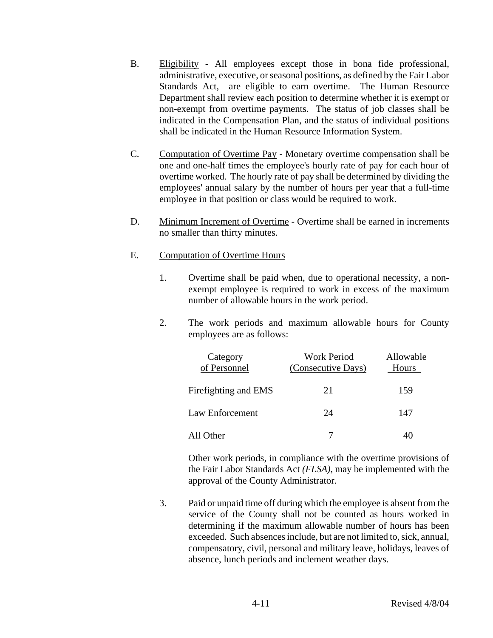- B. Eligibility All employees except those in bona fide professional, administrative, executive, or seasonal positions, as defined by the Fair Labor Standards Act, are eligible to earn overtime. The Human Resource Department shall review each position to determine whether it is exempt or non-exempt from overtime payments. The status of job classes shall be indicated in the Compensation Plan, and the status of individual positions shall be indicated in the Human Resource Information System.
- C. Computation of Overtime Pay Monetary overtime compensation shall be one and one-half times the employee's hourly rate of pay for each hour of overtime worked. The hourly rate of pay shall be determined by dividing the employees' annual salary by the number of hours per year that a full-time employee in that position or class would be required to work.
- D. Minimum Increment of Overtime Overtime shall be earned in increments no smaller than thirty minutes.

## E. Computation of Overtime Hours

- 1. Overtime shall be paid when, due to operational necessity, a nonexempt employee is required to work in excess of the maximum number of allowable hours in the work period.
- 2. The work periods and maximum allowable hours for County employees are as follows:

|           | Category<br>of Personnel | <b>Work Period</b><br>(Consecutive Days) | Allowable<br><b>Hours</b> |
|-----------|--------------------------|------------------------------------------|---------------------------|
|           | Firefighting and EMS     | 21                                       | 159                       |
|           | Law Enforcement          | 24                                       | 147                       |
| All Other |                          | 7                                        | 40                        |

Other work periods, in compliance with the overtime provisions of the Fair Labor Standards Act *(FLSA)*, may be implemented with the approval of the County Administrator.

3. Paid or unpaid time off during which the employee is absent from the service of the County shall not be counted as hours worked in determining if the maximum allowable number of hours has been exceeded. Such absences include, but are not limited to, sick, annual, compensatory, civil, personal and military leave, holidays, leaves of absence, lunch periods and inclement weather days.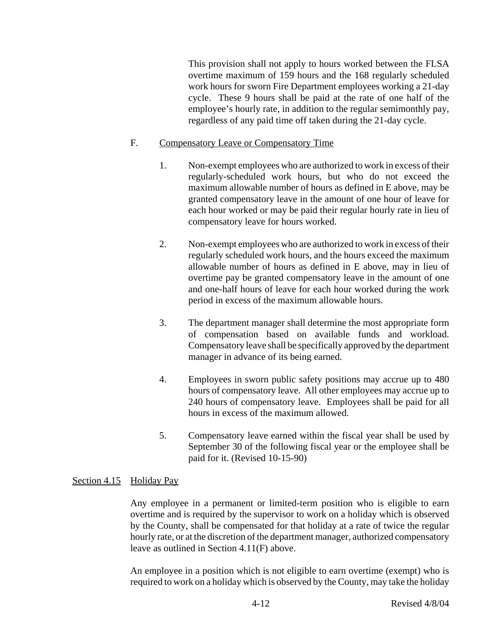This provision shall not apply to hours worked between the FLSA overtime maximum of 159 hours and the 168 regularly scheduled work hours for sworn Fire Department employees working a 21-day cycle. These 9 hours shall be paid at the rate of one half of the employee's hourly rate, in addition to the regular semimonthly pay, regardless of any paid time off taken during the 21-day cycle.

## F. Compensatory Leave or Compensatory Time

- 1. Non-exempt employees who are authorized to work in excess of their regularly-scheduled work hours, but who do not exceed the maximum allowable number of hours as defined in E above, may be granted compensatory leave in the amount of one hour of leave for each hour worked or may be paid their regular hourly rate in lieu of compensatory leave for hours worked.
- 2. Non-exempt employees who are authorized to work in excess of their regularly scheduled work hours, and the hours exceed the maximum allowable number of hours as defined in E above, may in lieu of overtime pay be granted compensatory leave in the amount of one and one-half hours of leave for each hour worked during the work period in excess of the maximum allowable hours.
- 3. The department manager shall determine the most appropriate form of compensation based on available funds and workload. Compensatory leave shall be specifically approved by the department manager in advance of its being earned.
- 4. Employees in sworn public safety positions may accrue up to 480 hours of compensatory leave. All other employees may accrue up to 240 hours of compensatory leave. Employees shall be paid for all hours in excess of the maximum allowed.
- 5. Compensatory leave earned within the fiscal year shall be used by September 30 of the following fiscal year or the employee shall be paid for it. (Revised 10-15-90)

# Section 4.15 Holiday Pay

Any employee in a permanent or limited-term position who is eligible to earn overtime and is required by the supervisor to work on a holiday which is observed by the County, shall be compensated for that holiday at a rate of twice the regular hourly rate, or at the discretion of the department manager, authorized compensatory leave as outlined in Section 4.11(F) above.

An employee in a position which is not eligible to earn overtime (exempt) who is required to work on a holiday which is observed by the County, may take the holiday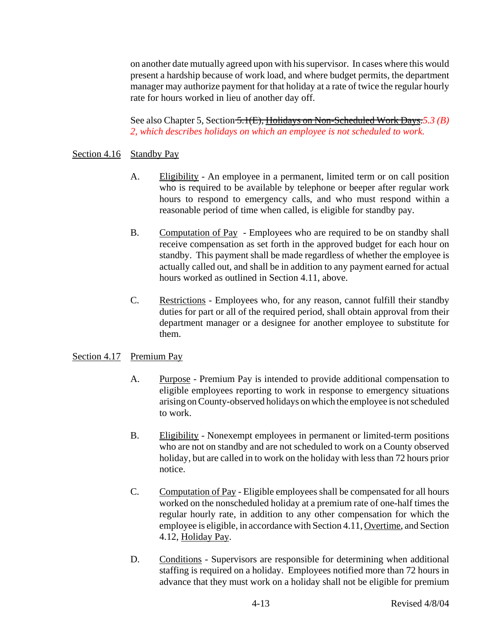on another date mutually agreed upon with his supervisor. In cases where this would present a hardship because of work load, and where budget permits, the department manager may authorize payment for that holiday at a rate of twice the regular hourly rate for hours worked in lieu of another day off.

See also Chapter 5, Section 5.1(E), Holidays on Non-Scheduled Work Days.*5.3 (B) 2, which describes holidays on which an employee is not scheduled to work.*

## Section 4.16 Standby Pay

- A. Eligibility An employee in a permanent, limited term or on call position who is required to be available by telephone or beeper after regular work hours to respond to emergency calls, and who must respond within a reasonable period of time when called, is eligible for standby pay.
- B. Computation of Pay Employees who are required to be on standby shall receive compensation as set forth in the approved budget for each hour on standby. This payment shall be made regardless of whether the employee is actually called out, and shall be in addition to any payment earned for actual hours worked as outlined in Section 4.11, above.
- C. Restrictions Employees who, for any reason, cannot fulfill their standby duties for part or all of the required period, shall obtain approval from their department manager or a designee for another employee to substitute for them.

## Section 4.17 Premium Pay

- A. Purpose Premium Pay is intended to provide additional compensation to eligible employees reporting to work in response to emergency situations arising on County-observed holidays on which the employee is not scheduled to work.
- B. Eligibility Nonexempt employees in permanent or limited-term positions who are not on standby and are not scheduled to work on a County observed holiday, but are called in to work on the holiday with less than 72 hours prior notice.
- C. Computation of Pay Eligible employees shall be compensated for all hours worked on the nonscheduled holiday at a premium rate of one-half times the regular hourly rate, in addition to any other compensation for which the employee is eligible, in accordance with Section 4.11, Overtime, and Section 4.12, Holiday Pay.
- D. Conditions Supervisors are responsible for determining when additional staffing is required on a holiday. Employees notified more than 72 hours in advance that they must work on a holiday shall not be eligible for premium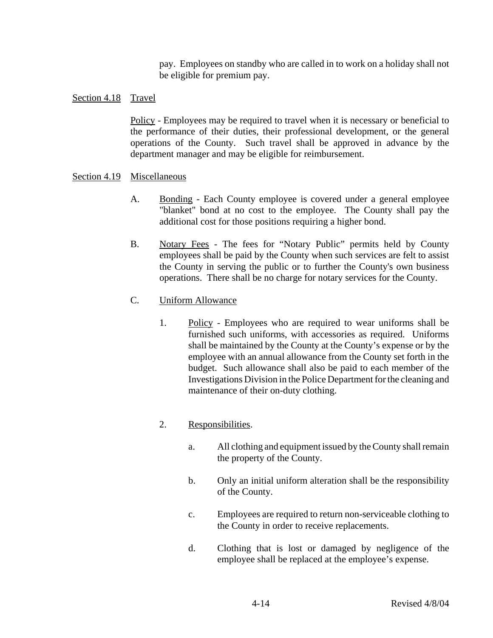pay. Employees on standby who are called in to work on a holiday shall not be eligible for premium pay.

## Section 4.18 Travel

Policy - Employees may be required to travel when it is necessary or beneficial to the performance of their duties, their professional development, or the general operations of the County. Such travel shall be approved in advance by the department manager and may be eligible for reimbursement.

## Section 4.19 Miscellaneous

- A. Bonding Each County employee is covered under a general employee "blanket" bond at no cost to the employee. The County shall pay the additional cost for those positions requiring a higher bond.
- B. Notary Fees The fees for "Notary Public" permits held by County employees shall be paid by the County when such services are felt to assist the County in serving the public or to further the County's own business operations. There shall be no charge for notary services for the County.
- C. Uniform Allowance
	- 1. Policy Employees who are required to wear uniforms shall be furnished such uniforms, with accessories as required. Uniforms shall be maintained by the County at the County's expense or by the employee with an annual allowance from the County set forth in the budget. Such allowance shall also be paid to each member of the Investigations Division in the Police Department for the cleaning and maintenance of their on-duty clothing.

# 2. Responsibilities.

- a. All clothing and equipment issued by the County shall remain the property of the County.
- b. Only an initial uniform alteration shall be the responsibility of the County.
- c. Employees are required to return non-serviceable clothing to the County in order to receive replacements.
- d. Clothing that is lost or damaged by negligence of the employee shall be replaced at the employee's expense.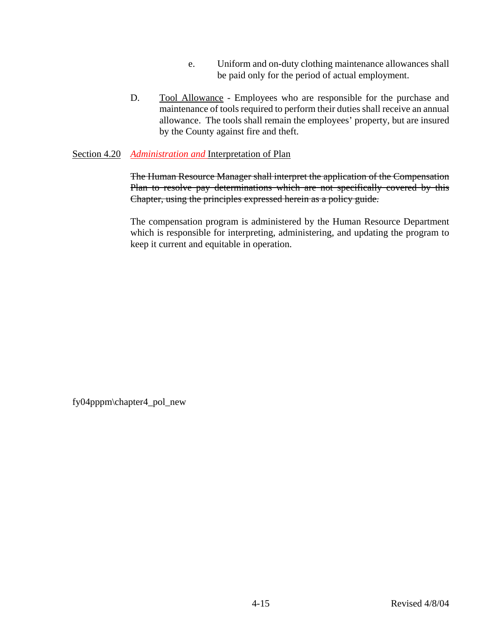- e. Uniform and on-duty clothing maintenance allowances shall be paid only for the period of actual employment.
- D. Tool Allowance Employees who are responsible for the purchase and maintenance of tools required to perform their duties shall receive an annual allowance. The tools shall remain the employees' property, but are insured by the County against fire and theft.

## Section 4.20 *Administration and* Interpretation of Plan

The Human Resource Manager shall interpret the application of the Compensation Plan to resolve pay determinations which are not specifically covered by this Chapter, using the principles expressed herein as a policy guide.

The compensation program is administered by the Human Resource Department which is responsible for interpreting, administering, and updating the program to keep it current and equitable in operation.

fy04pppm\chapter4\_pol\_new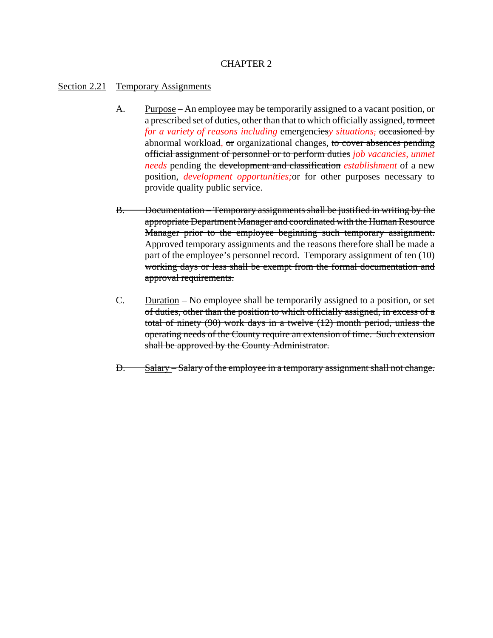# CHAPTER 2

### Section 2.21 Temporary Assignments

- A. Purpose An employee may be temporarily assigned to a vacant position, or a prescribed set of duties, other than that to which officially assigned, to meet *for a variety of reasons including* emergencies*y situations,* occasioned by abnormal workload*,* or organizational changes, to cover absences pending official assignment of personnel or to perform duties *job vacancies, unmet needs* pending the development and classification *establishment* of a new position, *development opportunities;*or for other purposes necessary to provide quality public service.
- B. Documentation Temporary assignments shall be justified in writing by the appropriate Department Manager and coordinated with the Human Resource Manager prior to the employee beginning such temporary assignment. Approved temporary assignments and the reasons therefore shall be made a part of the employee's personnel record. Temporary assignment of ten (10) working days or less shall be exempt from the formal documentation and approval requirements.
- C. Duration No employee shall be temporarily assigned to a position, or set of duties, other than the position to which officially assigned, in excess of a total of ninety (90) work days in a twelve (12) month period, unless the operating needs of the County require an extension of time. Such extension shall be approved by the County Administrator.
- D. Salary Salary of the employee in a temporary assignment shall not change.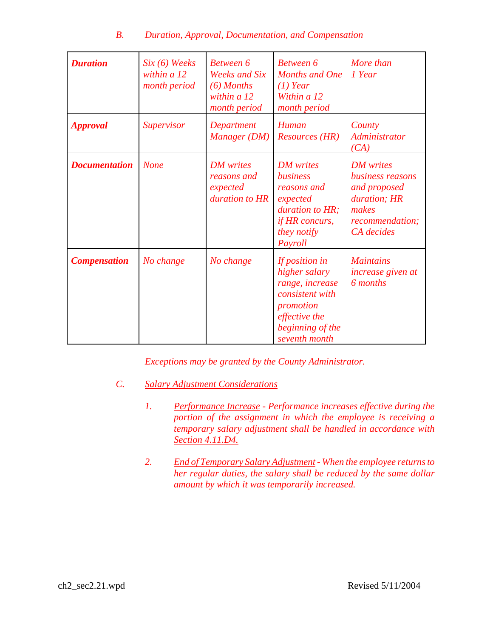# *B. Duration, Approval, Documentation, and Compensation*

| <b>Duration</b>      | $Six (6) \nWeeks$<br>within $a12$<br>month period | <b>Between 6</b><br><b>Weeks and Six</b><br>$(6)$ Months<br>within $a12$<br>month period | <b>Between 6</b><br><b>Months and One</b><br>$(1)$ Year<br>Within a 12<br>month period                                                   | More than<br>1 Year                                                                                            |
|----------------------|---------------------------------------------------|------------------------------------------------------------------------------------------|------------------------------------------------------------------------------------------------------------------------------------------|----------------------------------------------------------------------------------------------------------------|
| <b>Approval</b>      | <b>Supervisor</b>                                 | Department<br>Manager (DM)                                                               | Human<br><b>Resources (HR)</b>                                                                                                           | County<br><i>Administrator</i><br>(CA)                                                                         |
| <b>Documentation</b> | <b>None</b>                                       | <b>DM</b> writes<br>reasons and<br>expected<br>duration to HR                            | <b>DM</b> writes<br>business<br>reasons and<br>expected<br>duration to HR;<br>if HR concurs,<br>they notify<br>Payroll                   | <b>DM</b> writes<br>business reasons<br>and proposed<br>duration; HR<br>makes<br>recommendation;<br>CA decides |
| <b>Compensation</b>  | No change                                         | No change                                                                                | If position in<br>higher salary<br>range, increase<br>consistent with<br>promotion<br>effective the<br>beginning of the<br>seventh month | <b>Maintains</b><br>increase given at<br>6 months                                                              |

*Exceptions may be granted by the County Administrator.*

- *C. Salary Adjustment Considerations*
	- *1. Performance Increase Performance increases effective during the portion of the assignment in which the employee is receiving a temporary salary adjustment shall be handled in accordance with Section 4.11.D4.*
	- *2. End of Temporary Salary Adjustment When the employee returns to her regular duties, the salary shall be reduced by the same dollar amount by which it was temporarily increased.*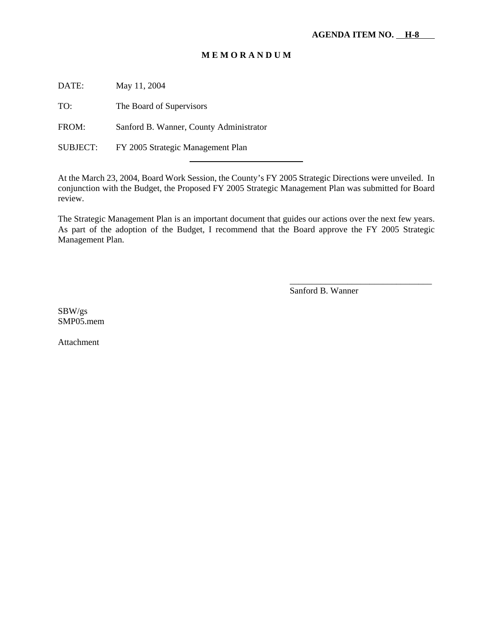# **M E M O R A N D U M**

DATE: May 11, 2004

TO: The Board of Supervisors

FROM: Sanford B. Wanner, County Administrator

l

SUBJECT: FY 2005 Strategic Management Plan

At the March 23, 2004, Board Work Session, the County's FY 2005 Strategic Directions were unveiled. In conjunction with the Budget, the Proposed FY 2005 Strategic Management Plan was submitted for Board review.

The Strategic Management Plan is an important document that guides our actions over the next few years. As part of the adoption of the Budget, I recommend that the Board approve the FY 2005 Strategic Management Plan.

Sanford B. Wanner

\_\_\_\_\_\_\_\_\_\_\_\_\_\_\_\_\_\_\_\_\_\_\_\_\_\_\_\_\_\_\_\_

SBW/gs SMP05.mem

Attachment